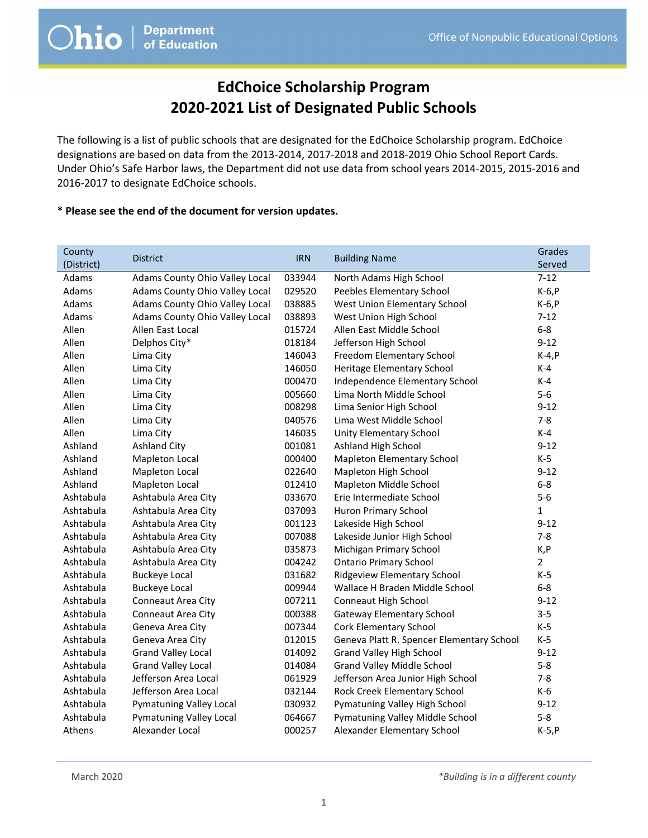#### EdChoice Scholarship Program 2020-2021 List of Designated Public Schools

The following is a list of public schools that are designated for the EdChoice Scholarship program. EdChoice designations are based on data from the 2013-2014, 2017-2018 and 2018-2019 Ohio School Report Cards. Under Ohio's Safe Harbor laws, the Department did not use data from school years 2014-2015, 2015-2016 and 2016-2017 to designate EdChoice schools.

#### \* Please see the end of the document for version updates.

| County        |                                |            |                                           | Grades   |
|---------------|--------------------------------|------------|-------------------------------------------|----------|
| (District)    | <b>District</b>                | <b>IRN</b> | <b>Building Name</b>                      | Served   |
| Adams         | Adams County Ohio Valley Local | 033944     | North Adams High School                   | $7 - 12$ |
| Adams         | Adams County Ohio Valley Local | 029520     | Peebles Elementary School                 | $K-6, P$ |
| Adams         | Adams County Ohio Valley Local | 038885     | West Union Elementary School              | $K-6, P$ |
| Adams         | Adams County Ohio Valley Local | 038893     | West Union High School                    | $7 - 12$ |
| Allen         | Allen East Local               | 015724     | Allen East Middle School                  | $6-8$    |
| Allen         | Delphos City*                  | 018184     | Jefferson High School                     | $9 - 12$ |
| Allen         | Lima City                      | 146043     | Freedom Elementary School                 | $K-4, P$ |
| Allen         | Lima City                      | 146050     | Heritage Elementary School                | $K-4$    |
| Allen         | Lima City                      | 000470     | Independence Elementary School            | $K-4$    |
| Allen         | Lima City                      | 005660     | Lima North Middle School                  | $5-6$    |
| Allen         | Lima City                      | 008298     | Lima Senior High School                   | $9 - 12$ |
| Allen         | Lima City                      | 040576     | Lima West Middle School                   | $7 - 8$  |
| Allen         | Lima City                      | 146035     | Unity Elementary School                   | $K-4$    |
| Ashland       | <b>Ashland City</b>            | 001081     | <b>Ashland High School</b>                | $9 - 12$ |
| Ashland       | <b>Mapleton Local</b>          | 000400     | Mapleton Elementary School                | $K-5$    |
| Ashland       | Mapleton Local                 | 022640     | Mapleton High School                      | $9 - 12$ |
| Ashland       | Mapleton Local                 | 012410     | Mapleton Middle School                    | $6 - 8$  |
| Ashtabula     | Ashtabula Area City            | 033670     | Erie Intermediate School                  | $5-6$    |
| Ashtabula     | Ashtabula Area City            | 037093     | Huron Primary School                      | 1        |
| Ashtabula     | Ashtabula Area City            | 001123     | Lakeside High School                      | $9 - 12$ |
| Ashtabula     | Ashtabula Area City            | 007088     | Lakeside Junior High School               | $7 - 8$  |
| Ashtabula     | Ashtabula Area City            | 035873     | Michigan Primary School                   | K,P      |
| Ashtabula     | Ashtabula Area City            | 004242     | <b>Ontario Primary School</b>             | 2        |
| Ashtabula     | <b>Buckeye Local</b>           | 031682     | Ridgeview Elementary School               | $K-5$    |
| Ashtabula     | <b>Buckeye Local</b>           | 009944     | Wallace H Braden Middle School            | $6 - 8$  |
| Ashtabula     | Conneaut Area City             | 007211     | Conneaut High School                      | $9 - 12$ |
| Ashtabula     | Conneaut Area City             | 000388     | <b>Gateway Elementary School</b>          | $3 - 5$  |
| Ashtabula     | Geneva Area City               | 007344     | Cork Elementary School                    | $K-5$    |
| Ashtabula     | Geneva Area City               | 012015     | Geneva Platt R. Spencer Elementary School | $K-5$    |
| Ashtabula     | <b>Grand Valley Local</b>      | 014092     | Grand Valley High School                  | $9 - 12$ |
| Ashtabula     | <b>Grand Valley Local</b>      | 014084     | <b>Grand Valley Middle School</b>         | $5 - 8$  |
| Ashtabula     | Jefferson Area Local           | 061929     | Jefferson Area Junior High School         | $7 - 8$  |
| Ashtabula     | Jefferson Area Local           | 032144     | Rock Creek Elementary School              | $K-6$    |
| Ashtabula     | Pymatuning Valley Local        | 030932     | Pymatuning Valley High School             | $9 - 12$ |
| Ashtabula     | Pymatuning Valley Local        | 064667     | Pymatuning Valley Middle School           | $5 - 8$  |
| <b>Athens</b> | Alexander Local                | 000257     | Alexander Elementary School               | $K-5, P$ |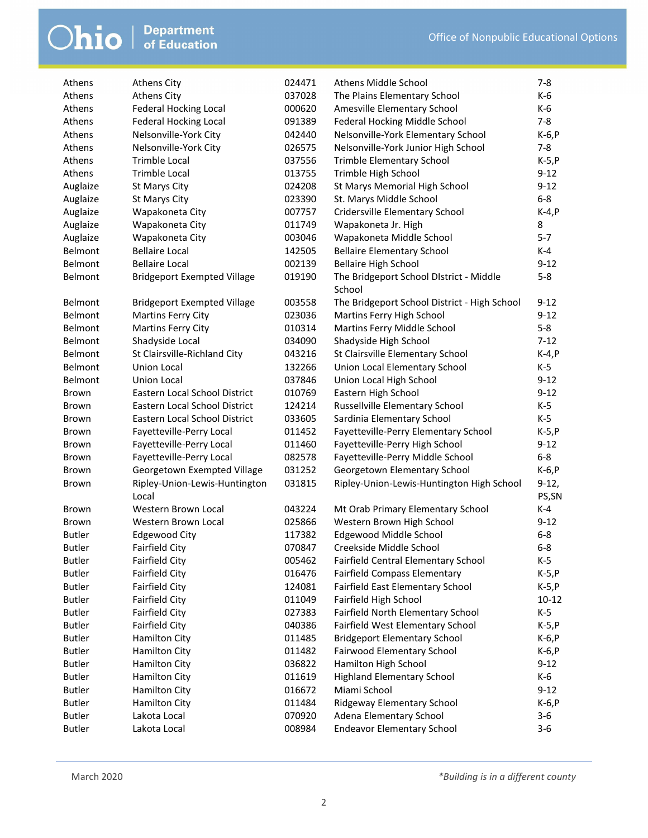| Athens        | <b>Athens City</b>                     | 024471 | Athens Middle School                         | $7 - 8$          |
|---------------|----------------------------------------|--------|----------------------------------------------|------------------|
| Athens        | <b>Athens City</b>                     | 037028 | The Plains Elementary School                 | K-6              |
| Athens        | <b>Federal Hocking Local</b>           | 000620 | Amesville Elementary School                  | K-6              |
| Athens        | <b>Federal Hocking Local</b>           | 091389 | Federal Hocking Middle School                | $7 - 8$          |
| Athens        | Nelsonville-York City                  | 042440 | Nelsonville-York Elementary School           | $K-6, P$         |
| Athens        | Nelsonville-York City                  | 026575 | Nelsonville-York Junior High School          | $7-8$            |
| Athens        | <b>Trimble Local</b>                   | 037556 | <b>Trimble Elementary School</b>             | $K-5, P$         |
| Athens        | <b>Trimble Local</b>                   | 013755 | Trimble High School                          | $9 - 12$         |
| Auglaize      | St Marys City                          | 024208 | St Marys Memorial High School                | $9 - 12$         |
| Auglaize      | St Marys City                          | 023390 | St. Marys Middle School                      | $6-8$            |
| Auglaize      | Wapakoneta City                        | 007757 | Cridersville Elementary School               | $K-4, P$         |
| Auglaize      | Wapakoneta City                        | 011749 | Wapakoneta Jr. High                          | 8                |
| Auglaize      | Wapakoneta City                        | 003046 | Wapakoneta Middle School                     | $5 - 7$          |
| Belmont       | <b>Bellaire Local</b>                  | 142505 | <b>Bellaire Elementary School</b>            | $K-4$            |
| Belmont       | <b>Bellaire Local</b>                  | 002139 | <b>Bellaire High School</b>                  | $9 - 12$         |
| Belmont       | <b>Bridgeport Exempted Village</b>     | 019190 | The Bridgeport School District - Middle      | $5-8$            |
|               |                                        |        | School                                       |                  |
| Belmont       | <b>Bridgeport Exempted Village</b>     | 003558 | The Bridgeport School District - High School | $9 - 12$         |
| Belmont       | <b>Martins Ferry City</b>              | 023036 | Martins Ferry High School                    | $9 - 12$         |
| Belmont       | <b>Martins Ferry City</b>              | 010314 | Martins Ferry Middle School                  | $5-8$            |
| Belmont       | Shadyside Local                        | 034090 | Shadyside High School                        | $7-12$           |
| Belmont       | St Clairsville-Richland City           | 043216 | St Clairsville Elementary School             | $K-4, P$         |
| Belmont       | Union Local                            | 132266 | Union Local Elementary School                | K-5              |
| Belmont       | <b>Union Local</b>                     | 037846 | Union Local High School                      | $9 - 12$         |
| Brown         | Eastern Local School District          | 010769 | Eastern High School                          | $9 - 12$         |
| <b>Brown</b>  | Eastern Local School District          | 124214 | Russellville Elementary School               | K-5              |
| <b>Brown</b>  | Eastern Local School District          | 033605 | Sardinia Elementary School                   | $K-5$            |
| <b>Brown</b>  | Fayetteville-Perry Local               | 011452 | Fayetteville-Perry Elementary School         | $K-5, P$         |
| <b>Brown</b>  | Fayetteville-Perry Local               | 011460 | Fayetteville-Perry High School               | $9 - 12$         |
| <b>Brown</b>  | Fayetteville-Perry Local               | 082578 | Fayetteville-Perry Middle School             | $6-8$            |
| <b>Brown</b>  | Georgetown Exempted Village            | 031252 | Georgetown Elementary School                 | $K-6, P$         |
| <b>Brown</b>  | Ripley-Union-Lewis-Huntington<br>Local | 031815 | Ripley-Union-Lewis-Huntington High School    | $9-12,$<br>PS,SN |
| <b>Brown</b>  | Western Brown Local                    | 043224 | Mt Orab Primary Elementary School            | K-4              |
| <b>Brown</b>  | Western Brown Local                    | 025866 | Western Brown High School                    | $9 - 12$         |
| <b>Butler</b> | <b>Edgewood City</b>                   | 117382 | Edgewood Middle School                       | $6-8$            |
| <b>Butler</b> | Fairfield City                         | 070847 | Creekside Middle School                      | $6 - 8$          |
| <b>Butler</b> | <b>Fairfield City</b>                  | 005462 | <b>Fairfield Central Elementary School</b>   | K-5              |
| <b>Butler</b> | <b>Fairfield City</b>                  | 016476 | <b>Fairfield Compass Elementary</b>          | $K-5, P$         |
| <b>Butler</b> | <b>Fairfield City</b>                  | 124081 | Fairfield East Elementary School             | $K-5, P$         |
| <b>Butler</b> | <b>Fairfield City</b>                  | 011049 | Fairfield High School                        | $10 - 12$        |
| <b>Butler</b> | <b>Fairfield City</b>                  | 027383 | Fairfield North Elementary School            | $K-5$            |
| <b>Butler</b> | <b>Fairfield City</b>                  | 040386 | Fairfield West Elementary School             | $K-5, P$         |
| <b>Butler</b> | <b>Hamilton City</b>                   | 011485 | <b>Bridgeport Elementary School</b>          | $K-6, P$         |
| <b>Butler</b> | Hamilton City                          | 011482 | Fairwood Elementary School                   | $K-6, P$         |
| <b>Butler</b> | <b>Hamilton City</b>                   | 036822 | Hamilton High School                         | $9 - 12$         |
| <b>Butler</b> | <b>Hamilton City</b>                   | 011619 | <b>Highland Elementary School</b>            | K-6              |
| <b>Butler</b> | Hamilton City                          | 016672 | Miami School                                 | $9 - 12$         |
| <b>Butler</b> | Hamilton City                          | 011484 | Ridgeway Elementary School                   | K-6, P           |
| <b>Butler</b> | Lakota Local                           | 070920 | Adena Elementary School                      | $3-6$            |
| <b>Butler</b> | Lakota Local                           | 008984 | <b>Endeavor Elementary School</b>            | $3 - 6$          |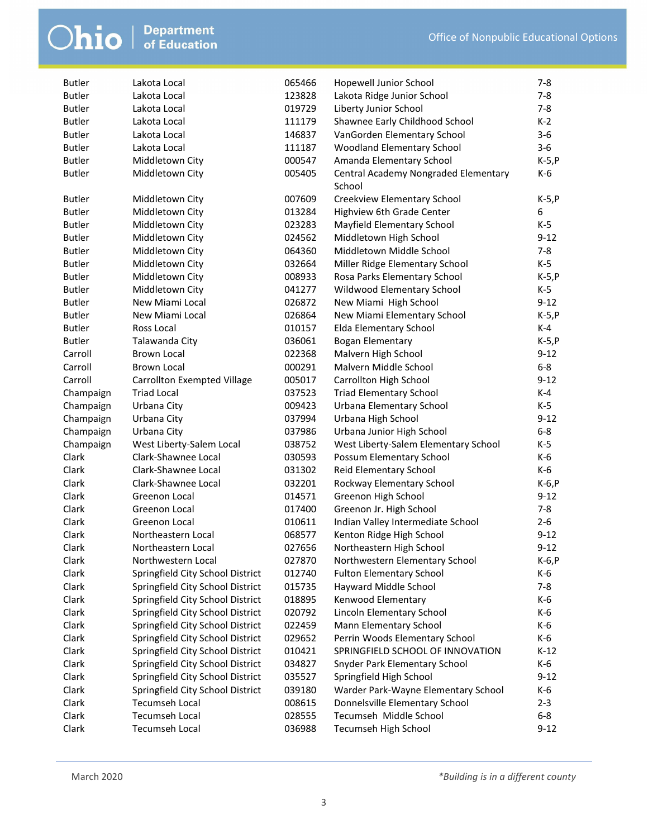| <b>Butler</b> | Lakota Local                       | 065466 | Hopewell Junior School               | $7 - 8$  |
|---------------|------------------------------------|--------|--------------------------------------|----------|
| <b>Butler</b> | Lakota Local                       | 123828 | Lakota Ridge Junior School           | $7 - 8$  |
| <b>Butler</b> | Lakota Local                       | 019729 | Liberty Junior School                | $7 - 8$  |
| <b>Butler</b> | Lakota Local                       | 111179 | Shawnee Early Childhood School       | $K-2$    |
| <b>Butler</b> | Lakota Local                       | 146837 | VanGorden Elementary School          | $3-6$    |
| <b>Butler</b> | Lakota Local                       | 111187 | Woodland Elementary School           | $3-6$    |
| <b>Butler</b> | Middletown City                    | 000547 | Amanda Elementary School             | $K-5, P$ |
| <b>Butler</b> | Middletown City                    | 005405 | Central Academy Nongraded Elementary | K-6      |
|               |                                    |        | School                               |          |
| <b>Butler</b> | Middletown City                    | 007609 | Creekview Elementary School          | $K-5, P$ |
| <b>Butler</b> | Middletown City                    | 013284 | Highview 6th Grade Center            | 6        |
| <b>Butler</b> | Middletown City                    | 023283 | Mayfield Elementary School           | K-5      |
| <b>Butler</b> | Middletown City                    | 024562 | Middletown High School               | $9 - 12$ |
| <b>Butler</b> | Middletown City                    | 064360 | Middletown Middle School             | $7 - 8$  |
| <b>Butler</b> | Middletown City                    | 032664 | Miller Ridge Elementary School       | $K-5$    |
| <b>Butler</b> | Middletown City                    | 008933 | Rosa Parks Elementary School         | $K-5, P$ |
| <b>Butler</b> | Middletown City                    | 041277 | Wildwood Elementary School           | K-5      |
| <b>Butler</b> | New Miami Local                    | 026872 | New Miami High School                | $9 - 12$ |
| <b>Butler</b> | New Miami Local                    | 026864 | New Miami Elementary School          | $K-5, P$ |
| <b>Butler</b> | Ross Local                         | 010157 | Elda Elementary School               | K-4      |
| <b>Butler</b> | Talawanda City                     | 036061 | <b>Bogan Elementary</b>              | $K-5, P$ |
| Carroll       | Brown Local                        | 022368 | Malvern High School                  | $9 - 12$ |
| Carroll       | <b>Brown Local</b>                 | 000291 | Malvern Middle School                | $6-8$    |
| Carroll       | <b>Carrollton Exempted Village</b> | 005017 | Carrollton High School               | $9 - 12$ |
| Champaign     | <b>Triad Local</b>                 | 037523 | <b>Triad Elementary School</b>       | K-4      |
| Champaign     | Urbana City                        | 009423 | Urbana Elementary School             | K-5      |
| Champaign     | Urbana City                        | 037994 | Urbana High School                   | $9 - 12$ |
| Champaign     | Urbana City                        | 037986 | Urbana Junior High School            | $6-8$    |
| Champaign     | West Liberty-Salem Local           | 038752 | West Liberty-Salem Elementary School | $K-5$    |
| Clark         | Clark-Shawnee Local                | 030593 | Possum Elementary School             | K-6      |
| Clark         | Clark-Shawnee Local                | 031302 | Reid Elementary School               | K-6      |
| Clark         | Clark-Shawnee Local                | 032201 | Rockway Elementary School            | $K-6, P$ |
| Clark         | Greenon Local                      | 014571 | Greenon High School                  | $9 - 12$ |
| Clark         | Greenon Local                      | 017400 | Greenon Jr. High School              | $7 - 8$  |
| Clark         | Greenon Local                      | 010611 | Indian Valley Intermediate School    | $2 - 6$  |
| Clark         | Northeastern Local                 | 068577 | Kenton Ridge High School             | $9 - 12$ |
| Clark         | Northeastern Local                 | 027656 | Northeastern High School             | $9 - 12$ |
| Clark         | Northwestern Local                 | 027870 | Northwestern Elementary School       | K-6, P   |
| Clark         | Springfield City School District   | 012740 | <b>Fulton Elementary School</b>      | K-6      |
| Clark         | Springfield City School District   | 015735 | Hayward Middle School                | $7 - 8$  |
| Clark         | Springfield City School District   | 018895 | Kenwood Elementary                   | K-6      |
| Clark         | Springfield City School District   | 020792 | Lincoln Elementary School            | K-6      |
| Clark         | Springfield City School District   | 022459 | Mann Elementary School               | K-6      |
| Clark         | Springfield City School District   | 029652 | Perrin Woods Elementary School       | K-6      |
| Clark         | Springfield City School District   | 010421 | SPRINGFIELD SCHOOL OF INNOVATION     | $K-12$   |
| Clark         | Springfield City School District   | 034827 | Snyder Park Elementary School        | K-6      |
| Clark         | Springfield City School District   | 035527 | Springfield High School              | $9 - 12$ |
| Clark         | Springfield City School District   | 039180 | Warder Park-Wayne Elementary School  | K-6      |
| Clark         | <b>Tecumseh Local</b>              | 008615 | Donnelsville Elementary School       | $2 - 3$  |
| Clark         | <b>Tecumseh Local</b>              | 028555 | Tecumseh Middle School               | $6-8$    |
| Clark         | Tecumseh Local                     | 036988 | Tecumseh High School                 | $9 - 12$ |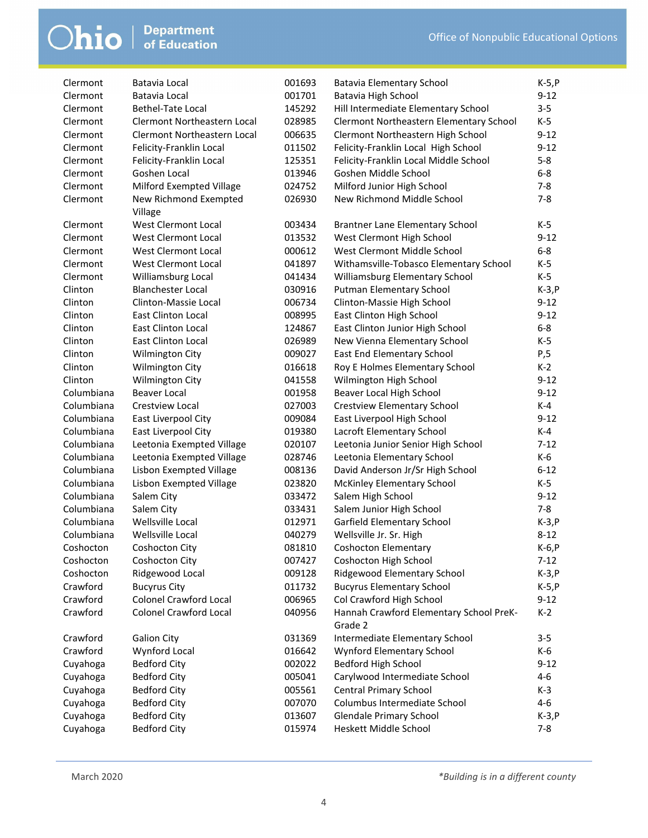| Clermont<br>001701<br>$9 - 12$<br>Batavia Local<br>Batavia High School<br>$3 - 5$<br>Clermont<br>Bethel-Tate Local<br>145292<br>Hill Intermediate Elementary School<br>$K-5$<br>Clermont<br>Clermont Northeastern Local<br>028985<br>Clermont Northeastern Elementary School<br>$9 - 12$<br>Clermont<br><b>Clermont Northeastern Local</b><br>006635<br>Clermont Northeastern High School<br>$9 - 12$<br>Felicity-Franklin Local High School<br>Clermont<br>Felicity-Franklin Local<br>011502<br>$5 - 8$<br>Clermont<br>125351<br>Felicity-Franklin Local Middle School<br>Felicity-Franklin Local<br>$6-8$<br>Clermont<br>Goshen Local<br>013946<br>Goshen Middle School<br>Clermont<br>Milford Exempted Village<br>024752<br>Milford Junior High School<br>$7 - 8$<br>Clermont<br>026930<br>New Richmond Middle School<br>$7 - 8$<br>New Richmond Exempted<br>Village<br>West Clermont Local<br>Clermont<br>003434<br>Brantner Lane Elementary School<br>K-5<br>West Clermont Local<br>West Clermont High School<br>$9 - 12$<br>Clermont<br>013532<br>Clermont<br>West Clermont Local<br>000612<br>West Clermont Middle School<br>$6-8$<br>Clermont<br>West Clermont Local<br>041897<br>Withamsville-Tobasco Elementary School<br>$K-5$<br>$K-5$<br>Clermont<br>Williamsburg Local<br>Williamsburg Elementary School<br>041434<br>$K-3, P$<br>Clinton<br><b>Blanchester Local</b><br>030916<br>Putman Elementary School<br>Clinton-Massie Local<br>Clinton<br>006734<br>Clinton-Massie High School<br>$9 - 12$<br>Clinton<br><b>East Clinton Local</b><br>008995<br>East Clinton High School<br>$9 - 12$<br>$6-8$<br><b>East Clinton Local</b><br>East Clinton Junior High School<br>Clinton<br>124867<br>$K-5$<br>East Clinton Local<br>Clinton<br>026989<br>New Vienna Elementary School<br>East End Elementary School<br>P,5<br>Clinton<br>Wilmington City<br>009027<br>Wilmington City<br>Roy E Holmes Elementary School<br>$K-2$<br>Clinton<br>016618<br>Wilmington High School<br>$9 - 12$<br>Clinton<br>Wilmington City<br>041558<br>Columbiana<br>Beaver Local High School<br>$9 - 12$<br><b>Beaver Local</b><br>001958<br>$K-4$<br>Columbiana<br>027003<br><b>Crestview Local</b><br><b>Crestview Elementary School</b><br>Columbiana<br>East Liverpool City<br>$9 - 12$<br>009084<br>East Liverpool High School<br>Columbiana<br>K-4<br>East Liverpool City<br>019380<br>Lacroft Elementary School<br>Columbiana<br>$7 - 12$<br>Leetonia Exempted Village<br>020107<br>Leetonia Junior Senior High School<br>Columbiana<br>Leetonia Exempted Village<br>Leetonia Elementary School<br>K-6<br>028746<br>Columbiana<br>Lisbon Exempted Village<br>David Anderson Jr/Sr High School<br>$6 - 12$<br>008136<br>Columbiana<br>023820<br>K-5<br>Lisbon Exempted Village<br><b>McKinley Elementary School</b><br>$9 - 12$<br>Columbiana<br>Salem City<br>033472<br>Salem High School<br>$7 - 8$<br>Columbiana<br>Salem City<br>033431<br>Salem Junior High School<br>Columbiana<br>Wellsville Local<br>012971<br>Garfield Elementary School<br>$K-3, P$<br>Wellsville Local<br>$8 - 12$<br>Columbiana<br>040279<br>Wellsville Jr. Sr. High<br>081810<br>K-6, P<br>Coshocton<br>Coshocton City<br>Coshocton Elementary<br>007427<br>Coshocton<br>Coshocton City<br><b>Coshocton High School</b><br>$7-12$<br>Coshocton<br>Ridgewood Local<br>009128<br>Ridgewood Elementary School<br>$K-3, P$<br>Crawford<br><b>Bucyrus City</b><br><b>Bucyrus Elementary School</b><br>011732<br>$K-5, P$<br><b>Colonel Crawford Local</b><br>Col Crawford High School<br>Crawford<br>006965<br>$9 - 12$<br>Hannah Crawford Elementary School PreK-<br>Crawford<br><b>Colonel Crawford Local</b><br>040956<br>$K-2$<br>Grade 2<br><b>Galion City</b><br>Intermediate Elementary School<br>Crawford<br>031369<br>$3 - 5$<br>Wynford Elementary School<br>Crawford<br>Wynford Local<br>016642<br>K-6<br>Bedford High School<br>Cuyahoga<br><b>Bedford City</b><br>002022<br>$9 - 12$<br>Carylwood Intermediate School<br>Cuyahoga<br><b>Bedford City</b><br>005041<br>4-6<br>Cuyahoga<br><b>Central Primary School</b><br>$K-3$<br><b>Bedford City</b><br>005561<br>Columbus Intermediate School<br>$4 - 6$<br>Cuyahoga<br><b>Bedford City</b><br>007070 | Clermont | Batavia Local       | 001693 | Batavia Elementary School | $K-5, P$ |
|---------------------------------------------------------------------------------------------------------------------------------------------------------------------------------------------------------------------------------------------------------------------------------------------------------------------------------------------------------------------------------------------------------------------------------------------------------------------------------------------------------------------------------------------------------------------------------------------------------------------------------------------------------------------------------------------------------------------------------------------------------------------------------------------------------------------------------------------------------------------------------------------------------------------------------------------------------------------------------------------------------------------------------------------------------------------------------------------------------------------------------------------------------------------------------------------------------------------------------------------------------------------------------------------------------------------------------------------------------------------------------------------------------------------------------------------------------------------------------------------------------------------------------------------------------------------------------------------------------------------------------------------------------------------------------------------------------------------------------------------------------------------------------------------------------------------------------------------------------------------------------------------------------------------------------------------------------------------------------------------------------------------------------------------------------------------------------------------------------------------------------------------------------------------------------------------------------------------------------------------------------------------------------------------------------------------------------------------------------------------------------------------------------------------------------------------------------------------------------------------------------------------------------------------------------------------------------------------------------------------------------------------------------------------------------------------------------------------------------------------------------------------------------------------------------------------------------------------------------------------------------------------------------------------------------------------------------------------------------------------------------------------------------------------------------------------------------------------------------------------------------------------------------------------------------------------------------------------------------------------------------------------------------------------------------------------------------------------------------------------------------------------------------------------------------------------------------------------------------------------------------------------------------------------------------------------------------------------------------------------------------------------------------------------------------------------------------------------------------------------------------------------------------------------------------------------------------------------------------------------------------------------------------------------------------------------------------------------------------------------------------------------------------------------------------------------------------------------------------------------------------------------------------------------------------------------------------------------------------------------|----------|---------------------|--------|---------------------------|----------|
|                                                                                                                                                                                                                                                                                                                                                                                                                                                                                                                                                                                                                                                                                                                                                                                                                                                                                                                                                                                                                                                                                                                                                                                                                                                                                                                                                                                                                                                                                                                                                                                                                                                                                                                                                                                                                                                                                                                                                                                                                                                                                                                                                                                                                                                                                                                                                                                                                                                                                                                                                                                                                                                                                                                                                                                                                                                                                                                                                                                                                                                                                                                                                                                                                                                                                                                                                                                                                                                                                                                                                                                                                                                                                                                                                                                                                                                                                                                                                                                                                                                                                                                                                                                                                                             |          |                     |        |                           |          |
|                                                                                                                                                                                                                                                                                                                                                                                                                                                                                                                                                                                                                                                                                                                                                                                                                                                                                                                                                                                                                                                                                                                                                                                                                                                                                                                                                                                                                                                                                                                                                                                                                                                                                                                                                                                                                                                                                                                                                                                                                                                                                                                                                                                                                                                                                                                                                                                                                                                                                                                                                                                                                                                                                                                                                                                                                                                                                                                                                                                                                                                                                                                                                                                                                                                                                                                                                                                                                                                                                                                                                                                                                                                                                                                                                                                                                                                                                                                                                                                                                                                                                                                                                                                                                                             |          |                     |        |                           |          |
|                                                                                                                                                                                                                                                                                                                                                                                                                                                                                                                                                                                                                                                                                                                                                                                                                                                                                                                                                                                                                                                                                                                                                                                                                                                                                                                                                                                                                                                                                                                                                                                                                                                                                                                                                                                                                                                                                                                                                                                                                                                                                                                                                                                                                                                                                                                                                                                                                                                                                                                                                                                                                                                                                                                                                                                                                                                                                                                                                                                                                                                                                                                                                                                                                                                                                                                                                                                                                                                                                                                                                                                                                                                                                                                                                                                                                                                                                                                                                                                                                                                                                                                                                                                                                                             |          |                     |        |                           |          |
|                                                                                                                                                                                                                                                                                                                                                                                                                                                                                                                                                                                                                                                                                                                                                                                                                                                                                                                                                                                                                                                                                                                                                                                                                                                                                                                                                                                                                                                                                                                                                                                                                                                                                                                                                                                                                                                                                                                                                                                                                                                                                                                                                                                                                                                                                                                                                                                                                                                                                                                                                                                                                                                                                                                                                                                                                                                                                                                                                                                                                                                                                                                                                                                                                                                                                                                                                                                                                                                                                                                                                                                                                                                                                                                                                                                                                                                                                                                                                                                                                                                                                                                                                                                                                                             |          |                     |        |                           |          |
|                                                                                                                                                                                                                                                                                                                                                                                                                                                                                                                                                                                                                                                                                                                                                                                                                                                                                                                                                                                                                                                                                                                                                                                                                                                                                                                                                                                                                                                                                                                                                                                                                                                                                                                                                                                                                                                                                                                                                                                                                                                                                                                                                                                                                                                                                                                                                                                                                                                                                                                                                                                                                                                                                                                                                                                                                                                                                                                                                                                                                                                                                                                                                                                                                                                                                                                                                                                                                                                                                                                                                                                                                                                                                                                                                                                                                                                                                                                                                                                                                                                                                                                                                                                                                                             |          |                     |        |                           |          |
|                                                                                                                                                                                                                                                                                                                                                                                                                                                                                                                                                                                                                                                                                                                                                                                                                                                                                                                                                                                                                                                                                                                                                                                                                                                                                                                                                                                                                                                                                                                                                                                                                                                                                                                                                                                                                                                                                                                                                                                                                                                                                                                                                                                                                                                                                                                                                                                                                                                                                                                                                                                                                                                                                                                                                                                                                                                                                                                                                                                                                                                                                                                                                                                                                                                                                                                                                                                                                                                                                                                                                                                                                                                                                                                                                                                                                                                                                                                                                                                                                                                                                                                                                                                                                                             |          |                     |        |                           |          |
|                                                                                                                                                                                                                                                                                                                                                                                                                                                                                                                                                                                                                                                                                                                                                                                                                                                                                                                                                                                                                                                                                                                                                                                                                                                                                                                                                                                                                                                                                                                                                                                                                                                                                                                                                                                                                                                                                                                                                                                                                                                                                                                                                                                                                                                                                                                                                                                                                                                                                                                                                                                                                                                                                                                                                                                                                                                                                                                                                                                                                                                                                                                                                                                                                                                                                                                                                                                                                                                                                                                                                                                                                                                                                                                                                                                                                                                                                                                                                                                                                                                                                                                                                                                                                                             |          |                     |        |                           |          |
|                                                                                                                                                                                                                                                                                                                                                                                                                                                                                                                                                                                                                                                                                                                                                                                                                                                                                                                                                                                                                                                                                                                                                                                                                                                                                                                                                                                                                                                                                                                                                                                                                                                                                                                                                                                                                                                                                                                                                                                                                                                                                                                                                                                                                                                                                                                                                                                                                                                                                                                                                                                                                                                                                                                                                                                                                                                                                                                                                                                                                                                                                                                                                                                                                                                                                                                                                                                                                                                                                                                                                                                                                                                                                                                                                                                                                                                                                                                                                                                                                                                                                                                                                                                                                                             |          |                     |        |                           |          |
|                                                                                                                                                                                                                                                                                                                                                                                                                                                                                                                                                                                                                                                                                                                                                                                                                                                                                                                                                                                                                                                                                                                                                                                                                                                                                                                                                                                                                                                                                                                                                                                                                                                                                                                                                                                                                                                                                                                                                                                                                                                                                                                                                                                                                                                                                                                                                                                                                                                                                                                                                                                                                                                                                                                                                                                                                                                                                                                                                                                                                                                                                                                                                                                                                                                                                                                                                                                                                                                                                                                                                                                                                                                                                                                                                                                                                                                                                                                                                                                                                                                                                                                                                                                                                                             |          |                     |        |                           |          |
|                                                                                                                                                                                                                                                                                                                                                                                                                                                                                                                                                                                                                                                                                                                                                                                                                                                                                                                                                                                                                                                                                                                                                                                                                                                                                                                                                                                                                                                                                                                                                                                                                                                                                                                                                                                                                                                                                                                                                                                                                                                                                                                                                                                                                                                                                                                                                                                                                                                                                                                                                                                                                                                                                                                                                                                                                                                                                                                                                                                                                                                                                                                                                                                                                                                                                                                                                                                                                                                                                                                                                                                                                                                                                                                                                                                                                                                                                                                                                                                                                                                                                                                                                                                                                                             |          |                     |        |                           |          |
|                                                                                                                                                                                                                                                                                                                                                                                                                                                                                                                                                                                                                                                                                                                                                                                                                                                                                                                                                                                                                                                                                                                                                                                                                                                                                                                                                                                                                                                                                                                                                                                                                                                                                                                                                                                                                                                                                                                                                                                                                                                                                                                                                                                                                                                                                                                                                                                                                                                                                                                                                                                                                                                                                                                                                                                                                                                                                                                                                                                                                                                                                                                                                                                                                                                                                                                                                                                                                                                                                                                                                                                                                                                                                                                                                                                                                                                                                                                                                                                                                                                                                                                                                                                                                                             |          |                     |        |                           |          |
|                                                                                                                                                                                                                                                                                                                                                                                                                                                                                                                                                                                                                                                                                                                                                                                                                                                                                                                                                                                                                                                                                                                                                                                                                                                                                                                                                                                                                                                                                                                                                                                                                                                                                                                                                                                                                                                                                                                                                                                                                                                                                                                                                                                                                                                                                                                                                                                                                                                                                                                                                                                                                                                                                                                                                                                                                                                                                                                                                                                                                                                                                                                                                                                                                                                                                                                                                                                                                                                                                                                                                                                                                                                                                                                                                                                                                                                                                                                                                                                                                                                                                                                                                                                                                                             |          |                     |        |                           |          |
|                                                                                                                                                                                                                                                                                                                                                                                                                                                                                                                                                                                                                                                                                                                                                                                                                                                                                                                                                                                                                                                                                                                                                                                                                                                                                                                                                                                                                                                                                                                                                                                                                                                                                                                                                                                                                                                                                                                                                                                                                                                                                                                                                                                                                                                                                                                                                                                                                                                                                                                                                                                                                                                                                                                                                                                                                                                                                                                                                                                                                                                                                                                                                                                                                                                                                                                                                                                                                                                                                                                                                                                                                                                                                                                                                                                                                                                                                                                                                                                                                                                                                                                                                                                                                                             |          |                     |        |                           |          |
|                                                                                                                                                                                                                                                                                                                                                                                                                                                                                                                                                                                                                                                                                                                                                                                                                                                                                                                                                                                                                                                                                                                                                                                                                                                                                                                                                                                                                                                                                                                                                                                                                                                                                                                                                                                                                                                                                                                                                                                                                                                                                                                                                                                                                                                                                                                                                                                                                                                                                                                                                                                                                                                                                                                                                                                                                                                                                                                                                                                                                                                                                                                                                                                                                                                                                                                                                                                                                                                                                                                                                                                                                                                                                                                                                                                                                                                                                                                                                                                                                                                                                                                                                                                                                                             |          |                     |        |                           |          |
|                                                                                                                                                                                                                                                                                                                                                                                                                                                                                                                                                                                                                                                                                                                                                                                                                                                                                                                                                                                                                                                                                                                                                                                                                                                                                                                                                                                                                                                                                                                                                                                                                                                                                                                                                                                                                                                                                                                                                                                                                                                                                                                                                                                                                                                                                                                                                                                                                                                                                                                                                                                                                                                                                                                                                                                                                                                                                                                                                                                                                                                                                                                                                                                                                                                                                                                                                                                                                                                                                                                                                                                                                                                                                                                                                                                                                                                                                                                                                                                                                                                                                                                                                                                                                                             |          |                     |        |                           |          |
|                                                                                                                                                                                                                                                                                                                                                                                                                                                                                                                                                                                                                                                                                                                                                                                                                                                                                                                                                                                                                                                                                                                                                                                                                                                                                                                                                                                                                                                                                                                                                                                                                                                                                                                                                                                                                                                                                                                                                                                                                                                                                                                                                                                                                                                                                                                                                                                                                                                                                                                                                                                                                                                                                                                                                                                                                                                                                                                                                                                                                                                                                                                                                                                                                                                                                                                                                                                                                                                                                                                                                                                                                                                                                                                                                                                                                                                                                                                                                                                                                                                                                                                                                                                                                                             |          |                     |        |                           |          |
|                                                                                                                                                                                                                                                                                                                                                                                                                                                                                                                                                                                                                                                                                                                                                                                                                                                                                                                                                                                                                                                                                                                                                                                                                                                                                                                                                                                                                                                                                                                                                                                                                                                                                                                                                                                                                                                                                                                                                                                                                                                                                                                                                                                                                                                                                                                                                                                                                                                                                                                                                                                                                                                                                                                                                                                                                                                                                                                                                                                                                                                                                                                                                                                                                                                                                                                                                                                                                                                                                                                                                                                                                                                                                                                                                                                                                                                                                                                                                                                                                                                                                                                                                                                                                                             |          |                     |        |                           |          |
|                                                                                                                                                                                                                                                                                                                                                                                                                                                                                                                                                                                                                                                                                                                                                                                                                                                                                                                                                                                                                                                                                                                                                                                                                                                                                                                                                                                                                                                                                                                                                                                                                                                                                                                                                                                                                                                                                                                                                                                                                                                                                                                                                                                                                                                                                                                                                                                                                                                                                                                                                                                                                                                                                                                                                                                                                                                                                                                                                                                                                                                                                                                                                                                                                                                                                                                                                                                                                                                                                                                                                                                                                                                                                                                                                                                                                                                                                                                                                                                                                                                                                                                                                                                                                                             |          |                     |        |                           |          |
|                                                                                                                                                                                                                                                                                                                                                                                                                                                                                                                                                                                                                                                                                                                                                                                                                                                                                                                                                                                                                                                                                                                                                                                                                                                                                                                                                                                                                                                                                                                                                                                                                                                                                                                                                                                                                                                                                                                                                                                                                                                                                                                                                                                                                                                                                                                                                                                                                                                                                                                                                                                                                                                                                                                                                                                                                                                                                                                                                                                                                                                                                                                                                                                                                                                                                                                                                                                                                                                                                                                                                                                                                                                                                                                                                                                                                                                                                                                                                                                                                                                                                                                                                                                                                                             |          |                     |        |                           |          |
|                                                                                                                                                                                                                                                                                                                                                                                                                                                                                                                                                                                                                                                                                                                                                                                                                                                                                                                                                                                                                                                                                                                                                                                                                                                                                                                                                                                                                                                                                                                                                                                                                                                                                                                                                                                                                                                                                                                                                                                                                                                                                                                                                                                                                                                                                                                                                                                                                                                                                                                                                                                                                                                                                                                                                                                                                                                                                                                                                                                                                                                                                                                                                                                                                                                                                                                                                                                                                                                                                                                                                                                                                                                                                                                                                                                                                                                                                                                                                                                                                                                                                                                                                                                                                                             |          |                     |        |                           |          |
|                                                                                                                                                                                                                                                                                                                                                                                                                                                                                                                                                                                                                                                                                                                                                                                                                                                                                                                                                                                                                                                                                                                                                                                                                                                                                                                                                                                                                                                                                                                                                                                                                                                                                                                                                                                                                                                                                                                                                                                                                                                                                                                                                                                                                                                                                                                                                                                                                                                                                                                                                                                                                                                                                                                                                                                                                                                                                                                                                                                                                                                                                                                                                                                                                                                                                                                                                                                                                                                                                                                                                                                                                                                                                                                                                                                                                                                                                                                                                                                                                                                                                                                                                                                                                                             |          |                     |        |                           |          |
|                                                                                                                                                                                                                                                                                                                                                                                                                                                                                                                                                                                                                                                                                                                                                                                                                                                                                                                                                                                                                                                                                                                                                                                                                                                                                                                                                                                                                                                                                                                                                                                                                                                                                                                                                                                                                                                                                                                                                                                                                                                                                                                                                                                                                                                                                                                                                                                                                                                                                                                                                                                                                                                                                                                                                                                                                                                                                                                                                                                                                                                                                                                                                                                                                                                                                                                                                                                                                                                                                                                                                                                                                                                                                                                                                                                                                                                                                                                                                                                                                                                                                                                                                                                                                                             |          |                     |        |                           |          |
|                                                                                                                                                                                                                                                                                                                                                                                                                                                                                                                                                                                                                                                                                                                                                                                                                                                                                                                                                                                                                                                                                                                                                                                                                                                                                                                                                                                                                                                                                                                                                                                                                                                                                                                                                                                                                                                                                                                                                                                                                                                                                                                                                                                                                                                                                                                                                                                                                                                                                                                                                                                                                                                                                                                                                                                                                                                                                                                                                                                                                                                                                                                                                                                                                                                                                                                                                                                                                                                                                                                                                                                                                                                                                                                                                                                                                                                                                                                                                                                                                                                                                                                                                                                                                                             |          |                     |        |                           |          |
|                                                                                                                                                                                                                                                                                                                                                                                                                                                                                                                                                                                                                                                                                                                                                                                                                                                                                                                                                                                                                                                                                                                                                                                                                                                                                                                                                                                                                                                                                                                                                                                                                                                                                                                                                                                                                                                                                                                                                                                                                                                                                                                                                                                                                                                                                                                                                                                                                                                                                                                                                                                                                                                                                                                                                                                                                                                                                                                                                                                                                                                                                                                                                                                                                                                                                                                                                                                                                                                                                                                                                                                                                                                                                                                                                                                                                                                                                                                                                                                                                                                                                                                                                                                                                                             |          |                     |        |                           |          |
|                                                                                                                                                                                                                                                                                                                                                                                                                                                                                                                                                                                                                                                                                                                                                                                                                                                                                                                                                                                                                                                                                                                                                                                                                                                                                                                                                                                                                                                                                                                                                                                                                                                                                                                                                                                                                                                                                                                                                                                                                                                                                                                                                                                                                                                                                                                                                                                                                                                                                                                                                                                                                                                                                                                                                                                                                                                                                                                                                                                                                                                                                                                                                                                                                                                                                                                                                                                                                                                                                                                                                                                                                                                                                                                                                                                                                                                                                                                                                                                                                                                                                                                                                                                                                                             |          |                     |        |                           |          |
|                                                                                                                                                                                                                                                                                                                                                                                                                                                                                                                                                                                                                                                                                                                                                                                                                                                                                                                                                                                                                                                                                                                                                                                                                                                                                                                                                                                                                                                                                                                                                                                                                                                                                                                                                                                                                                                                                                                                                                                                                                                                                                                                                                                                                                                                                                                                                                                                                                                                                                                                                                                                                                                                                                                                                                                                                                                                                                                                                                                                                                                                                                                                                                                                                                                                                                                                                                                                                                                                                                                                                                                                                                                                                                                                                                                                                                                                                                                                                                                                                                                                                                                                                                                                                                             |          |                     |        |                           |          |
|                                                                                                                                                                                                                                                                                                                                                                                                                                                                                                                                                                                                                                                                                                                                                                                                                                                                                                                                                                                                                                                                                                                                                                                                                                                                                                                                                                                                                                                                                                                                                                                                                                                                                                                                                                                                                                                                                                                                                                                                                                                                                                                                                                                                                                                                                                                                                                                                                                                                                                                                                                                                                                                                                                                                                                                                                                                                                                                                                                                                                                                                                                                                                                                                                                                                                                                                                                                                                                                                                                                                                                                                                                                                                                                                                                                                                                                                                                                                                                                                                                                                                                                                                                                                                                             |          |                     |        |                           |          |
|                                                                                                                                                                                                                                                                                                                                                                                                                                                                                                                                                                                                                                                                                                                                                                                                                                                                                                                                                                                                                                                                                                                                                                                                                                                                                                                                                                                                                                                                                                                                                                                                                                                                                                                                                                                                                                                                                                                                                                                                                                                                                                                                                                                                                                                                                                                                                                                                                                                                                                                                                                                                                                                                                                                                                                                                                                                                                                                                                                                                                                                                                                                                                                                                                                                                                                                                                                                                                                                                                                                                                                                                                                                                                                                                                                                                                                                                                                                                                                                                                                                                                                                                                                                                                                             |          |                     |        |                           |          |
|                                                                                                                                                                                                                                                                                                                                                                                                                                                                                                                                                                                                                                                                                                                                                                                                                                                                                                                                                                                                                                                                                                                                                                                                                                                                                                                                                                                                                                                                                                                                                                                                                                                                                                                                                                                                                                                                                                                                                                                                                                                                                                                                                                                                                                                                                                                                                                                                                                                                                                                                                                                                                                                                                                                                                                                                                                                                                                                                                                                                                                                                                                                                                                                                                                                                                                                                                                                                                                                                                                                                                                                                                                                                                                                                                                                                                                                                                                                                                                                                                                                                                                                                                                                                                                             |          |                     |        |                           |          |
|                                                                                                                                                                                                                                                                                                                                                                                                                                                                                                                                                                                                                                                                                                                                                                                                                                                                                                                                                                                                                                                                                                                                                                                                                                                                                                                                                                                                                                                                                                                                                                                                                                                                                                                                                                                                                                                                                                                                                                                                                                                                                                                                                                                                                                                                                                                                                                                                                                                                                                                                                                                                                                                                                                                                                                                                                                                                                                                                                                                                                                                                                                                                                                                                                                                                                                                                                                                                                                                                                                                                                                                                                                                                                                                                                                                                                                                                                                                                                                                                                                                                                                                                                                                                                                             |          |                     |        |                           |          |
|                                                                                                                                                                                                                                                                                                                                                                                                                                                                                                                                                                                                                                                                                                                                                                                                                                                                                                                                                                                                                                                                                                                                                                                                                                                                                                                                                                                                                                                                                                                                                                                                                                                                                                                                                                                                                                                                                                                                                                                                                                                                                                                                                                                                                                                                                                                                                                                                                                                                                                                                                                                                                                                                                                                                                                                                                                                                                                                                                                                                                                                                                                                                                                                                                                                                                                                                                                                                                                                                                                                                                                                                                                                                                                                                                                                                                                                                                                                                                                                                                                                                                                                                                                                                                                             |          |                     |        |                           |          |
|                                                                                                                                                                                                                                                                                                                                                                                                                                                                                                                                                                                                                                                                                                                                                                                                                                                                                                                                                                                                                                                                                                                                                                                                                                                                                                                                                                                                                                                                                                                                                                                                                                                                                                                                                                                                                                                                                                                                                                                                                                                                                                                                                                                                                                                                                                                                                                                                                                                                                                                                                                                                                                                                                                                                                                                                                                                                                                                                                                                                                                                                                                                                                                                                                                                                                                                                                                                                                                                                                                                                                                                                                                                                                                                                                                                                                                                                                                                                                                                                                                                                                                                                                                                                                                             |          |                     |        |                           |          |
|                                                                                                                                                                                                                                                                                                                                                                                                                                                                                                                                                                                                                                                                                                                                                                                                                                                                                                                                                                                                                                                                                                                                                                                                                                                                                                                                                                                                                                                                                                                                                                                                                                                                                                                                                                                                                                                                                                                                                                                                                                                                                                                                                                                                                                                                                                                                                                                                                                                                                                                                                                                                                                                                                                                                                                                                                                                                                                                                                                                                                                                                                                                                                                                                                                                                                                                                                                                                                                                                                                                                                                                                                                                                                                                                                                                                                                                                                                                                                                                                                                                                                                                                                                                                                                             |          |                     |        |                           |          |
|                                                                                                                                                                                                                                                                                                                                                                                                                                                                                                                                                                                                                                                                                                                                                                                                                                                                                                                                                                                                                                                                                                                                                                                                                                                                                                                                                                                                                                                                                                                                                                                                                                                                                                                                                                                                                                                                                                                                                                                                                                                                                                                                                                                                                                                                                                                                                                                                                                                                                                                                                                                                                                                                                                                                                                                                                                                                                                                                                                                                                                                                                                                                                                                                                                                                                                                                                                                                                                                                                                                                                                                                                                                                                                                                                                                                                                                                                                                                                                                                                                                                                                                                                                                                                                             |          |                     |        |                           |          |
|                                                                                                                                                                                                                                                                                                                                                                                                                                                                                                                                                                                                                                                                                                                                                                                                                                                                                                                                                                                                                                                                                                                                                                                                                                                                                                                                                                                                                                                                                                                                                                                                                                                                                                                                                                                                                                                                                                                                                                                                                                                                                                                                                                                                                                                                                                                                                                                                                                                                                                                                                                                                                                                                                                                                                                                                                                                                                                                                                                                                                                                                                                                                                                                                                                                                                                                                                                                                                                                                                                                                                                                                                                                                                                                                                                                                                                                                                                                                                                                                                                                                                                                                                                                                                                             |          |                     |        |                           |          |
|                                                                                                                                                                                                                                                                                                                                                                                                                                                                                                                                                                                                                                                                                                                                                                                                                                                                                                                                                                                                                                                                                                                                                                                                                                                                                                                                                                                                                                                                                                                                                                                                                                                                                                                                                                                                                                                                                                                                                                                                                                                                                                                                                                                                                                                                                                                                                                                                                                                                                                                                                                                                                                                                                                                                                                                                                                                                                                                                                                                                                                                                                                                                                                                                                                                                                                                                                                                                                                                                                                                                                                                                                                                                                                                                                                                                                                                                                                                                                                                                                                                                                                                                                                                                                                             |          |                     |        |                           |          |
|                                                                                                                                                                                                                                                                                                                                                                                                                                                                                                                                                                                                                                                                                                                                                                                                                                                                                                                                                                                                                                                                                                                                                                                                                                                                                                                                                                                                                                                                                                                                                                                                                                                                                                                                                                                                                                                                                                                                                                                                                                                                                                                                                                                                                                                                                                                                                                                                                                                                                                                                                                                                                                                                                                                                                                                                                                                                                                                                                                                                                                                                                                                                                                                                                                                                                                                                                                                                                                                                                                                                                                                                                                                                                                                                                                                                                                                                                                                                                                                                                                                                                                                                                                                                                                             |          |                     |        |                           |          |
|                                                                                                                                                                                                                                                                                                                                                                                                                                                                                                                                                                                                                                                                                                                                                                                                                                                                                                                                                                                                                                                                                                                                                                                                                                                                                                                                                                                                                                                                                                                                                                                                                                                                                                                                                                                                                                                                                                                                                                                                                                                                                                                                                                                                                                                                                                                                                                                                                                                                                                                                                                                                                                                                                                                                                                                                                                                                                                                                                                                                                                                                                                                                                                                                                                                                                                                                                                                                                                                                                                                                                                                                                                                                                                                                                                                                                                                                                                                                                                                                                                                                                                                                                                                                                                             |          |                     |        |                           |          |
|                                                                                                                                                                                                                                                                                                                                                                                                                                                                                                                                                                                                                                                                                                                                                                                                                                                                                                                                                                                                                                                                                                                                                                                                                                                                                                                                                                                                                                                                                                                                                                                                                                                                                                                                                                                                                                                                                                                                                                                                                                                                                                                                                                                                                                                                                                                                                                                                                                                                                                                                                                                                                                                                                                                                                                                                                                                                                                                                                                                                                                                                                                                                                                                                                                                                                                                                                                                                                                                                                                                                                                                                                                                                                                                                                                                                                                                                                                                                                                                                                                                                                                                                                                                                                                             |          |                     |        |                           |          |
|                                                                                                                                                                                                                                                                                                                                                                                                                                                                                                                                                                                                                                                                                                                                                                                                                                                                                                                                                                                                                                                                                                                                                                                                                                                                                                                                                                                                                                                                                                                                                                                                                                                                                                                                                                                                                                                                                                                                                                                                                                                                                                                                                                                                                                                                                                                                                                                                                                                                                                                                                                                                                                                                                                                                                                                                                                                                                                                                                                                                                                                                                                                                                                                                                                                                                                                                                                                                                                                                                                                                                                                                                                                                                                                                                                                                                                                                                                                                                                                                                                                                                                                                                                                                                                             |          |                     |        |                           |          |
|                                                                                                                                                                                                                                                                                                                                                                                                                                                                                                                                                                                                                                                                                                                                                                                                                                                                                                                                                                                                                                                                                                                                                                                                                                                                                                                                                                                                                                                                                                                                                                                                                                                                                                                                                                                                                                                                                                                                                                                                                                                                                                                                                                                                                                                                                                                                                                                                                                                                                                                                                                                                                                                                                                                                                                                                                                                                                                                                                                                                                                                                                                                                                                                                                                                                                                                                                                                                                                                                                                                                                                                                                                                                                                                                                                                                                                                                                                                                                                                                                                                                                                                                                                                                                                             |          |                     |        |                           |          |
|                                                                                                                                                                                                                                                                                                                                                                                                                                                                                                                                                                                                                                                                                                                                                                                                                                                                                                                                                                                                                                                                                                                                                                                                                                                                                                                                                                                                                                                                                                                                                                                                                                                                                                                                                                                                                                                                                                                                                                                                                                                                                                                                                                                                                                                                                                                                                                                                                                                                                                                                                                                                                                                                                                                                                                                                                                                                                                                                                                                                                                                                                                                                                                                                                                                                                                                                                                                                                                                                                                                                                                                                                                                                                                                                                                                                                                                                                                                                                                                                                                                                                                                                                                                                                                             |          |                     |        |                           |          |
|                                                                                                                                                                                                                                                                                                                                                                                                                                                                                                                                                                                                                                                                                                                                                                                                                                                                                                                                                                                                                                                                                                                                                                                                                                                                                                                                                                                                                                                                                                                                                                                                                                                                                                                                                                                                                                                                                                                                                                                                                                                                                                                                                                                                                                                                                                                                                                                                                                                                                                                                                                                                                                                                                                                                                                                                                                                                                                                                                                                                                                                                                                                                                                                                                                                                                                                                                                                                                                                                                                                                                                                                                                                                                                                                                                                                                                                                                                                                                                                                                                                                                                                                                                                                                                             |          |                     |        |                           |          |
|                                                                                                                                                                                                                                                                                                                                                                                                                                                                                                                                                                                                                                                                                                                                                                                                                                                                                                                                                                                                                                                                                                                                                                                                                                                                                                                                                                                                                                                                                                                                                                                                                                                                                                                                                                                                                                                                                                                                                                                                                                                                                                                                                                                                                                                                                                                                                                                                                                                                                                                                                                                                                                                                                                                                                                                                                                                                                                                                                                                                                                                                                                                                                                                                                                                                                                                                                                                                                                                                                                                                                                                                                                                                                                                                                                                                                                                                                                                                                                                                                                                                                                                                                                                                                                             |          |                     |        |                           |          |
|                                                                                                                                                                                                                                                                                                                                                                                                                                                                                                                                                                                                                                                                                                                                                                                                                                                                                                                                                                                                                                                                                                                                                                                                                                                                                                                                                                                                                                                                                                                                                                                                                                                                                                                                                                                                                                                                                                                                                                                                                                                                                                                                                                                                                                                                                                                                                                                                                                                                                                                                                                                                                                                                                                                                                                                                                                                                                                                                                                                                                                                                                                                                                                                                                                                                                                                                                                                                                                                                                                                                                                                                                                                                                                                                                                                                                                                                                                                                                                                                                                                                                                                                                                                                                                             |          |                     |        |                           |          |
|                                                                                                                                                                                                                                                                                                                                                                                                                                                                                                                                                                                                                                                                                                                                                                                                                                                                                                                                                                                                                                                                                                                                                                                                                                                                                                                                                                                                                                                                                                                                                                                                                                                                                                                                                                                                                                                                                                                                                                                                                                                                                                                                                                                                                                                                                                                                                                                                                                                                                                                                                                                                                                                                                                                                                                                                                                                                                                                                                                                                                                                                                                                                                                                                                                                                                                                                                                                                                                                                                                                                                                                                                                                                                                                                                                                                                                                                                                                                                                                                                                                                                                                                                                                                                                             |          |                     |        |                           |          |
|                                                                                                                                                                                                                                                                                                                                                                                                                                                                                                                                                                                                                                                                                                                                                                                                                                                                                                                                                                                                                                                                                                                                                                                                                                                                                                                                                                                                                                                                                                                                                                                                                                                                                                                                                                                                                                                                                                                                                                                                                                                                                                                                                                                                                                                                                                                                                                                                                                                                                                                                                                                                                                                                                                                                                                                                                                                                                                                                                                                                                                                                                                                                                                                                                                                                                                                                                                                                                                                                                                                                                                                                                                                                                                                                                                                                                                                                                                                                                                                                                                                                                                                                                                                                                                             |          |                     |        |                           |          |
|                                                                                                                                                                                                                                                                                                                                                                                                                                                                                                                                                                                                                                                                                                                                                                                                                                                                                                                                                                                                                                                                                                                                                                                                                                                                                                                                                                                                                                                                                                                                                                                                                                                                                                                                                                                                                                                                                                                                                                                                                                                                                                                                                                                                                                                                                                                                                                                                                                                                                                                                                                                                                                                                                                                                                                                                                                                                                                                                                                                                                                                                                                                                                                                                                                                                                                                                                                                                                                                                                                                                                                                                                                                                                                                                                                                                                                                                                                                                                                                                                                                                                                                                                                                                                                             |          |                     |        |                           |          |
|                                                                                                                                                                                                                                                                                                                                                                                                                                                                                                                                                                                                                                                                                                                                                                                                                                                                                                                                                                                                                                                                                                                                                                                                                                                                                                                                                                                                                                                                                                                                                                                                                                                                                                                                                                                                                                                                                                                                                                                                                                                                                                                                                                                                                                                                                                                                                                                                                                                                                                                                                                                                                                                                                                                                                                                                                                                                                                                                                                                                                                                                                                                                                                                                                                                                                                                                                                                                                                                                                                                                                                                                                                                                                                                                                                                                                                                                                                                                                                                                                                                                                                                                                                                                                                             | Cuyahoga | <b>Bedford City</b> | 013607 | Glendale Primary School   | $K-3, P$ |
| <b>Bedford City</b><br>Heskett Middle School<br>Cuyahoga<br>015974<br>$7 - 8$                                                                                                                                                                                                                                                                                                                                                                                                                                                                                                                                                                                                                                                                                                                                                                                                                                                                                                                                                                                                                                                                                                                                                                                                                                                                                                                                                                                                                                                                                                                                                                                                                                                                                                                                                                                                                                                                                                                                                                                                                                                                                                                                                                                                                                                                                                                                                                                                                                                                                                                                                                                                                                                                                                                                                                                                                                                                                                                                                                                                                                                                                                                                                                                                                                                                                                                                                                                                                                                                                                                                                                                                                                                                                                                                                                                                                                                                                                                                                                                                                                                                                                                                                               |          |                     |        |                           |          |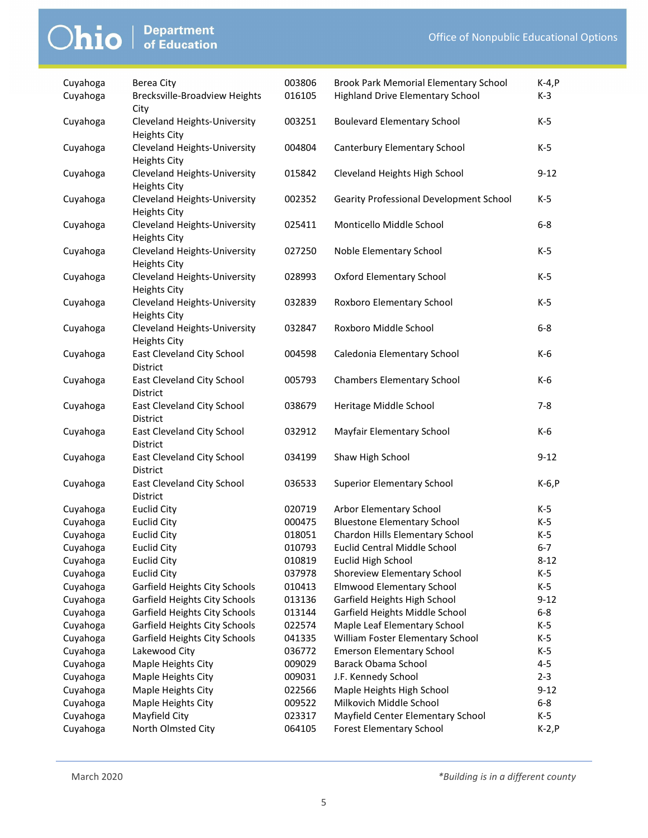| Cuyahoga | Berea City                                          | 003806 | Brook Park Memorial Elementary School          | $K-4, P$ |
|----------|-----------------------------------------------------|--------|------------------------------------------------|----------|
| Cuyahoga | <b>Brecksville-Broadview Heights</b><br>City        | 016105 | <b>Highland Drive Elementary School</b>        | $K-3$    |
| Cuyahoga | Cleveland Heights-University<br><b>Heights City</b> | 003251 | <b>Boulevard Elementary School</b>             | K-5      |
| Cuyahoga | Cleveland Heights-University<br><b>Heights City</b> | 004804 | Canterbury Elementary School                   | K-5      |
| Cuyahoga | Cleveland Heights-University<br><b>Heights City</b> | 015842 | Cleveland Heights High School                  | $9 - 12$ |
| Cuyahoga | Cleveland Heights-University<br><b>Heights City</b> | 002352 | <b>Gearity Professional Development School</b> | K-5      |
| Cuyahoga | Cleveland Heights-University<br><b>Heights City</b> | 025411 | Monticello Middle School                       | $6-8$    |
| Cuyahoga | Cleveland Heights-University<br><b>Heights City</b> | 027250 | Noble Elementary School                        | $K-5$    |
| Cuyahoga | Cleveland Heights-University<br><b>Heights City</b> | 028993 | <b>Oxford Elementary School</b>                | $K-5$    |
| Cuyahoga | Cleveland Heights-University<br><b>Heights City</b> | 032839 | Roxboro Elementary School                      | K-5      |
| Cuyahoga | Cleveland Heights-University<br><b>Heights City</b> | 032847 | Roxboro Middle School                          | $6-8$    |
| Cuyahoga | East Cleveland City School<br>District              | 004598 | Caledonia Elementary School                    | K-6      |
| Cuyahoga | East Cleveland City School<br>District              | 005793 | <b>Chambers Elementary School</b>              | K-6      |
| Cuyahoga | East Cleveland City School<br><b>District</b>       | 038679 | Heritage Middle School                         | $7-8$    |
| Cuyahoga | East Cleveland City School<br>District              | 032912 | Mayfair Elementary School                      | K-6      |
| Cuyahoga | East Cleveland City School<br>District              | 034199 | Shaw High School                               | $9 - 12$ |
| Cuyahoga | East Cleveland City School<br>District              | 036533 | <b>Superior Elementary School</b>              | $K-6, P$ |
| Cuyahoga | <b>Euclid City</b>                                  | 020719 | Arbor Elementary School                        | K-5      |
| Cuyahoga | <b>Euclid City</b>                                  | 000475 | <b>Bluestone Elementary School</b>             | K-5      |
| Cuyahoga | <b>Euclid City</b>                                  | 018051 | Chardon Hills Elementary School                | $K-5$    |
| Cuyahoga | Euclid City                                         | 010793 | Euclid Central Middle School                   | $6 - 7$  |
| Cuyahoga | <b>Euclid City</b>                                  | 010819 | Euclid High School                             | $8 - 12$ |
| Cuyahoga | <b>Euclid City</b>                                  | 037978 | Shoreview Elementary School                    | K-5      |
| Cuyahoga | Garfield Heights City Schools                       | 010413 | <b>Elmwood Elementary School</b>               | $K-5$    |
| Cuyahoga | Garfield Heights City Schools                       | 013136 | Garfield Heights High School                   | $9 - 12$ |
| Cuyahoga | Garfield Heights City Schools                       | 013144 | Garfield Heights Middle School                 | $6-8$    |
| Cuyahoga | Garfield Heights City Schools                       | 022574 | Maple Leaf Elementary School                   | $K-5$    |
| Cuyahoga | Garfield Heights City Schools                       | 041335 | William Foster Elementary School               | K-5      |
| Cuyahoga | Lakewood City                                       | 036772 | <b>Emerson Elementary School</b>               | $K-5$    |
| Cuyahoga | Maple Heights City                                  | 009029 | Barack Obama School                            | $4 - 5$  |
| Cuyahoga | Maple Heights City                                  | 009031 | J.F. Kennedy School                            | $2 - 3$  |
| Cuyahoga | Maple Heights City                                  | 022566 | Maple Heights High School                      | $9 - 12$ |
| Cuyahoga | Maple Heights City                                  | 009522 | Milkovich Middle School                        | $6 - 8$  |
| Cuyahoga | Mayfield City                                       | 023317 | Mayfield Center Elementary School              | $K-5$    |
| Cuyahoga | North Olmsted City                                  | 064105 | <b>Forest Elementary School</b>                | $K-2, P$ |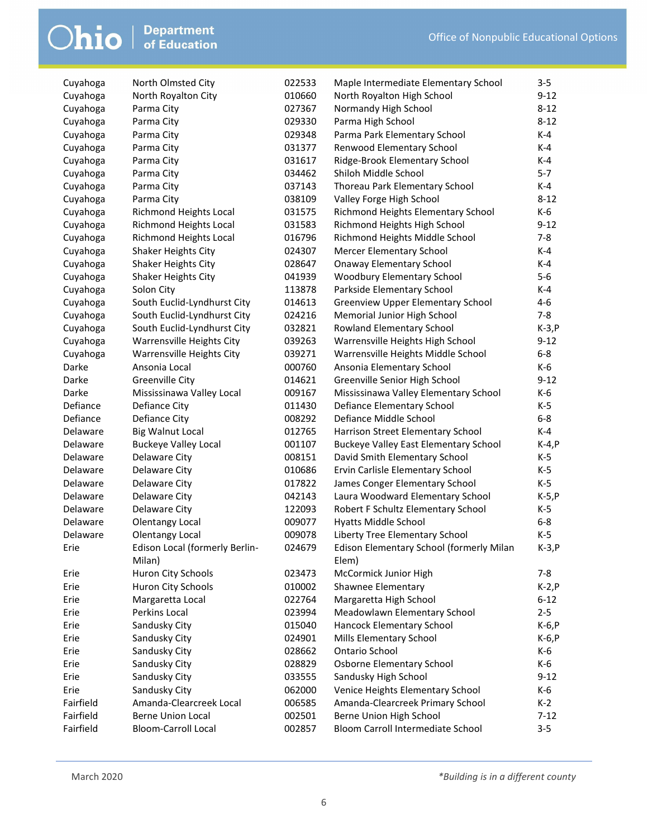| Cuyahoga  | North Olmsted City             | 022533 | Maple Intermediate Elementary School         | $3 - 5$  |
|-----------|--------------------------------|--------|----------------------------------------------|----------|
| Cuyahoga  | North Royalton City            | 010660 | North Royalton High School                   | $9 - 12$ |
| Cuyahoga  | Parma City                     | 027367 | Normandy High School                         | $8 - 12$ |
| Cuyahoga  | Parma City                     | 029330 | Parma High School                            | $8 - 12$ |
| Cuyahoga  | Parma City                     | 029348 | Parma Park Elementary School                 | $K-4$    |
| Cuyahoga  | Parma City                     | 031377 | Renwood Elementary School                    | $K-4$    |
| Cuyahoga  | Parma City                     | 031617 | Ridge-Brook Elementary School                | $K-4$    |
| Cuyahoga  | Parma City                     | 034462 | Shiloh Middle School                         | $5 - 7$  |
| Cuyahoga  | Parma City                     | 037143 | Thoreau Park Elementary School               | $K-4$    |
| Cuyahoga  | Parma City                     | 038109 | Valley Forge High School                     | $8 - 12$ |
| Cuyahoga  | <b>Richmond Heights Local</b>  | 031575 | Richmond Heights Elementary School           | K-6      |
| Cuyahoga  | Richmond Heights Local         | 031583 | Richmond Heights High School                 | $9 - 12$ |
| Cuyahoga  | Richmond Heights Local         | 016796 | Richmond Heights Middle School               | $7 - 8$  |
| Cuyahoga  | Shaker Heights City            | 024307 | Mercer Elementary School                     | $K-4$    |
| Cuyahoga  | Shaker Heights City            | 028647 | <b>Onaway Elementary School</b>              | $K-4$    |
| Cuyahoga  | Shaker Heights City            | 041939 | Woodbury Elementary School                   | $5 - 6$  |
| Cuyahoga  | Solon City                     | 113878 | Parkside Elementary School                   | $K-4$    |
| Cuyahoga  | South Euclid-Lyndhurst City    | 014613 | <b>Greenview Upper Elementary School</b>     | $4 - 6$  |
| Cuyahoga  | South Euclid-Lyndhurst City    | 024216 | Memorial Junior High School                  | $7 - 8$  |
| Cuyahoga  | South Euclid-Lyndhurst City    | 032821 | Rowland Elementary School                    | $K-3, P$ |
| Cuyahoga  | Warrensville Heights City      | 039263 | Warrensville Heights High School             | $9-12$   |
| Cuyahoga  | Warrensville Heights City      | 039271 | Warrensville Heights Middle School           | $6-8$    |
| Darke     | Ansonia Local                  | 000760 | Ansonia Elementary School                    | K-6      |
| Darke     | <b>Greenville City</b>         | 014621 | Greenville Senior High School                | $9 - 12$ |
| Darke     | Mississinawa Valley Local      | 009167 | Mississinawa Valley Elementary School        | K-6      |
| Defiance  | Defiance City                  | 011430 | Defiance Elementary School                   | K-5      |
| Defiance  | Defiance City                  | 008292 | Defiance Middle School                       | $6 - 8$  |
| Delaware  | <b>Big Walnut Local</b>        | 012765 | Harrison Street Elementary School            | $K-4$    |
| Delaware  | <b>Buckeye Valley Local</b>    | 001107 | <b>Buckeye Valley East Elementary School</b> | K-4, P   |
| Delaware  | Delaware City                  | 008151 | David Smith Elementary School                | $K-5$    |
| Delaware  | Delaware City                  | 010686 | Ervin Carlisle Elementary School             | K-5      |
| Delaware  | Delaware City                  | 017822 | James Conger Elementary School               | K-5      |
| Delaware  | Delaware City                  | 042143 | Laura Woodward Elementary School             | $K-5, P$ |
| Delaware  | Delaware City                  | 122093 | Robert F Schultz Elementary School           | $K-5$    |
| Delaware  | <b>Olentangy Local</b>         | 009077 | Hyatts Middle School                         | $6-8$    |
| Delaware  | <b>Olentangy Local</b>         | 009078 | Liberty Tree Elementary School               | $K-5$    |
| Erie      | Edison Local (formerly Berlin- | 024679 | Edison Elementary School (formerly Milan     | $K-3,P$  |
|           | Milan)                         |        | Elem)                                        |          |
| Erie      | Huron City Schools             | 023473 | McCormick Junior High                        | $7 - 8$  |
| Erie      | Huron City Schools             | 010002 | Shawnee Elementary                           | $K-2, P$ |
| Erie      | Margaretta Local               | 022764 | Margaretta High School                       | $6 - 12$ |
| Erie      | Perkins Local                  | 023994 | Meadowlawn Elementary School                 | $2 - 5$  |
| Erie      | Sandusky City                  | 015040 | Hancock Elementary School                    | $K-6, P$ |
| Erie      | Sandusky City                  | 024901 | Mills Elementary School                      | K-6, P   |
| Erie      | Sandusky City                  | 028662 | Ontario School                               | K-6      |
| Erie      | Sandusky City                  | 028829 | Osborne Elementary School                    | K-6      |
| Erie      | Sandusky City                  | 033555 | Sandusky High School                         | $9 - 12$ |
| Erie      | Sandusky City                  | 062000 | Venice Heights Elementary School             | K-6      |
| Fairfield | Amanda-Clearcreek Local        | 006585 | Amanda-Clearcreek Primary School             | $K-2$    |
| Fairfield | <b>Berne Union Local</b>       | 002501 | Berne Union High School                      | $7 - 12$ |
| Fairfield | <b>Bloom-Carroll Local</b>     | 002857 | Bloom Carroll Intermediate School            | $3 - 5$  |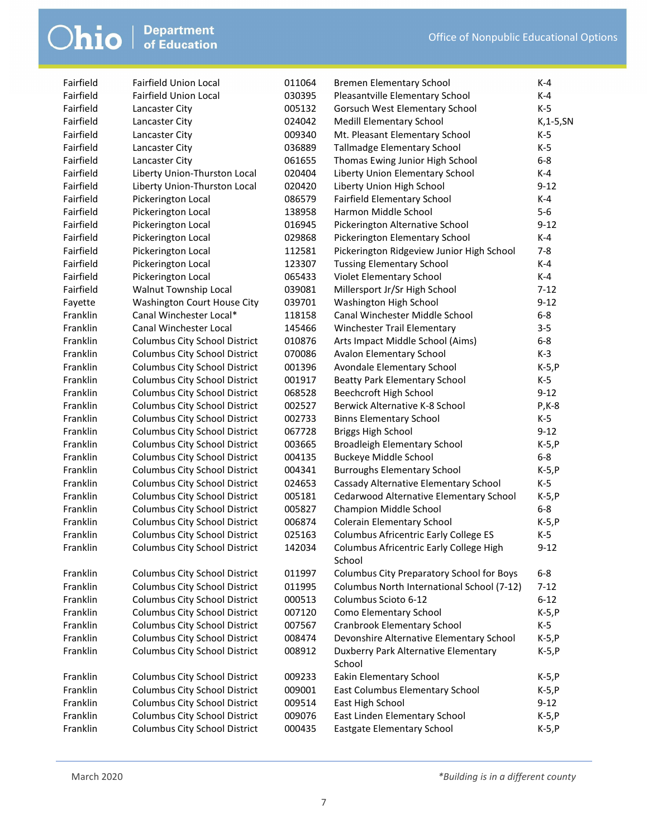| Fairfield | <b>Fairfield Union Local</b>         | 011064 | <b>Bremen Elementary School</b>            | K-4           |
|-----------|--------------------------------------|--------|--------------------------------------------|---------------|
| Fairfield | <b>Fairfield Union Local</b>         | 030395 | Pleasantville Elementary School            | $K-4$         |
| Fairfield | Lancaster City                       | 005132 | Gorsuch West Elementary School             | $K-5$         |
| Fairfield | Lancaster City                       | 024042 | <b>Medill Elementary School</b>            | $K$ , 1-5, SN |
| Fairfield | Lancaster City                       | 009340 | Mt. Pleasant Elementary School             | K-5           |
| Fairfield | Lancaster City                       | 036889 | Tallmadge Elementary School                | $K-5$         |
| Fairfield | Lancaster City                       | 061655 | Thomas Ewing Junior High School            | $6 - 8$       |
| Fairfield | Liberty Union-Thurston Local         | 020404 | Liberty Union Elementary School            | $K-4$         |
| Fairfield | Liberty Union-Thurston Local         | 020420 | Liberty Union High School                  | $9 - 12$      |
| Fairfield | Pickerington Local                   | 086579 | Fairfield Elementary School                | K-4           |
| Fairfield | Pickerington Local                   | 138958 | Harmon Middle School                       | $5-6$         |
| Fairfield | Pickerington Local                   | 016945 | Pickerington Alternative School            | $9 - 12$      |
| Fairfield | Pickerington Local                   | 029868 | Pickerington Elementary School             | K-4           |
| Fairfield | Pickerington Local                   | 112581 | Pickerington Ridgeview Junior High School  | $7 - 8$       |
| Fairfield | Pickerington Local                   | 123307 | <b>Tussing Elementary School</b>           | $K-4$         |
| Fairfield | Pickerington Local                   | 065433 | Violet Elementary School                   | $K-4$         |
| Fairfield | Walnut Township Local                | 039081 | Millersport Jr/Sr High School              | $7 - 12$      |
| Fayette   | <b>Washington Court House City</b>   | 039701 | Washington High School                     | $9 - 12$      |
| Franklin  | Canal Winchester Local*              | 118158 | Canal Winchester Middle School             | $6 - 8$       |
| Franklin  | Canal Winchester Local               | 145466 | Winchester Trail Elementary                | $3 - 5$       |
| Franklin  | Columbus City School District        | 010876 | Arts Impact Middle School (Aims)           | $6 - 8$       |
| Franklin  | Columbus City School District        | 070086 | Avalon Elementary School                   | $K-3$         |
| Franklin  | Columbus City School District        | 001396 | Avondale Elementary School                 | $K-5, P$      |
| Franklin  | Columbus City School District        | 001917 | Beatty Park Elementary School              | $K-5$         |
| Franklin  | Columbus City School District        | 068528 | Beechcroft High School                     | $9 - 12$      |
| Franklin  | Columbus City School District        | 002527 | Berwick Alternative K-8 School             | $P$ , K-8     |
| Franklin  | Columbus City School District        | 002733 | <b>Binns Elementary School</b>             | K-5           |
| Franklin  | Columbus City School District        | 067728 | <b>Briggs High School</b>                  | $9 - 12$      |
| Franklin  | Columbus City School District        | 003665 | Broadleigh Elementary School               | $K-5, P$      |
| Franklin  | Columbus City School District        | 004135 | <b>Buckeye Middle School</b>               | $6 - 8$       |
| Franklin  | Columbus City School District        | 004341 | <b>Burroughs Elementary School</b>         | $K-5, P$      |
| Franklin  | Columbus City School District        | 024653 | Cassady Alternative Elementary School      | $K-5$         |
| Franklin  | Columbus City School District        | 005181 | Cedarwood Alternative Elementary School    | $K-5, P$      |
| Franklin  | Columbus City School District        | 005827 | Champion Middle School                     | $6 - 8$       |
| Franklin  | Columbus City School District        | 006874 | Colerain Elementary School                 | $K-5, P$      |
| Franklin  | Columbus City School District        | 025163 | Columbus Africentric Early College ES      | $K-5$         |
| Franklin  | Columbus City School District        | 142034 | Columbus Africentric Early College High    | $9 - 12$      |
|           |                                      |        | School                                     |               |
| Franklin  | Columbus City School District        | 011997 | Columbus City Preparatory School for Boys  | $6 - 8$       |
| Franklin  | Columbus City School District        | 011995 | Columbus North International School (7-12) | $7 - 12$      |
| Franklin  | Columbus City School District        | 000513 | Columbus Scioto 6-12                       | $6 - 12$      |
| Franklin  | Columbus City School District        | 007120 | Como Elementary School                     | $K-5, P$      |
| Franklin  | <b>Columbus City School District</b> | 007567 | <b>Cranbrook Elementary School</b>         | $K-5$         |
| Franklin  | <b>Columbus City School District</b> | 008474 | Devonshire Alternative Elementary School   | $K-5, P$      |
| Franklin  | Columbus City School District        | 008912 | Duxberry Park Alternative Elementary       | $K-5, P$      |
|           |                                      |        | School                                     |               |
| Franklin  | Columbus City School District        | 009233 | Eakin Elementary School                    | $K-5, P$      |
| Franklin  | <b>Columbus City School District</b> | 009001 | East Columbus Elementary School            | $K-5, P$      |
| Franklin  | Columbus City School District        | 009514 | East High School                           | $9-12$        |
| Franklin  | Columbus City School District        | 009076 | East Linden Elementary School              | $K-5, P$      |
| Franklin  | Columbus City School District        | 000435 | Eastgate Elementary School                 | $K-5, P$      |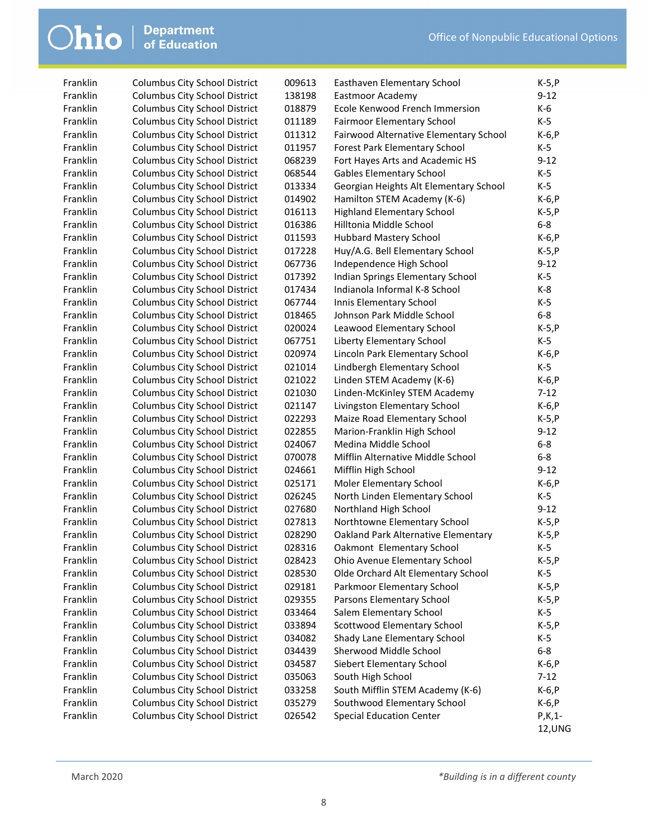| Franklin | <b>Columbus City School District</b> | 009613 | Easthaven Elementary School            | $K-5, P$ |
|----------|--------------------------------------|--------|----------------------------------------|----------|
| Franklin | <b>Columbus City School District</b> | 138198 | Eastmoor Academy                       | $9 - 12$ |
| Franklin | <b>Columbus City School District</b> | 018879 | Ecole Kenwood French Immersion         | $K-6$    |
| Franklin | Columbus City School District        | 011189 | Fairmoor Elementary School             | $K-5$    |
| Franklin | Columbus City School District        | 011312 | Fairwood Alternative Elementary School | $K-6, P$ |
| Franklin | Columbus City School District        | 011957 | Forest Park Elementary School          | K-5      |
| Franklin | Columbus City School District        | 068239 | Fort Hayes Arts and Academic HS        | $9 - 12$ |
| Franklin | Columbus City School District        | 068544 | <b>Gables Elementary School</b>        | $K-5$    |
| Franklin | Columbus City School District        | 013334 | Georgian Heights Alt Elementary School | $K-5$    |
| Franklin | Columbus City School District        | 014902 | Hamilton STEM Academy (K-6)            | $K-6, P$ |
| Franklin | <b>Columbus City School District</b> | 016113 | <b>Highland Elementary School</b>      | $K-5, P$ |
| Franklin | <b>Columbus City School District</b> | 016386 | Hilltonia Middle School                | $6-8$    |
| Franklin | Columbus City School District        | 011593 | <b>Hubbard Mastery School</b>          | $K-6, P$ |
| Franklin | Columbus City School District        | 017228 | Huy/A.G. Bell Elementary School        | $K-5, P$ |
| Franklin | <b>Columbus City School District</b> | 067736 | Independence High School               | $9 - 12$ |
| Franklin | <b>Columbus City School District</b> | 017392 | Indian Springs Elementary School       | $K-5$    |
| Franklin | <b>Columbus City School District</b> | 017434 | Indianola Informal K-8 School          | K-8      |
| Franklin | <b>Columbus City School District</b> | 067744 | Innis Elementary School                | $K-5$    |
| Franklin | <b>Columbus City School District</b> | 018465 | Johnson Park Middle School             | $6-8$    |
| Franklin | <b>Columbus City School District</b> | 020024 | Leawood Elementary School              | $K-5, P$ |
| Franklin | <b>Columbus City School District</b> | 067751 | Liberty Elementary School              | $K-5$    |
| Franklin | Columbus City School District        | 020974 | Lincoln Park Elementary School         | $K-6, P$ |
| Franklin | Columbus City School District        | 021014 | Lindbergh Elementary School            | $K-5$    |
| Franklin | Columbus City School District        | 021022 | Linden STEM Academy (K-6)              | $K-6, P$ |
| Franklin | <b>Columbus City School District</b> | 021030 | Linden-McKinley STEM Academy           | $7 - 12$ |
| Franklin | <b>Columbus City School District</b> | 021147 | Livingston Elementary School           | $K-6, P$ |
| Franklin | <b>Columbus City School District</b> | 022293 | Maize Road Elementary School           | $K-5, P$ |
| Franklin | <b>Columbus City School District</b> | 022855 | Marion-Franklin High School            | $9 - 12$ |
| Franklin | <b>Columbus City School District</b> | 024067 | Medina Middle School                   | $6-8$    |
| Franklin | Columbus City School District        | 070078 | Mifflin Alternative Middle School      | $6-8$    |
| Franklin | Columbus City School District        | 024661 | Mifflin High School                    | $9 - 12$ |
| Franklin | Columbus City School District        | 025171 | Moler Elementary School                | $K-6, P$ |
| Franklin | <b>Columbus City School District</b> | 026245 | North Linden Elementary School         | K-5      |
| Franklin | <b>Columbus City School District</b> | 027680 | Northland High School                  | $9 - 12$ |
| Franklin | <b>Columbus City School District</b> | 027813 | Northtowne Elementary School           | $K-5, P$ |
| Franklin | <b>Columbus City School District</b> | 028290 | Oakland Park Alternative Elementary    | $K-5, P$ |
| Franklin | <b>Columbus City School District</b> | 028316 | Oakmont Elementary School              | $K-5$    |
| Franklin | <b>Columbus City School District</b> | 028423 | Ohio Avenue Elementary School          | $K-5, P$ |
| Franklin | Columbus City School District        | 028530 | Olde Orchard Alt Elementary School     | K-5      |
| Franklin | <b>Columbus City School District</b> | 029181 | Parkmoor Elementary School             | $K-5, P$ |
| Franklin | <b>Columbus City School District</b> | 029355 | Parsons Elementary School              | $K-5, P$ |
| Franklin | Columbus City School District        | 033464 | Salem Elementary School                | K-5      |
| Franklin | Columbus City School District        | 033894 | Scottwood Elementary School            | $K-5, P$ |
| Franklin | Columbus City School District        | 034082 | Shady Lane Elementary School           | K-5      |
| Franklin | Columbus City School District        | 034439 | Sherwood Middle School                 | $6-8$    |
| Franklin | Columbus City School District        | 034587 | Siebert Elementary School              | $K-6, P$ |
| Franklin | <b>Columbus City School District</b> | 035063 | South High School                      | $7 - 12$ |
| Franklin | <b>Columbus City School District</b> | 033258 | South Mifflin STEM Academy (K-6)       | $K-6, P$ |
| Franklin | <b>Columbus City School District</b> | 035279 | Southwood Elementary School            | $K-6, P$ |
| Franklin | <b>Columbus City School District</b> | 026542 | <b>Special Education Center</b>        | $P,K,1-$ |
|          |                                      |        |                                        | 12, UNG  |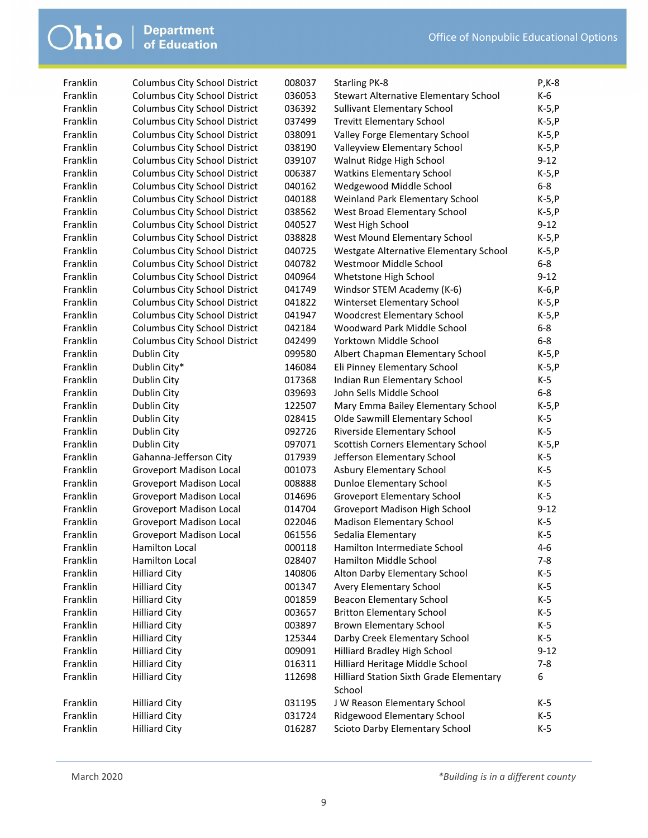| $\bigcirc$ hio $\big $ Department | Department |
|-----------------------------------|------------|
|                                   |            |

| Franklin | <b>Columbus City School District</b> | 008037 | <b>Starling PK-8</b>                         | $P$ , K-8         |
|----------|--------------------------------------|--------|----------------------------------------------|-------------------|
| Franklin | <b>Columbus City School District</b> | 036053 | <b>Stewart Alternative Elementary School</b> | K-6               |
| Franklin | <b>Columbus City School District</b> | 036392 | <b>Sullivant Elementary School</b>           | $K-5, P$          |
| Franklin | <b>Columbus City School District</b> | 037499 | <b>Trevitt Elementary School</b>             | $K-5, P$          |
| Franklin | Columbus City School District        | 038091 | Valley Forge Elementary School               | $K-5, P$          |
| Franklin | <b>Columbus City School District</b> | 038190 | Valleyview Elementary School                 | $K-5, P$          |
| Franklin | Columbus City School District        | 039107 | Walnut Ridge High School                     | $9-12$            |
| Franklin | <b>Columbus City School District</b> | 006387 | <b>Watkins Elementary School</b>             | $K-5, P$          |
| Franklin | Columbus City School District        | 040162 | Wedgewood Middle School                      | $6-8$             |
| Franklin | <b>Columbus City School District</b> | 040188 | Weinland Park Elementary School              | $K-5, P$          |
| Franklin | Columbus City School District        | 038562 | West Broad Elementary School                 | $K-5, P$          |
| Franklin | Columbus City School District        | 040527 | West High School                             | $9 - 12$          |
| Franklin | Columbus City School District        | 038828 | West Mound Elementary School                 | $K-5, P$          |
| Franklin | Columbus City School District        | 040725 | Westgate Alternative Elementary School       | $K-5, P$          |
| Franklin | Columbus City School District        | 040782 | Westmoor Middle School                       | $6-8$             |
| Franklin | Columbus City School District        | 040964 | Whetstone High School                        | $9-12$            |
| Franklin | Columbus City School District        | 041749 | Windsor STEM Academy (K-6)                   | $K-6, P$          |
| Franklin | Columbus City School District        | 041822 | Winterset Elementary School                  | $K-5, P$          |
| Franklin | Columbus City School District        | 041947 | <b>Woodcrest Elementary School</b>           | $K-5, P$          |
| Franklin | <b>Columbus City School District</b> | 042184 | Woodward Park Middle School                  | $6-8$             |
| Franklin | <b>Columbus City School District</b> | 042499 | Yorktown Middle School                       | $6-8$             |
| Franklin | Dublin City                          | 099580 | Albert Chapman Elementary School             | $K-5, P$          |
| Franklin | Dublin City*                         | 146084 | Eli Pinney Elementary School                 | $K-5, P$          |
| Franklin | Dublin City                          | 017368 | Indian Run Elementary School                 | $K-5$             |
| Franklin | Dublin City                          | 039693 | John Sells Middle School                     | $6 - 8$           |
| Franklin | Dublin City                          | 122507 | Mary Emma Bailey Elementary School           | $K-5, P$          |
| Franklin | Dublin City                          | 028415 | Olde Sawmill Elementary School               | K-5               |
| Franklin | Dublin City                          | 092726 | Riverside Elementary School                  | K-5               |
| Franklin | Dublin City                          | 097071 | Scottish Corners Elementary School           | $K-5, P$          |
| Franklin | Gahanna-Jefferson City               | 017939 | Jefferson Elementary School                  | $K-5$             |
| Franklin | <b>Groveport Madison Local</b>       | 001073 | Asbury Elementary School                     | K-5               |
| Franklin |                                      | 008888 |                                              | $K-5$             |
| Franklin | <b>Groveport Madison Local</b>       |        | <b>Dunloe Elementary School</b>              | $K-5$             |
|          | <b>Groveport Madison Local</b>       | 014696 | <b>Groveport Elementary School</b>           |                   |
| Franklin | <b>Groveport Madison Local</b>       | 014704 | Groveport Madison High School                | $9 - 12$<br>$K-5$ |
| Franklin | <b>Groveport Madison Local</b>       | 022046 | <b>Madison Elementary School</b>             |                   |
| Franklin | <b>Groveport Madison Local</b>       | 061556 | Sedalia Elementary                           | $K-5$             |
| Franklin | Hamilton Local                       | 000118 | Hamilton Intermediate School                 | $4 - 6$           |
| Franklin | Hamilton Local                       | 028407 | Hamilton Middle School                       | $7 - 8$           |
| Franklin | <b>Hilliard City</b>                 | 140806 | Alton Darby Elementary School                | $K-5$             |
| Franklin | <b>Hilliard City</b>                 | 001347 | Avery Elementary School                      | $K-5$             |
| Franklin | <b>Hilliard City</b>                 | 001859 | <b>Beacon Elementary School</b>              | $K-5$             |
| Franklin | <b>Hilliard City</b>                 | 003657 | <b>Britton Elementary School</b>             | $K-5$             |
| Franklin | <b>Hilliard City</b>                 | 003897 | <b>Brown Elementary School</b>               | $K-5$             |
| Franklin | <b>Hilliard City</b>                 | 125344 | Darby Creek Elementary School                | $K-5$             |
| Franklin | <b>Hilliard City</b>                 | 009091 | Hilliard Bradley High School                 | $9 - 12$          |
| Franklin | <b>Hilliard City</b>                 | 016311 | Hilliard Heritage Middle School              | $7 - 8$           |
| Franklin | <b>Hilliard City</b>                 | 112698 | Hilliard Station Sixth Grade Elementary      | 6                 |
|          |                                      |        | School                                       |                   |
| Franklin | <b>Hilliard City</b>                 | 031195 | J W Reason Elementary School                 | K-5               |
| Franklin | <b>Hilliard City</b>                 | 031724 | Ridgewood Elementary School                  | K-5               |
| Franklin | <b>Hilliard City</b>                 | 016287 | Scioto Darby Elementary School               | $K-5$             |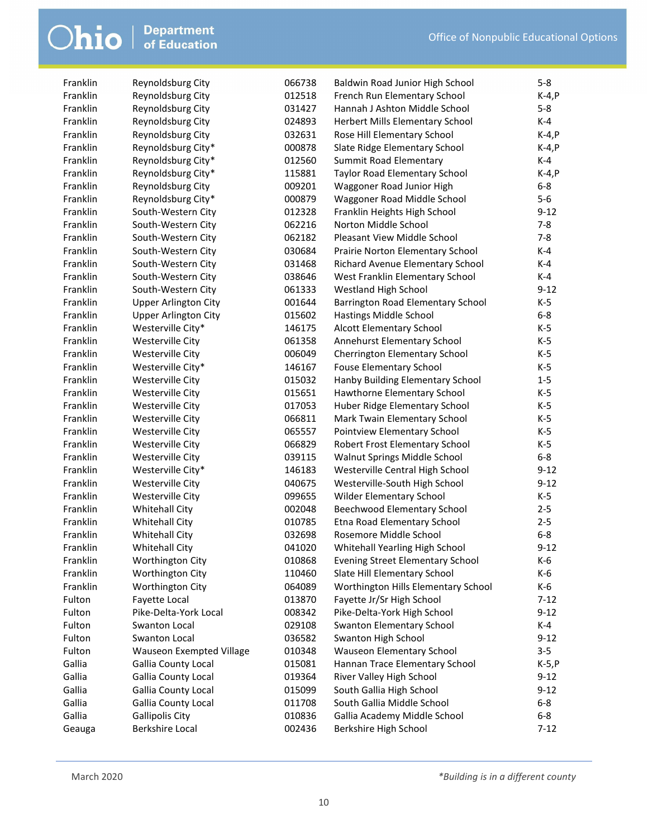| Franklin | Reynoldsburg City           | 066738 | Baldwin Road Junior High School         | $5 - 8$    |
|----------|-----------------------------|--------|-----------------------------------------|------------|
| Franklin | Reynoldsburg City           | 012518 | French Run Elementary School            | $K-4,P$    |
| Franklin | Reynoldsburg City           | 031427 | Hannah J Ashton Middle School           | $5 - 8$    |
| Franklin | Reynoldsburg City           | 024893 | Herbert Mills Elementary School         | $K-4$      |
| Franklin | Reynoldsburg City           | 032631 | Rose Hill Elementary School             | $K-4, P$   |
| Franklin | Reynoldsburg City*          | 000878 | Slate Ridge Elementary School           | $K-4, P$   |
| Franklin | Reynoldsburg City*          | 012560 | Summit Road Elementary                  | K-4        |
| Franklin | Reynoldsburg City*          | 115881 | Taylor Road Elementary School           | $K-4, P$   |
| Franklin | Reynoldsburg City           | 009201 | Waggoner Road Junior High               | $6-8$      |
| Franklin | Reynoldsburg City*          | 000879 | Waggoner Road Middle School             | $5-6$      |
| Franklin | South-Western City          | 012328 | Franklin Heights High School            | $9 - 12$   |
| Franklin | South-Western City          | 062216 | Norton Middle School                    | $7 - 8$    |
| Franklin | South-Western City          | 062182 | Pleasant View Middle School             | $7 - 8$    |
| Franklin | South-Western City          | 030684 | Prairie Norton Elementary School        | K-4        |
| Franklin | South-Western City          | 031468 | Richard Avenue Elementary School        | $K-4$      |
| Franklin | South-Western City          | 038646 | West Franklin Elementary School         | K-4        |
| Franklin | South-Western City          | 061333 | Westland High School                    | $9 - 12$   |
| Franklin | <b>Upper Arlington City</b> | 001644 | Barrington Road Elementary School       | $K-5$      |
| Franklin | <b>Upper Arlington City</b> | 015602 | Hastings Middle School                  | $6-8$      |
| Franklin | Westerville City*           | 146175 | Alcott Elementary School                | $K-5$      |
| Franklin | Westerville City            | 061358 | Annehurst Elementary School             | $K-5$      |
| Franklin | Westerville City            | 006049 | Cherrington Elementary School           | $K-5$      |
| Franklin | Westerville City*           | 146167 | <b>Fouse Elementary School</b>          | $K-5$      |
| Franklin | Westerville City            | 015032 | Hanby Building Elementary School        | $1-5$      |
| Franklin | Westerville City            | 015651 | Hawthorne Elementary School             | $K-5$      |
| Franklin | Westerville City            | 017053 | Huber Ridge Elementary School           | $K-5$      |
| Franklin | Westerville City            | 066811 | Mark Twain Elementary School            | $K-5$      |
| Franklin | Westerville City            | 065557 | Pointview Elementary School             | $K-5$      |
| Franklin | Westerville City            | 066829 | Robert Frost Elementary School          | $K-5$      |
| Franklin | Westerville City            | 039115 | Walnut Springs Middle School            | $6 - 8$    |
| Franklin | Westerville City*           | 146183 | Westerville Central High School         | $9 - 12$   |
| Franklin | Westerville City            | 040675 | Westerville-South High School           | $9 - 12$   |
| Franklin | Westerville City            | 099655 | Wilder Elementary School                | $K-5$      |
| Franklin | <b>Whitehall City</b>       | 002048 | Beechwood Elementary School             | $2 - 5$    |
| Franklin | <b>Whitehall City</b>       | 010785 | Etna Road Elementary School             | $2 - 5$    |
| Franklin | <b>Whitehall City</b>       | 032698 | Rosemore Middle School                  | $6-8$      |
| Franklin | <b>Whitehall City</b>       | 041020 |                                         | $9 - 12$   |
| Franklin |                             |        | Whitehall Yearling High School          |            |
| Franklin | <b>Worthington City</b>     | 010868 | <b>Evening Street Elementary School</b> | K-6<br>K-6 |
| Franklin | Worthington City            | 110460 | Slate Hill Elementary School            |            |
|          | Worthington City            | 064089 | Worthington Hills Elementary School     | K-6        |
| Fulton   | Fayette Local               | 013870 | Fayette Jr/Sr High School               | $7 - 12$   |
| Fulton   | Pike-Delta-York Local       | 008342 | Pike-Delta-York High School             | $9 - 12$   |
| Fulton   | Swanton Local               | 029108 | <b>Swanton Elementary School</b>        | K-4        |
| Fulton   | Swanton Local               | 036582 | Swanton High School                     | $9 - 12$   |
| Fulton   | Wauseon Exempted Village    | 010348 | Wauseon Elementary School               | $3 - 5$    |
| Gallia   | Gallia County Local         | 015081 | Hannan Trace Elementary School          | K-5, P     |
| Gallia   | Gallia County Local         | 019364 | River Valley High School                | $9-12$     |
| Gallia   | Gallia County Local         | 015099 | South Gallia High School                | $9 - 12$   |
| Gallia   | Gallia County Local         | 011708 | South Gallia Middle School              | $6-8$      |
| Gallia   | <b>Gallipolis City</b>      | 010836 | Gallia Academy Middle School            | $6-8$      |
| Geauga   | <b>Berkshire Local</b>      | 002436 | Berkshire High School                   | $7-12$     |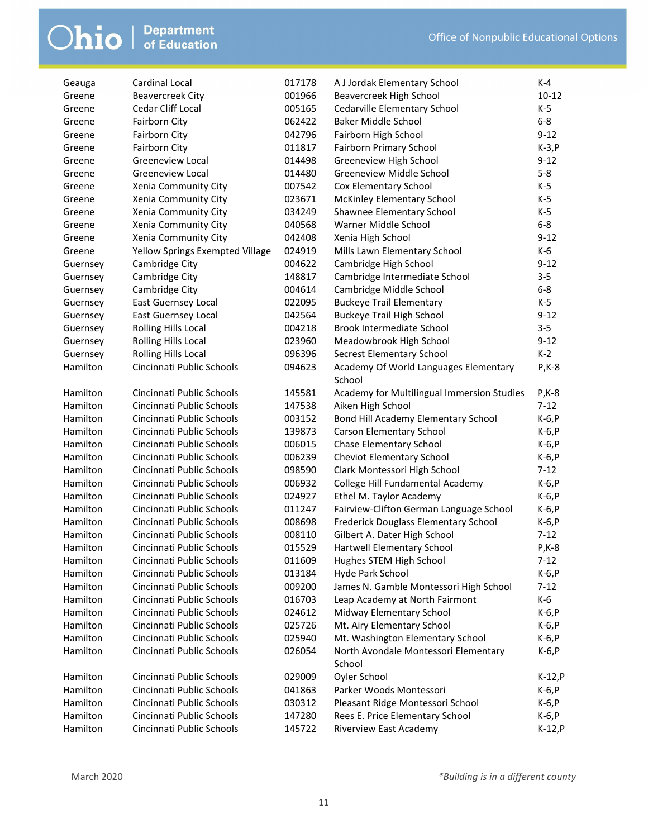| Geauga   | Cardinal Local                  | 017178 | A J Jordak Elementary School               | $K-4$     |
|----------|---------------------------------|--------|--------------------------------------------|-----------|
| Greene   | <b>Beavercreek City</b>         | 001966 | Beavercreek High School                    | $10 - 12$ |
| Greene   | Cedar Cliff Local               | 005165 | Cedarville Elementary School               | $K-5$     |
| Greene   | <b>Fairborn City</b>            | 062422 | Baker Middle School                        | $6-8$     |
| Greene   | <b>Fairborn City</b>            | 042796 | Fairborn High School                       | $9 - 12$  |
| Greene   | <b>Fairborn City</b>            | 011817 | Fairborn Primary School                    | $K-3, P$  |
| Greene   | <b>Greeneview Local</b>         | 014498 | Greeneview High School                     | $9 - 12$  |
| Greene   | <b>Greeneview Local</b>         | 014480 | Greeneview Middle School                   | $5 - 8$   |
| Greene   | Xenia Community City            | 007542 | Cox Elementary School                      | K-5       |
| Greene   | Xenia Community City            | 023671 | <b>McKinley Elementary School</b>          | $K-5$     |
| Greene   | Xenia Community City            | 034249 | Shawnee Elementary School                  | K-5       |
| Greene   | Xenia Community City            | 040568 | Warner Middle School                       | $6 - 8$   |
| Greene   | Xenia Community City            | 042408 | Xenia High School                          | $9 - 12$  |
| Greene   | Yellow Springs Exempted Village | 024919 | Mills Lawn Elementary School               | K-6       |
| Guernsey | Cambridge City                  | 004622 | Cambridge High School                      | $9 - 12$  |
| Guernsey | Cambridge City                  | 148817 | Cambridge Intermediate School              | $3 - 5$   |
| Guernsey | Cambridge City                  | 004614 | Cambridge Middle School                    | $6-8$     |
| Guernsey | <b>East Guernsey Local</b>      | 022095 | <b>Buckeye Trail Elementary</b>            | K-5       |
| Guernsey | <b>East Guernsey Local</b>      | 042564 | <b>Buckeye Trail High School</b>           | $9 - 12$  |
| Guernsey | Rolling Hills Local             | 004218 | Brook Intermediate School                  | $3 - 5$   |
| Guernsey | Rolling Hills Local             | 023960 | Meadowbrook High School                    | $9 - 12$  |
| Guernsey | Rolling Hills Local             | 096396 | Secrest Elementary School                  | $K-2$     |
| Hamilton | Cincinnati Public Schools       | 094623 | Academy Of World Languages Elementary      | $P$ , K-8 |
|          |                                 |        | School                                     |           |
| Hamilton | Cincinnati Public Schools       | 145581 | Academy for Multilingual Immersion Studies | $P$ , K-8 |
| Hamilton | Cincinnati Public Schools       | 147538 | Aiken High School                          | $7 - 12$  |
| Hamilton | Cincinnati Public Schools       | 003152 | Bond Hill Academy Elementary School        | $K-6, P$  |
| Hamilton | Cincinnati Public Schools       | 139873 | <b>Carson Elementary School</b>            | $K-6, P$  |
| Hamilton | Cincinnati Public Schools       | 006015 | <b>Chase Elementary School</b>             | $K-6, P$  |
| Hamilton | Cincinnati Public Schools       | 006239 | Cheviot Elementary School                  | $K-6, P$  |
| Hamilton | Cincinnati Public Schools       | 098590 | Clark Montessori High School               | $7 - 12$  |
| Hamilton | Cincinnati Public Schools       | 006932 | College Hill Fundamental Academy           | $K-6, P$  |
| Hamilton | Cincinnati Public Schools       | 024927 | Ethel M. Taylor Academy                    | $K-6, P$  |
| Hamilton | Cincinnati Public Schools       | 011247 | Fairview-Clifton German Language School    | $K-6, P$  |
| Hamilton | Cincinnati Public Schools       | 008698 | Frederick Douglass Elementary School       | $K-6, P$  |
| Hamilton | Cincinnati Public Schools       | 008110 | Gilbert A. Dater High School               | $7 - 12$  |
| Hamilton | Cincinnati Public Schools       | 015529 | Hartwell Elementary School                 | P, K-8    |
| Hamilton | Cincinnati Public Schools       | 011609 | Hughes STEM High School                    | $7 - 12$  |
| Hamilton | Cincinnati Public Schools       | 013184 | Hyde Park School                           | $K-6, P$  |
| Hamilton | Cincinnati Public Schools       | 009200 | James N. Gamble Montessori High School     | $7-12$    |
| Hamilton | Cincinnati Public Schools       | 016703 | Leap Academy at North Fairmont             | K-6       |
| Hamilton | Cincinnati Public Schools       | 024612 | Midway Elementary School                   | $K-6, P$  |
| Hamilton | Cincinnati Public Schools       | 025726 | Mt. Airy Elementary School                 | K-6, P    |
| Hamilton | Cincinnati Public Schools       | 025940 | Mt. Washington Elementary School           | $K-6, P$  |
| Hamilton | Cincinnati Public Schools       | 026054 | North Avondale Montessori Elementary       | $K-6, P$  |
|          |                                 |        | School                                     |           |
| Hamilton | Cincinnati Public Schools       | 029009 | Oyler School                               | $K-12, P$ |
| Hamilton | Cincinnati Public Schools       | 041863 | Parker Woods Montessori                    | K-6, P    |
| Hamilton | Cincinnati Public Schools       | 030312 | Pleasant Ridge Montessori School           | K-6, P    |
| Hamilton | Cincinnati Public Schools       | 147280 | Rees E. Price Elementary School            | K-6, P    |
| Hamilton | Cincinnati Public Schools       | 145722 | <b>Riverview East Academy</b>              | $K-12, P$ |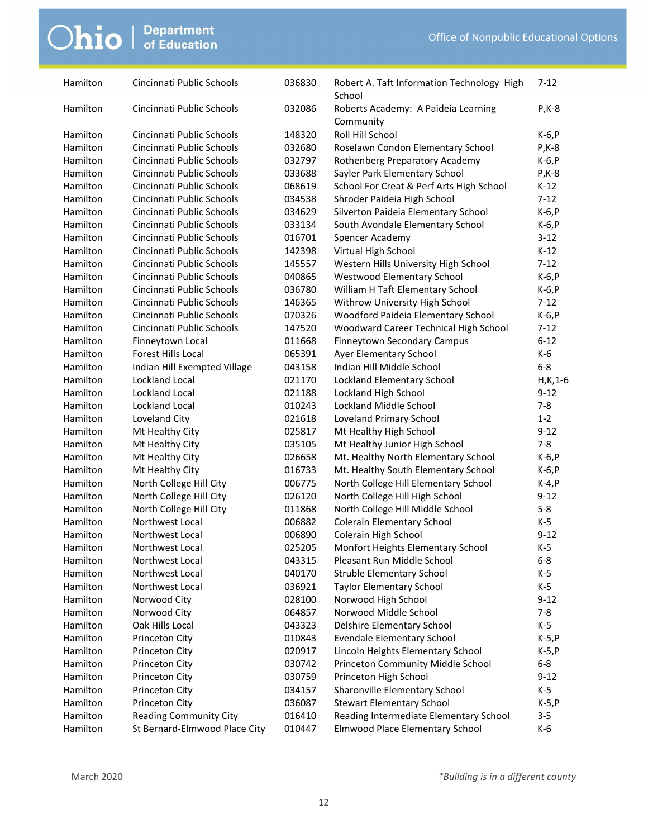| Hamilton | Cincinnati Public Schools     | 036830 | Robert A. Taft Information Technology High<br>School | $7 - 12$     |
|----------|-------------------------------|--------|------------------------------------------------------|--------------|
| Hamilton | Cincinnati Public Schools     | 032086 | Roberts Academy: A Paideia Learning<br>Community     | $P$ , K-8    |
| Hamilton | Cincinnati Public Schools     | 148320 | Roll Hill School                                     | $K-6, P$     |
| Hamilton | Cincinnati Public Schools     | 032680 | Roselawn Condon Elementary School                    | $P$ , K-8    |
| Hamilton | Cincinnati Public Schools     | 032797 | Rothenberg Preparatory Academy                       | $K-6, P$     |
| Hamilton | Cincinnati Public Schools     | 033688 | Sayler Park Elementary School                        | $P$ , K-8    |
| Hamilton | Cincinnati Public Schools     | 068619 | School For Creat & Perf Arts High School             | $K-12$       |
| Hamilton | Cincinnati Public Schools     | 034538 | Shroder Paideia High School                          | $7 - 12$     |
| Hamilton | Cincinnati Public Schools     | 034629 | Silverton Paideia Elementary School                  | $K-6, P$     |
| Hamilton | Cincinnati Public Schools     | 033134 | South Avondale Elementary School                     | $K-6, P$     |
| Hamilton | Cincinnati Public Schools     | 016701 | Spencer Academy                                      | $3 - 12$     |
| Hamilton | Cincinnati Public Schools     | 142398 | Virtual High School                                  | $K-12$       |
| Hamilton | Cincinnati Public Schools     | 145557 | Western Hills University High School                 | $7 - 12$     |
| Hamilton | Cincinnati Public Schools     | 040865 | Westwood Elementary School                           | $K-6, P$     |
| Hamilton | Cincinnati Public Schools     | 036780 | William H Taft Elementary School                     | $K-6, P$     |
| Hamilton | Cincinnati Public Schools     | 146365 | Withrow University High School                       | $7 - 12$     |
| Hamilton | Cincinnati Public Schools     | 070326 | Woodford Paideia Elementary School                   | $K-6, P$     |
| Hamilton | Cincinnati Public Schools     | 147520 | Woodward Career Technical High School                | $7-12$       |
| Hamilton | Finneytown Local              | 011668 | Finneytown Secondary Campus                          | $6 - 12$     |
| Hamilton | Forest Hills Local            | 065391 | Ayer Elementary School                               | K-6          |
| Hamilton | Indian Hill Exempted Village  | 043158 | Indian Hill Middle School                            | $6 - 8$      |
| Hamilton | Lockland Local                | 021170 | <b>Lockland Elementary School</b>                    | $H$ , K, 1-6 |
| Hamilton | Lockland Local                | 021188 | Lockland High School                                 | $9 - 12$     |
| Hamilton | Lockland Local                | 010243 | Lockland Middle School                               | $7 - 8$      |
| Hamilton | Loveland City                 | 021618 | Loveland Primary School                              | $1 - 2$      |
| Hamilton | Mt Healthy City               | 025817 | Mt Healthy High School                               | $9 - 12$     |
| Hamilton | Mt Healthy City               | 035105 | Mt Healthy Junior High School                        | $7 - 8$      |
| Hamilton | Mt Healthy City               | 026658 | Mt. Healthy North Elementary School                  | $K-6, P$     |
| Hamilton | Mt Healthy City               | 016733 | Mt. Healthy South Elementary School                  | $K-6, P$     |
| Hamilton | North College Hill City       | 006775 | North College Hill Elementary School                 | $K-4,P$      |
| Hamilton | North College Hill City       | 026120 | North College Hill High School                       | $9 - 12$     |
| Hamilton | North College Hill City       | 011868 | North College Hill Middle School                     | $5 - 8$      |
| Hamilton | Northwest Local               | 006882 | <b>Colerain Elementary School</b>                    | K-5          |
| Hamilton | Northwest Local               | 006890 | Colerain High School                                 | $9 - 12$     |
| Hamilton | Northwest Local               | 025205 | Monfort Heights Elementary School                    | $K-5$        |
| Hamilton | Northwest Local               | 043315 | Pleasant Run Middle School                           | $6 - 8$      |
| Hamilton | Northwest Local               | 040170 | <b>Struble Elementary School</b>                     | K-5          |
| Hamilton | Northwest Local               | 036921 | <b>Taylor Elementary School</b>                      | K-5          |
| Hamilton | Norwood City                  | 028100 | Norwood High School                                  | $9 - 12$     |
| Hamilton | Norwood City                  | 064857 | Norwood Middle School                                | $7 - 8$      |
| Hamilton | Oak Hills Local               | 043323 | Delshire Elementary School                           | K-5          |
| Hamilton | Princeton City                | 010843 | <b>Evendale Elementary School</b>                    | $K-5, P$     |
| Hamilton | Princeton City                | 020917 | Lincoln Heights Elementary School                    | $K-5, P$     |
| Hamilton | Princeton City                | 030742 | Princeton Community Middle School                    | $6-8$        |
| Hamilton | Princeton City                | 030759 | Princeton High School                                | $9 - 12$     |
| Hamilton | Princeton City                | 034157 | Sharonville Elementary School                        | K-5          |
| Hamilton | Princeton City                | 036087 | <b>Stewart Elementary School</b>                     | $K-5, P$     |
| Hamilton | <b>Reading Community City</b> | 016410 | Reading Intermediate Elementary School               | $3 - 5$      |
| Hamilton | St Bernard-Elmwood Place City | 010447 | Elmwood Place Elementary School                      | $K-6$        |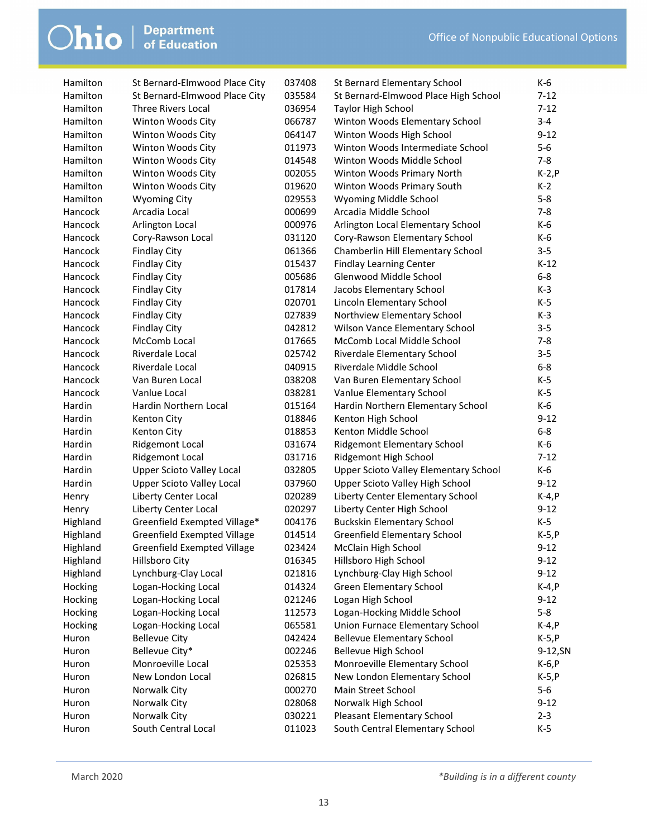| Hamilton         | St Bernard-Elmwood Place City    | 037408 | St Bernard Elementary School                                  | K-6               |
|------------------|----------------------------------|--------|---------------------------------------------------------------|-------------------|
| Hamilton         | St Bernard-Elmwood Place City    | 035584 | St Bernard-Elmwood Place High School                          | $7 - 12$          |
| Hamilton         | <b>Three Rivers Local</b>        | 036954 | Taylor High School                                            | $7 - 12$          |
| Hamilton         | Winton Woods City                | 066787 | Winton Woods Elementary School                                | $3 - 4$           |
| Hamilton         | Winton Woods City                | 064147 | Winton Woods High School                                      | $9 - 12$          |
| Hamilton         | Winton Woods City                | 011973 | Winton Woods Intermediate School                              | $5-6$             |
| Hamilton         | Winton Woods City                | 014548 | Winton Woods Middle School                                    | $7 - 8$           |
| Hamilton         | Winton Woods City                | 002055 | Winton Woods Primary North                                    | $K-2, P$          |
| Hamilton         | Winton Woods City                | 019620 | Winton Woods Primary South                                    | $K-2$             |
| Hamilton         | <b>Wyoming City</b>              | 029553 | Wyoming Middle School                                         | $5 - 8$           |
| Hancock          | Arcadia Local                    | 000699 | Arcadia Middle School                                         | $7 - 8$           |
| Hancock          | Arlington Local                  | 000976 | Arlington Local Elementary School                             | K-6               |
| Hancock          | Cory-Rawson Local                | 031120 | Cory-Rawson Elementary School                                 | K-6               |
| Hancock          | <b>Findlay City</b>              | 061366 | Chamberlin Hill Elementary School                             | $3 - 5$           |
| Hancock          | <b>Findlay City</b>              | 015437 | <b>Findlay Learning Center</b>                                | $K-12$            |
| Hancock          | <b>Findlay City</b>              | 005686 | Glenwood Middle School                                        | $6 - 8$           |
| Hancock          | <b>Findlay City</b>              | 017814 | Jacobs Elementary School                                      | $K-3$             |
| Hancock          | <b>Findlay City</b>              | 020701 | Lincoln Elementary School                                     | $K-5$             |
| Hancock          | <b>Findlay City</b>              | 027839 | Northview Elementary School                                   | $K-3$             |
| Hancock          | <b>Findlay City</b>              | 042812 | Wilson Vance Elementary School                                | $3 - 5$           |
| Hancock          | McComb Local                     | 017665 | McComb Local Middle School                                    | $7 - 8$           |
| Hancock          | Riverdale Local                  | 025742 | Riverdale Elementary School                                   | $3 - 5$           |
| Hancock          | Riverdale Local                  | 040915 | Riverdale Middle School                                       | $6 - 8$           |
| Hancock          | Van Buren Local                  | 038208 | Van Buren Elementary School                                   | $K-5$             |
| Hancock          | Vanlue Local                     | 038281 |                                                               | K-5               |
| Hardin           | Hardin Northern Local            |        | Vanlue Elementary School<br>Hardin Northern Elementary School | K-6               |
|                  |                                  | 015164 |                                                               |                   |
| Hardin<br>Hardin | Kenton City                      | 018846 | Kenton High School<br>Kenton Middle School                    | $9 - 12$<br>$6-8$ |
|                  | Kenton City                      | 018853 |                                                               |                   |
| Hardin           | <b>Ridgemont Local</b>           | 031674 | Ridgemont Elementary School                                   | K-6<br>$7 - 12$   |
| Hardin           | <b>Ridgemont Local</b>           | 031716 | Ridgemont High School                                         |                   |
| Hardin           | <b>Upper Scioto Valley Local</b> | 032805 | <b>Upper Scioto Valley Elementary School</b>                  | K-6               |
| Hardin           | <b>Upper Scioto Valley Local</b> | 037960 | Upper Scioto Valley High School                               | $9 - 12$          |
| Henry            | Liberty Center Local             | 020289 | Liberty Center Elementary School                              | $K-4, P$          |
| Henry            | Liberty Center Local             | 020297 | Liberty Center High School                                    | $9 - 12$          |
| Highland         | Greenfield Exempted Village*     | 004176 | <b>Buckskin Elementary School</b>                             | K-5               |
| Highland         | Greenfield Exempted Village      | 014514 | Greenfield Elementary School                                  | $K-5, P$          |
| Highland         | Greenfield Exempted Village      | 023424 | McClain High School                                           | $9 - 12$          |
| Highland         | Hillsboro City                   | 016345 | Hillsboro High School                                         | $9-12$            |
| Highland         | Lynchburg-Clay Local             | 021816 | Lynchburg-Clay High School                                    | $9 - 12$          |
| Hocking          | Logan-Hocking Local              | 014324 | <b>Green Elementary School</b>                                | $K-4, P$          |
| Hocking          | Logan-Hocking Local              | 021246 | Logan High School                                             | $9 - 12$          |
| Hocking          | Logan-Hocking Local              | 112573 | Logan-Hocking Middle School                                   | $5-8$             |
| Hocking          | Logan-Hocking Local              | 065581 | Union Furnace Elementary School                               | $K-4, P$          |
| Huron            | <b>Bellevue City</b>             | 042424 | <b>Bellevue Elementary School</b>                             | $K-5, P$          |
| Huron            | Bellevue City*                   | 002246 | Bellevue High School                                          | 9-12, SN          |
| Huron            | Monroeville Local                | 025353 | Monroeville Elementary School                                 | $K-6, P$          |
| Huron            | New London Local                 | 026815 | New London Elementary School                                  | $K-5, P$          |
| Huron            | Norwalk City                     | 000270 | Main Street School                                            | $5-6$             |
| Huron            | Norwalk City                     | 028068 | Norwalk High School                                           | $9 - 12$          |
| Huron            | Norwalk City                     | 030221 | Pleasant Elementary School                                    | $2 - 3$           |
| Huron            | South Central Local              | 011023 | South Central Elementary School                               | $K-5$             |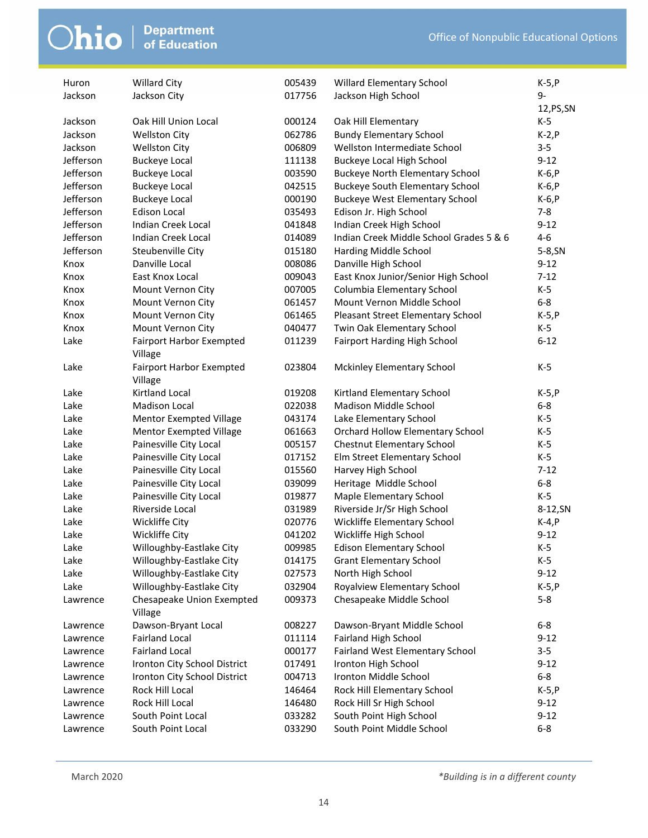| Huron     | <b>Willard City</b>             | 005439 | Willard Elementary School               | $K-5, P$ |
|-----------|---------------------------------|--------|-----------------------------------------|----------|
| Jackson   | Jackson City                    | 017756 | Jackson High School                     | 9-       |
|           |                                 |        |                                         | 12,PS,SN |
| Jackson   | Oak Hill Union Local            | 000124 | Oak Hill Elementary                     | K-5      |
| Jackson   | <b>Wellston City</b>            | 062786 | <b>Bundy Elementary School</b>          | $K-2, P$ |
| Jackson   | <b>Wellston City</b>            | 006809 | Wellston Intermediate School            | $3 - 5$  |
| Jefferson | <b>Buckeye Local</b>            | 111138 | Buckeye Local High School               | $9 - 12$ |
| Jefferson | <b>Buckeye Local</b>            | 003590 | <b>Buckeye North Elementary School</b>  | $K-6, P$ |
| Jefferson | <b>Buckeye Local</b>            | 042515 | <b>Buckeye South Elementary School</b>  | $K-6, P$ |
| Jefferson | <b>Buckeye Local</b>            | 000190 | <b>Buckeye West Elementary School</b>   | $K-6, P$ |
| Jefferson | <b>Edison Local</b>             | 035493 | Edison Jr. High School                  | $7 - 8$  |
| Jefferson | Indian Creek Local              | 041848 | Indian Creek High School                | $9 - 12$ |
| Jefferson | Indian Creek Local              | 014089 | Indian Creek Middle School Grades 5 & 6 | $4 - 6$  |
| Jefferson | Steubenville City               | 015180 | Harding Middle School                   | 5-8, SN  |
| Knox      | Danville Local                  | 008086 | Danville High School                    | $9 - 12$ |
| Knox      | East Knox Local                 | 009043 | East Knox Junior/Senior High School     | $7-12$   |
| Knox      | Mount Vernon City               | 007005 | Columbia Elementary School              | K-5      |
| Knox      | Mount Vernon City               | 061457 | Mount Vernon Middle School              | $6 - 8$  |
| Knox      | Mount Vernon City               | 061465 | Pleasant Street Elementary School       | $K-5, P$ |
| Knox      | Mount Vernon City               | 040477 | Twin Oak Elementary School              | K-5      |
| Lake      | <b>Fairport Harbor Exempted</b> | 011239 | Fairport Harding High School            | $6 - 12$ |
|           | Village                         |        |                                         |          |
| Lake      | <b>Fairport Harbor Exempted</b> | 023804 | <b>Mckinley Elementary School</b>       | $K-5$    |
|           | Village                         |        |                                         |          |
| Lake      | <b>Kirtland Local</b>           | 019208 | Kirtland Elementary School              | $K-5, P$ |
| Lake      | <b>Madison Local</b>            | 022038 | Madison Middle School                   | $6 - 8$  |
| Lake      | <b>Mentor Exempted Village</b>  | 043174 | Lake Elementary School                  | K-5      |
| Lake      | <b>Mentor Exempted Village</b>  | 061663 | <b>Orchard Hollow Elementary School</b> | $K-5$    |
| Lake      | Painesville City Local          | 005157 | Chestnut Elementary School              | $K-5$    |
| Lake      | Painesville City Local          | 017152 | Elm Street Elementary School            | $K-5$    |
| Lake      | Painesville City Local          | 015560 | Harvey High School                      | $7 - 12$ |
| Lake      | Painesville City Local          | 039099 | Heritage Middle School                  | $6-8$    |
| Lake      | Painesville City Local          | 019877 | Maple Elementary School                 | $K-5$    |
| Lake      | Riverside Local                 | 031989 | Riverside Jr/Sr High School             | 8-12, SN |
| Lake      | Wickliffe City                  | 020776 | Wickliffe Elementary School             | $K-4, P$ |
| Lake      | Wickliffe City                  | 041202 | Wickliffe High School                   | $9 - 12$ |
| Lake      | Willoughby-Eastlake City        | 009985 | <b>Edison Elementary School</b>         | $K-5$    |
| Lake      | Willoughby-Eastlake City        | 014175 | <b>Grant Elementary School</b>          | K-5      |
| Lake      | Willoughby-Eastlake City        | 027573 | North High School                       | $9 - 12$ |
| Lake      | Willoughby-Eastlake City        | 032904 | Royalview Elementary School             | $K-5, P$ |
| Lawrence  | Chesapeake Union Exempted       | 009373 | Chesapeake Middle School                | $5 - 8$  |
|           | Village                         |        |                                         |          |
| Lawrence  | Dawson-Bryant Local             | 008227 | Dawson-Bryant Middle School             | $6-8$    |
| Lawrence  | <b>Fairland Local</b>           | 011114 | Fairland High School                    | $9-12$   |
| Lawrence  | <b>Fairland Local</b>           | 000177 | Fairland West Elementary School         | $3 - 5$  |
| Lawrence  | Ironton City School District    | 017491 | Ironton High School                     | $9 - 12$ |
| Lawrence  | Ironton City School District    | 004713 | Ironton Middle School                   | $6-8$    |
| Lawrence  | Rock Hill Local                 | 146464 | Rock Hill Elementary School             | $K-5, P$ |
| Lawrence  | Rock Hill Local                 | 146480 | Rock Hill Sr High School                | $9 - 12$ |
| Lawrence  | South Point Local               | 033282 | South Point High School                 | $9-12$   |
| Lawrence  | South Point Local               | 033290 | South Point Middle School               | $6-8$    |
|           |                                 |        |                                         |          |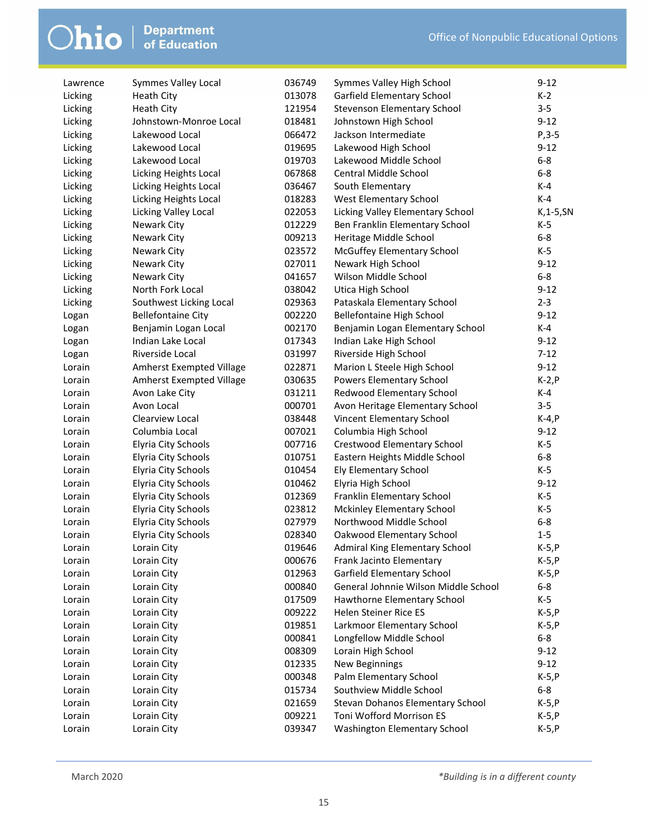| Lawrence | Symmes Valley Local        | 036749 | Symmes Valley High School               | $9 - 12$      |
|----------|----------------------------|--------|-----------------------------------------|---------------|
| Licking  | Heath City                 | 013078 | Garfield Elementary School              | $K-2$         |
| Licking  | Heath City                 | 121954 | Stevenson Elementary School             | $3 - 5$       |
| Licking  | Johnstown-Monroe Local     | 018481 | Johnstown High School                   | $9 - 12$      |
| Licking  | Lakewood Local             | 066472 | Jackson Intermediate                    | $P, 3-5$      |
| Licking  | Lakewood Local             | 019695 | Lakewood High School                    | $9 - 12$      |
| Licking  | Lakewood Local             | 019703 | Lakewood Middle School                  | $6-8$         |
| Licking  | Licking Heights Local      | 067868 | Central Middle School                   | $6 - 8$       |
| Licking  | Licking Heights Local      | 036467 | South Elementary                        | $K-4$         |
| Licking  | Licking Heights Local      | 018283 | West Elementary School                  | $K-4$         |
| Licking  | Licking Valley Local       | 022053 | Licking Valley Elementary School        | $K$ , 1-5, SN |
| Licking  | Newark City                | 012229 | Ben Franklin Elementary School          | $K-5$         |
| Licking  | Newark City                | 009213 | Heritage Middle School                  | $6-8$         |
| Licking  | Newark City                | 023572 | McGuffey Elementary School              | $K-5$         |
| Licking  | Newark City                | 027011 | Newark High School                      | $9 - 12$      |
| Licking  | Newark City                | 041657 | Wilson Middle School                    | $6-8$         |
| Licking  | North Fork Local           | 038042 | Utica High School                       | $9 - 12$      |
| Licking  | Southwest Licking Local    | 029363 | Pataskala Elementary School             | $2 - 3$       |
| Logan    | <b>Bellefontaine City</b>  | 002220 | <b>Bellefontaine High School</b>        | $9 - 12$      |
| Logan    | Benjamin Logan Local       | 002170 | Benjamin Logan Elementary School        | K-4           |
| Logan    | Indian Lake Local          | 017343 | Indian Lake High School                 | $9 - 12$      |
| Logan    | Riverside Local            | 031997 | Riverside High School                   | $7 - 12$      |
| Lorain   | Amherst Exempted Village   | 022871 | Marion L Steele High School             | $9 - 12$      |
| Lorain   | Amherst Exempted Village   | 030635 | Powers Elementary School                | $K-2, P$      |
| Lorain   | Avon Lake City             | 031211 | Redwood Elementary School               | K-4           |
| Lorain   | Avon Local                 | 000701 | Avon Heritage Elementary School         | $3 - 5$       |
| Lorain   | Clearview Local            | 038448 | Vincent Elementary School               | $K-4, P$      |
| Lorain   | Columbia Local             | 007021 | Columbia High School                    | $9 - 12$      |
| Lorain   | Elyria City Schools        | 007716 | Crestwood Elementary School             | $K-5$         |
| Lorain   | <b>Elyria City Schools</b> | 010751 | Eastern Heights Middle School           | $6 - 8$       |
| Lorain   | Elyria City Schools        | 010454 | Ely Elementary School                   | K-5           |
| Lorain   | Elyria City Schools        | 010462 | Elyria High School                      | $9 - 12$      |
| Lorain   | Elyria City Schools        | 012369 | Franklin Elementary School              | $K-5$         |
| Lorain   | <b>Elyria City Schools</b> | 023812 | Mckinley Elementary School              | $K-5$         |
| Lorain   | <b>Elyria City Schools</b> | 027979 | Northwood Middle School                 | $6-8$         |
| Lorain   | <b>Elyria City Schools</b> | 028340 | Oakwood Elementary School               | $1-5$         |
| Lorain   | Lorain City                | 019646 | Admiral King Elementary School          | $K-5, P$      |
| Lorain   | Lorain City                | 000676 | Frank Jacinto Elementary                | $K-5, P$      |
| Lorain   | Lorain City                | 012963 | Garfield Elementary School              | $K-5, P$      |
| Lorain   | Lorain City                | 000840 | General Johnnie Wilson Middle School    | $6 - 8$       |
| Lorain   | Lorain City                | 017509 | Hawthorne Elementary School             | $K-5$         |
| Lorain   | Lorain City                | 009222 | Helen Steiner Rice ES                   | $K-5, P$      |
| Lorain   | Lorain City                | 019851 | Larkmoor Elementary School              | $K-5, P$      |
| Lorain   | Lorain City                | 000841 | Longfellow Middle School                | $6-8$         |
| Lorain   | Lorain City                | 008309 | Lorain High School                      | $9 - 12$      |
| Lorain   | Lorain City                | 012335 | <b>New Beginnings</b>                   | $9 - 12$      |
| Lorain   | Lorain City                | 000348 | Palm Elementary School                  | $K-5, P$      |
| Lorain   | Lorain City                | 015734 | Southview Middle School                 | $6-8$         |
| Lorain   | Lorain City                | 021659 | <b>Stevan Dohanos Elementary School</b> | $K-5, P$      |
| Lorain   | Lorain City                | 009221 | Toni Wofford Morrison ES                | $K-5, P$      |
| Lorain   | Lorain City                | 039347 | Washington Elementary School            | $K-5, P$      |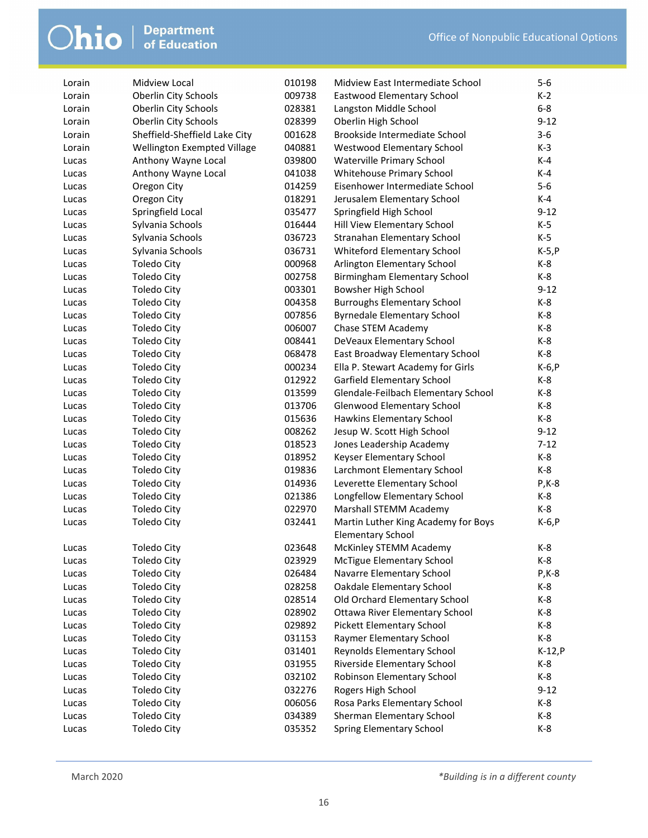| Lorain | Midview Local                 | 010198 | Midview East Intermediate School    | $5 - 6$   |
|--------|-------------------------------|--------|-------------------------------------|-----------|
| Lorain | <b>Oberlin City Schools</b>   | 009738 | Eastwood Elementary School          | $K-2$     |
| Lorain | Oberlin City Schools          | 028381 | Langston Middle School              | $6-8$     |
| Lorain | Oberlin City Schools          | 028399 | Oberlin High School                 | $9 - 12$  |
| Lorain | Sheffield-Sheffield Lake City | 001628 | Brookside Intermediate School       | $3 - 6$   |
| Lorain | Wellington Exempted Village   | 040881 | Westwood Elementary School          | $K-3$     |
| Lucas  | Anthony Wayne Local           | 039800 | Waterville Primary School           | $K-4$     |
| Lucas  | Anthony Wayne Local           | 041038 | Whitehouse Primary School           | $K-4$     |
| Lucas  | Oregon City                   | 014259 | Eisenhower Intermediate School      | $5-6$     |
| Lucas  | Oregon City                   | 018291 | Jerusalem Elementary School         | K-4       |
| Lucas  | Springfield Local             | 035477 | Springfield High School             | $9 - 12$  |
| Lucas  | Sylvania Schools              | 016444 | Hill View Elementary School         | K-5       |
| Lucas  | Sylvania Schools              | 036723 | Stranahan Elementary School         | $K-5$     |
| Lucas  | Sylvania Schools              | 036731 | Whiteford Elementary School         | $K-5, P$  |
| Lucas  | <b>Toledo City</b>            | 000968 | Arlington Elementary School         | K-8       |
| Lucas  | <b>Toledo City</b>            | 002758 | Birmingham Elementary School        | K-8       |
| Lucas  | <b>Toledo City</b>            | 003301 | Bowsher High School                 | $9 - 12$  |
| Lucas  | <b>Toledo City</b>            | 004358 | <b>Burroughs Elementary School</b>  | $K-8$     |
| Lucas  | <b>Toledo City</b>            | 007856 | <b>Byrnedale Elementary School</b>  | K-8       |
| Lucas  | <b>Toledo City</b>            | 006007 | Chase STEM Academy                  | K-8       |
| Lucas  | <b>Toledo City</b>            | 008441 | DeVeaux Elementary School           | K-8       |
| Lucas  | <b>Toledo City</b>            | 068478 | East Broadway Elementary School     | K-8       |
| Lucas  | <b>Toledo City</b>            | 000234 | Ella P. Stewart Academy for Girls   | $K-6, P$  |
| Lucas  | <b>Toledo City</b>            | 012922 | Garfield Elementary School          | K-8       |
| Lucas  | <b>Toledo City</b>            | 013599 | Glendale-Feilbach Elementary School | $K-8$     |
| Lucas  | <b>Toledo City</b>            | 013706 | <b>Glenwood Elementary School</b>   | $K-8$     |
| Lucas  | <b>Toledo City</b>            | 015636 | Hawkins Elementary School           | K-8       |
| Lucas  | Toledo City                   | 008262 | Jesup W. Scott High School          | $9 - 12$  |
| Lucas  | <b>Toledo City</b>            | 018523 | Jones Leadership Academy            | $7 - 12$  |
| Lucas  | <b>Toledo City</b>            | 018952 | Keyser Elementary School            | K-8       |
| Lucas  | <b>Toledo City</b>            | 019836 | Larchmont Elementary School         | K-8       |
| Lucas  | <b>Toledo City</b>            | 014936 | Leverette Elementary School         | $P$ , K-8 |
| Lucas  | <b>Toledo City</b>            | 021386 | Longfellow Elementary School        | K-8       |
| Lucas  | <b>Toledo City</b>            | 022970 | Marshall STEMM Academy              | K-8       |
| Lucas  | <b>Toledo City</b>            | 032441 | Martin Luther King Academy for Boys | $K-6, P$  |
|        |                               |        | <b>Elementary School</b>            |           |
| Lucas  | <b>Toledo City</b>            | 023648 | McKinley STEMM Academy              | $K-8$     |
| Lucas  | Toledo City                   | 023929 | <b>McTigue Elementary School</b>    | K-8       |
| Lucas  | <b>Toledo City</b>            | 026484 | Navarre Elementary School           | $P$ , K-8 |
| Lucas  | <b>Toledo City</b>            | 028258 | Oakdale Elementary School           | $K-8$     |
| Lucas  | <b>Toledo City</b>            | 028514 | Old Orchard Elementary School       | K-8       |
| Lucas  | <b>Toledo City</b>            | 028902 | Ottawa River Elementary School      | $K-8$     |
| Lucas  | <b>Toledo City</b>            | 029892 | Pickett Elementary School           | K-8       |
| Lucas  | <b>Toledo City</b>            | 031153 | Raymer Elementary School            | $K-8$     |
| Lucas  | <b>Toledo City</b>            | 031401 | Reynolds Elementary School          | $K-12, P$ |
| Lucas  | <b>Toledo City</b>            | 031955 | Riverside Elementary School         | $K-8$     |
| Lucas  | <b>Toledo City</b>            | 032102 | Robinson Elementary School          | $K-8$     |
| Lucas  | <b>Toledo City</b>            | 032276 | Rogers High School                  | $9 - 12$  |
| Lucas  | <b>Toledo City</b>            | 006056 | Rosa Parks Elementary School        | K-8       |
| Lucas  | <b>Toledo City</b>            | 034389 | Sherman Elementary School           | $K-8$     |
| Lucas  | <b>Toledo City</b>            | 035352 | Spring Elementary School            | K-8       |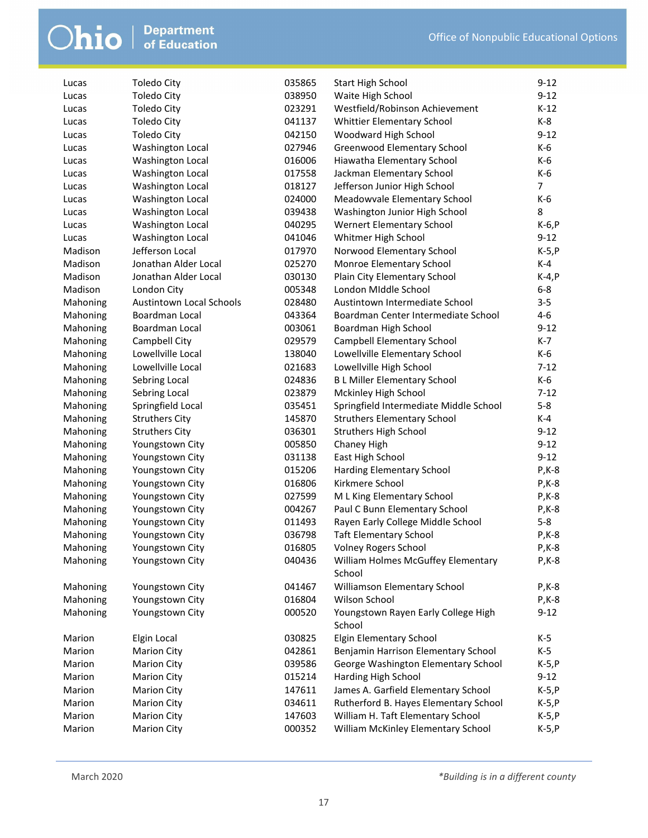|          |                                 | 035865 |                                               | $9 - 12$       |
|----------|---------------------------------|--------|-----------------------------------------------|----------------|
| Lucas    | <b>Toledo City</b>              | 038950 | <b>Start High School</b><br>Waite High School | $9 - 12$       |
| Lucas    | <b>Toledo City</b>              |        | Westfield/Robinson Achievement                |                |
| Lucas    | <b>Toledo City</b>              | 023291 |                                               | $K-12$         |
| Lucas    | <b>Toledo City</b>              | 041137 | Whittier Elementary School                    | K-8            |
| Lucas    | <b>Toledo City</b>              | 042150 | Woodward High School                          | $9 - 12$       |
| Lucas    | Washington Local                | 027946 | Greenwood Elementary School                   | K-6            |
| Lucas    | Washington Local                | 016006 | Hiawatha Elementary School                    | K-6            |
| Lucas    | Washington Local                | 017558 | Jackman Elementary School                     | K-6            |
| Lucas    | Washington Local                | 018127 | Jefferson Junior High School                  | $\overline{7}$ |
| Lucas    | Washington Local                | 024000 | Meadowvale Elementary School                  | $K-6$          |
| Lucas    | Washington Local                | 039438 | Washington Junior High School                 | 8              |
| Lucas    | Washington Local                | 040295 | Wernert Elementary School                     | K-6, P         |
| Lucas    | Washington Local                | 041046 | Whitmer High School                           | $9 - 12$       |
| Madison  | Jefferson Local                 | 017970 | Norwood Elementary School                     | $K-5, P$       |
| Madison  | Jonathan Alder Local            | 025270 | Monroe Elementary School                      | K-4            |
| Madison  | Jonathan Alder Local            | 030130 | Plain City Elementary School                  | $K-4, P$       |
| Madison  | London City                     | 005348 | London Middle School                          | $6-8$          |
| Mahoning | <b>Austintown Local Schools</b> | 028480 | Austintown Intermediate School                | $3 - 5$        |
| Mahoning | Boardman Local                  | 043364 | Boardman Center Intermediate School           | $4 - 6$        |
| Mahoning | Boardman Local                  | 003061 | Boardman High School                          | $9 - 12$       |
| Mahoning | Campbell City                   | 029579 | <b>Campbell Elementary School</b>             | K-7            |
| Mahoning | Lowellville Local               | 138040 | Lowellville Elementary School                 | K-6            |
| Mahoning | Lowellville Local               | 021683 | Lowellville High School                       | $7-12$         |
| Mahoning | Sebring Local                   | 024836 | <b>BL Miller Elementary School</b>            | K-6            |
| Mahoning | Sebring Local                   | 023879 | Mckinley High School                          | $7 - 12$       |
| Mahoning | Springfield Local               | 035451 | Springfield Intermediate Middle School        | $5-8$          |
| Mahoning | <b>Struthers City</b>           | 145870 | <b>Struthers Elementary School</b>            | $K-4$          |
| Mahoning | <b>Struthers City</b>           | 036301 | <b>Struthers High School</b>                  | $9 - 12$       |
| Mahoning | Youngstown City                 | 005850 | Chaney High                                   | $9 - 12$       |
| Mahoning | Youngstown City                 | 031138 | East High School                              | $9 - 12$       |
| Mahoning | Youngstown City                 | 015206 | Harding Elementary School                     | $P$ , K-8      |
| Mahoning | Youngstown City                 | 016806 | Kirkmere School                               | $P$ , K-8      |
| Mahoning | Youngstown City                 | 027599 | M L King Elementary School                    | $P$ , K-8      |
| Mahoning | Youngstown City                 | 004267 | Paul C Bunn Elementary School                 | $P$ , K-8      |
| Mahoning | Youngstown City                 | 011493 | Rayen Early College Middle School             | $5 - 8$        |
| Mahoning | Youngstown City                 | 036798 | <b>Taft Elementary School</b>                 | $P$ , K-8      |
| Mahoning | Youngstown City                 | 016805 | <b>Volney Rogers School</b>                   | P, K-8         |
| Mahoning | Youngstown City                 | 040436 | William Holmes McGuffey Elementary            | P,K-8          |
|          |                                 |        | School                                        |                |
| Mahoning | Youngstown City                 | 041467 | Williamson Elementary School                  | $P$ , K-8      |
| Mahoning | Youngstown City                 | 016804 | Wilson School                                 | P, K-8         |
| Mahoning | Youngstown City                 | 000520 | Youngstown Rayen Early College High           | $9 - 12$       |
|          |                                 |        | School                                        |                |
| Marion   | Elgin Local                     | 030825 | <b>Elgin Elementary School</b>                | $K-5$          |
| Marion   | <b>Marion City</b>              | 042861 | Benjamin Harrison Elementary School           | $K-5$          |
| Marion   | <b>Marion City</b>              | 039586 | George Washington Elementary School           | $K-5, P$       |
| Marion   | <b>Marion City</b>              | 015214 | Harding High School                           | $9-12$         |
| Marion   | <b>Marion City</b>              | 147611 | James A. Garfield Elementary School           | $K-5, P$       |
| Marion   | <b>Marion City</b>              | 034611 | Rutherford B. Hayes Elementary School         | K-5, P         |
| Marion   | <b>Marion City</b>              | 147603 | William H. Taft Elementary School             | K-5, P         |
| Marion   | <b>Marion City</b>              | 000352 | William McKinley Elementary School            | $K-5, P$       |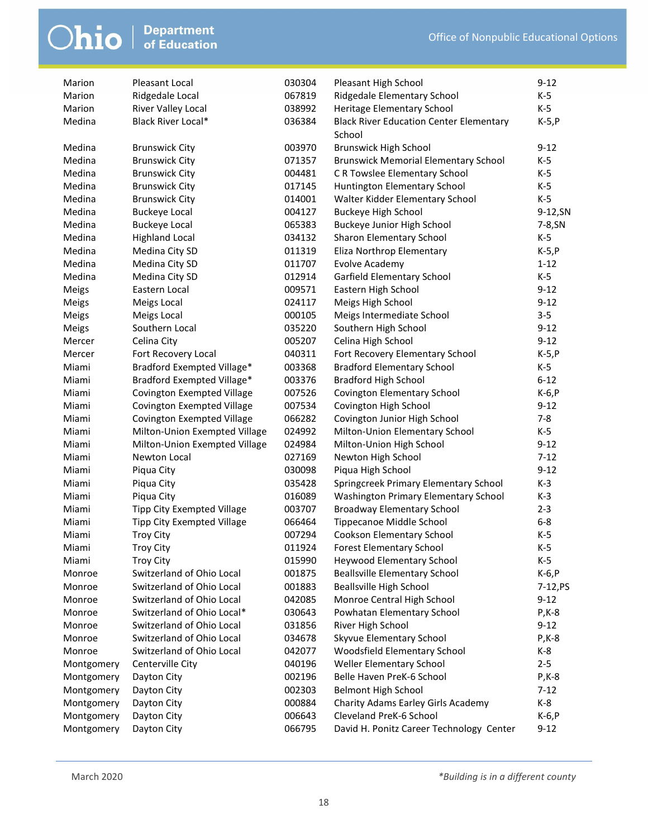| Marion     | <b>Pleasant Local</b>             | 030304 | Pleasant High School                                     | $9 - 12$   |
|------------|-----------------------------------|--------|----------------------------------------------------------|------------|
| Marion     | Ridgedale Local                   | 067819 | Ridgedale Elementary School                              | K-5        |
| Marion     | River Valley Local                | 038992 | Heritage Elementary School                               | K-5        |
| Medina     | Black River Local*                | 036384 | <b>Black River Education Center Elementary</b><br>School | $K-5, P$   |
| Medina     | <b>Brunswick City</b>             | 003970 | <b>Brunswick High School</b>                             | $9 - 12$   |
| Medina     | <b>Brunswick City</b>             | 071357 | <b>Brunswick Memorial Elementary School</b>              | K-5        |
| Medina     | <b>Brunswick City</b>             | 004481 | C R Towslee Elementary School                            | $K-5$      |
| Medina     | <b>Brunswick City</b>             | 017145 | Huntington Elementary School                             | $K-5$      |
| Medina     | <b>Brunswick City</b>             | 014001 | Walter Kidder Elementary School                          | $K-5$      |
| Medina     | <b>Buckeye Local</b>              | 004127 | <b>Buckeye High School</b>                               | 9-12, SN   |
| Medina     | <b>Buckeye Local</b>              | 065383 | Buckeye Junior High School                               | 7-8, SN    |
| Medina     | <b>Highland Local</b>             | 034132 | Sharon Elementary School                                 | $K-5$      |
| Medina     | Medina City SD                    | 011319 | Eliza Northrop Elementary                                | $K-5, P$   |
| Medina     | Medina City SD                    | 011707 | <b>Evolve Academy</b>                                    | $1 - 12$   |
| Medina     | Medina City SD                    | 012914 | Garfield Elementary School                               | $K-5$      |
| Meigs      | Eastern Local                     | 009571 | Eastern High School                                      | $9 - 12$   |
| Meigs      | Meigs Local                       | 024117 | Meigs High School                                        | $9 - 12$   |
| Meigs      | Meigs Local                       | 000105 | Meigs Intermediate School                                | $3 - 5$    |
| Meigs      | Southern Local                    | 035220 | Southern High School                                     | $9 - 12$   |
| Mercer     | Celina City                       | 005207 | Celina High School                                       | $9 - 12$   |
| Mercer     | Fort Recovery Local               | 040311 | Fort Recovery Elementary School                          | $K-5, P$   |
| Miami      | Bradford Exempted Village*        | 003368 | <b>Bradford Elementary School</b>                        | $K-5$      |
| Miami      | Bradford Exempted Village*        | 003376 | <b>Bradford High School</b>                              | $6 - 12$   |
| Miami      | Covington Exempted Village        | 007526 | Covington Elementary School                              | $K-6, P$   |
| Miami      | Covington Exempted Village        | 007534 | Covington High School                                    | $9 - 12$   |
| Miami      | Covington Exempted Village        | 066282 | Covington Junior High School                             | $7 - 8$    |
| Miami      | Milton-Union Exempted Village     | 024992 | Milton-Union Elementary School                           | $K-5$      |
| Miami      | Milton-Union Exempted Village     | 024984 | Milton-Union High School                                 | $9 - 12$   |
| Miami      | Newton Local                      | 027169 | Newton High School                                       | $7 - 12$   |
| Miami      | Piqua City                        | 030098 | Piqua High School                                        | $9 - 12$   |
| Miami      | Piqua City                        | 035428 | Springcreek Primary Elementary School                    | $K-3$      |
| Miami      | Piqua City                        | 016089 | Washington Primary Elementary School                     | $K-3$      |
| Miami      | <b>Tipp City Exempted Village</b> | 003707 | <b>Broadway Elementary School</b>                        | $2 - 3$    |
| Miami      | Tipp City Exempted Village        | 066464 | Tippecanoe Middle School                                 | $6 - 8$    |
| Miami      | <b>Troy City</b>                  | 007294 | Cookson Elementary School                                | $K-5$      |
| Miami      | <b>Troy City</b>                  | 011924 | <b>Forest Elementary School</b>                          | $K-5$      |
| Miami      | <b>Troy City</b>                  | 015990 | <b>Heywood Elementary School</b>                         | K-5        |
| Monroe     | Switzerland of Ohio Local         | 001875 | <b>Beallsville Elementary School</b>                     | $K-6, P$   |
| Monroe     | Switzerland of Ohio Local         | 001883 | <b>Beallsville High School</b>                           | $7-12, PS$ |
| Monroe     | Switzerland of Ohio Local         | 042085 | Monroe Central High School                               | $9 - 12$   |
| Monroe     | Switzerland of Ohio Local*        | 030643 | Powhatan Elementary School                               | $P$ , K-8  |
| Monroe     | Switzerland of Ohio Local         | 031856 | River High School                                        | $9-12$     |
| Monroe     | Switzerland of Ohio Local         | 034678 | Skyvue Elementary School                                 | $P$ , K-8  |
| Monroe     | Switzerland of Ohio Local         | 042077 | Woodsfield Elementary School                             | K-8        |
| Montgomery | Centerville City                  | 040196 | Weller Elementary School                                 | $2 - 5$    |
| Montgomery | Dayton City                       | 002196 | Belle Haven PreK-6 School                                | $P$ , K-8  |
| Montgomery | Dayton City                       | 002303 | Belmont High School                                      | $7 - 12$   |
| Montgomery | Dayton City                       | 000884 | Charity Adams Earley Girls Academy                       | K-8        |
| Montgomery | Dayton City                       | 006643 | Cleveland PreK-6 School                                  | $K-6, P$   |
| Montgomery | Dayton City                       | 066795 | David H. Ponitz Career Technology Center                 | $9 - 12$   |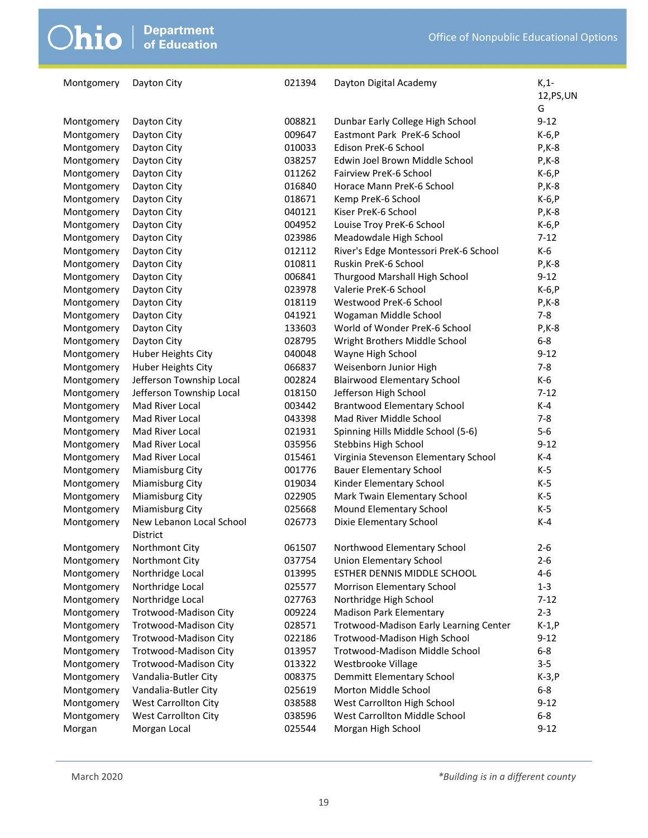| Montgomery | Dayton City                          | 021394 | Dayton Digital Academy                 | $K, 1$ -<br>12, PS, UN |
|------------|--------------------------------------|--------|----------------------------------------|------------------------|
|            |                                      |        |                                        | G                      |
| Montgomery | Dayton City                          | 008821 | Dunbar Early College High School       | $9 - 12$               |
| Montgomery | Dayton City                          | 009647 | Eastmont Park PreK-6 School            | $K-6, P$               |
| Montgomery | Dayton City                          | 010033 | Edison PreK-6 School                   | P, K-8                 |
| Montgomery | Dayton City                          | 038257 | Edwin Joel Brown Middle School         | $P$ , K-8              |
| Montgomery | Dayton City                          | 011262 | Fairview PreK-6 School                 | $K-6, P$               |
| Montgomery | Dayton City                          | 016840 | Horace Mann PreK-6 School              | $P$ , K-8              |
| Montgomery | Dayton City                          | 018671 | Kemp PreK-6 School                     | $K-6, P$               |
| Montgomery | Dayton City                          | 040121 | Kiser PreK-6 School                    | $P$ , K-8              |
| Montgomery | Dayton City                          | 004952 | Louise Troy PreK-6 School              | $K-6, P$               |
| Montgomery | Dayton City                          | 023986 | Meadowdale High School                 | $7 - 12$               |
| Montgomery | Dayton City                          | 012112 | River's Edge Montessori PreK-6 School  | $K-6$                  |
| Montgomery | Dayton City                          | 010811 | Ruskin PreK-6 School                   | $P$ , K-8              |
| Montgomery | Dayton City                          | 006841 | Thurgood Marshall High School          | $9 - 12$               |
| Montgomery | Dayton City                          | 023978 | Valerie PreK-6 School                  | $K-6, P$               |
| Montgomery | Dayton City                          | 018119 | Westwood PreK-6 School                 | $P$ , K-8              |
| Montgomery | Dayton City                          | 041921 | Wogaman Middle School                  | $7 - 8$                |
| Montgomery | Dayton City                          | 133603 | World of Wonder PreK-6 School          | $P$ , K-8              |
| Montgomery | Dayton City                          | 028795 | Wright Brothers Middle School          | $6 - 8$                |
| Montgomery | <b>Huber Heights City</b>            | 040048 | Wayne High School                      | $9 - 12$               |
| Montgomery | Huber Heights City                   | 066837 | Weisenborn Junior High                 | $7 - 8$                |
| Montgomery | Jefferson Township Local             | 002824 | <b>Blairwood Elementary School</b>     | $K-6$                  |
| Montgomery | Jefferson Township Local             | 018150 | Jefferson High School                  | $7 - 12$               |
| Montgomery | Mad River Local                      | 003442 | <b>Brantwood Elementary School</b>     | $K-4$                  |
| Montgomery | Mad River Local                      | 043398 | Mad River Middle School                | $7 - 8$                |
| Montgomery | Mad River Local                      | 021931 | Spinning Hills Middle School (5-6)     | $5-6$                  |
| Montgomery | Mad River Local                      | 035956 | Stebbins High School                   | $9 - 12$               |
| Montgomery | Mad River Local                      | 015461 | Virginia Stevenson Elementary School   | $K-4$                  |
| Montgomery | Miamisburg City                      | 001776 | <b>Bauer Elementary School</b>         | $K-5$                  |
| Montgomery | Miamisburg City                      | 019034 | Kinder Elementary School               | $K-5$                  |
| Montgomery | Miamisburg City                      | 022905 | Mark Twain Elementary School           | $K-5$                  |
| Montgomery | Miamisburg City                      | 025668 | Mound Elementary School                | $K-5$                  |
| Montgomery | New Lebanon Local School<br>District | 026773 | Dixie Elementary School                | $K-4$                  |
| Montgomery | Northmont City                       | 061507 | Northwood Elementary School            | $2 - 6$                |
| Montgomery | Northmont City                       | 037754 | <b>Union Elementary School</b>         | $2 - 6$                |
| Montgomery | Northridge Local                     | 013995 | ESTHER DENNIS MIDDLE SCHOOL            | $4 - 6$                |
| Montgomery | Northridge Local                     | 025577 | Morrison Elementary School             | $1 - 3$                |
| Montgomery | Northridge Local                     | 027763 | Northridge High School                 | $7 - 12$               |
| Montgomery | Trotwood-Madison City                | 009224 | <b>Madison Park Elementary</b>         | $2 - 3$                |
| Montgomery | Trotwood-Madison City                | 028571 | Trotwood-Madison Early Learning Center | $K-1, P$               |
| Montgomery | Trotwood-Madison City                | 022186 | Trotwood-Madison High School           | $9 - 12$               |
| Montgomery | Trotwood-Madison City                | 013957 | Trotwood-Madison Middle School         | $6 - 8$                |
| Montgomery | Trotwood-Madison City                | 013322 | Westbrooke Village                     | $3 - 5$                |
| Montgomery | Vandalia-Butler City                 | 008375 | Demmitt Elementary School              | $K-3, P$               |
| Montgomery | Vandalia-Butler City                 | 025619 | Morton Middle School                   | $6 - 8$                |
| Montgomery | West Carrollton City                 | 038588 | West Carrollton High School            | $9 - 12$               |
| Montgomery | West Carrollton City                 | 038596 | West Carrollton Middle School          | $6-8$                  |
| Morgan     | Morgan Local                         | 025544 | Morgan High School                     | $9 - 12$               |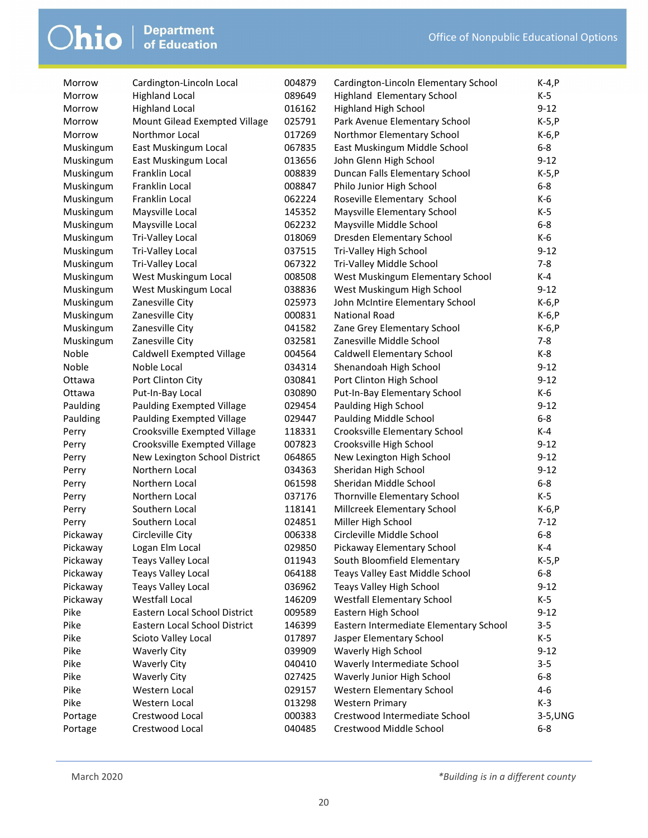| Morrow    | Cardington-Lincoln Local         | 004879 | Cardington-Lincoln Elementary School   | $K-4, P$ |
|-----------|----------------------------------|--------|----------------------------------------|----------|
| Morrow    | <b>Highland Local</b>            | 089649 | Highland Elementary School             | $K-5$    |
| Morrow    | <b>Highland Local</b>            | 016162 | <b>Highland High School</b>            | $9 - 12$ |
| Morrow    | Mount Gilead Exempted Village    | 025791 | Park Avenue Elementary School          | $K-5, P$ |
| Morrow    | Northmor Local                   | 017269 | Northmor Elementary School             | $K-6, P$ |
| Muskingum | East Muskingum Local             | 067835 | East Muskingum Middle School           | $6 - 8$  |
| Muskingum | East Muskingum Local             | 013656 | John Glenn High School                 | $9 - 12$ |
| Muskingum | Franklin Local                   | 008839 | Duncan Falls Elementary School         | $K-5, P$ |
| Muskingum | Franklin Local                   | 008847 | Philo Junior High School               | $6 - 8$  |
| Muskingum | Franklin Local                   | 062224 | Roseville Elementary School            | K-6      |
| Muskingum | Maysville Local                  | 145352 | Maysville Elementary School            | $K-5$    |
| Muskingum | Maysville Local                  | 062232 | Maysville Middle School                | $6 - 8$  |
| Muskingum | Tri-Valley Local                 | 018069 | Dresden Elementary School              | $K-6$    |
| Muskingum | Tri-Valley Local                 | 037515 | Tri-Valley High School                 | $9 - 12$ |
| Muskingum | Tri-Valley Local                 | 067322 | Tri-Valley Middle School               | $7 - 8$  |
| Muskingum | West Muskingum Local             | 008508 | West Muskingum Elementary School       | $K-4$    |
| Muskingum | West Muskingum Local             | 038836 | West Muskingum High School             | $9 - 12$ |
| Muskingum | Zanesville City                  | 025973 | John McIntire Elementary School        | $K-6, P$ |
| Muskingum | Zanesville City                  | 000831 | <b>National Road</b>                   | $K-6, P$ |
| Muskingum | Zanesville City                  | 041582 | Zane Grey Elementary School            | $K-6, P$ |
| Muskingum | Zanesville City                  | 032581 | Zanesville Middle School               | $7 - 8$  |
| Noble     | <b>Caldwell Exempted Village</b> | 004564 | Caldwell Elementary School             | $K-8$    |
| Noble     | Noble Local                      | 034314 | Shenandoah High School                 | $9 - 12$ |
| Ottawa    | Port Clinton City                | 030841 | Port Clinton High School               | $9 - 12$ |
| Ottawa    | Put-In-Bay Local                 | 030890 | Put-In-Bay Elementary School           | K-6      |
| Paulding  | Paulding Exempted Village        | 029454 | Paulding High School                   | $9 - 12$ |
| Paulding  | Paulding Exempted Village        | 029447 | Paulding Middle School                 | $6 - 8$  |
| Perry     | Crooksville Exempted Village     | 118331 | Crooksville Elementary School          | $K-4$    |
| Perry     | Crooksville Exempted Village     | 007823 | Crooksville High School                | $9 - 12$ |
| Perry     | New Lexington School District    | 064865 | New Lexington High School              | $9 - 12$ |
| Perry     | Northern Local                   | 034363 | Sheridan High School                   | $9 - 12$ |
| Perry     | Northern Local                   | 061598 | Sheridan Middle School                 | $6 - 8$  |
| Perry     | Northern Local                   | 037176 | Thornville Elementary School           | $K-5$    |
| Perry     | Southern Local                   | 118141 | Millcreek Elementary School            | $K-6, P$ |
| Perry     | Southern Local                   | 024851 | Miller High School                     | $7 - 12$ |
| Pickaway  | Circleville City                 | 006338 | Circleville Middle School              | $6 - 8$  |
| Pickaway  | Logan Elm Local                  | 029850 | Pickaway Elementary School             | $K-4$    |
| Pickaway  | <b>Teays Valley Local</b>        | 011943 | South Bloomfield Elementary            | $K-5, P$ |
| Pickaway  | <b>Teays Valley Local</b>        | 064188 | Teays Valley East Middle School        | $6 - 8$  |
| Pickaway  | <b>Teays Valley Local</b>        | 036962 | Teays Valley High School               | $9 - 12$ |
| Pickaway  | <b>Westfall Local</b>            | 146209 | <b>Westfall Elementary School</b>      | K-5      |
| Pike      | Eastern Local School District    | 009589 | Eastern High School                    | $9 - 12$ |
| Pike      | Eastern Local School District    | 146399 | Eastern Intermediate Elementary School | $3 - 5$  |
| Pike      | Scioto Valley Local              | 017897 | Jasper Elementary School               | $K-5$    |
| Pike      | <b>Waverly City</b>              | 039909 | Waverly High School                    | $9 - 12$ |
| Pike      | <b>Waverly City</b>              | 040410 | Waverly Intermediate School            | $3 - 5$  |
| Pike      | <b>Waverly City</b>              | 027425 | Waverly Junior High School             | $6 - 8$  |
| Pike      | Western Local                    | 029157 | Western Elementary School              | $4 - 6$  |
| Pike      | Western Local                    | 013298 | <b>Western Primary</b>                 | $K-3$    |
| Portage   | Crestwood Local                  | 000383 | Crestwood Intermediate School          | 3-5, UNG |
|           | Crestwood Local                  | 040485 | Crestwood Middle School                | $6 - 8$  |
| Portage   |                                  |        |                                        |          |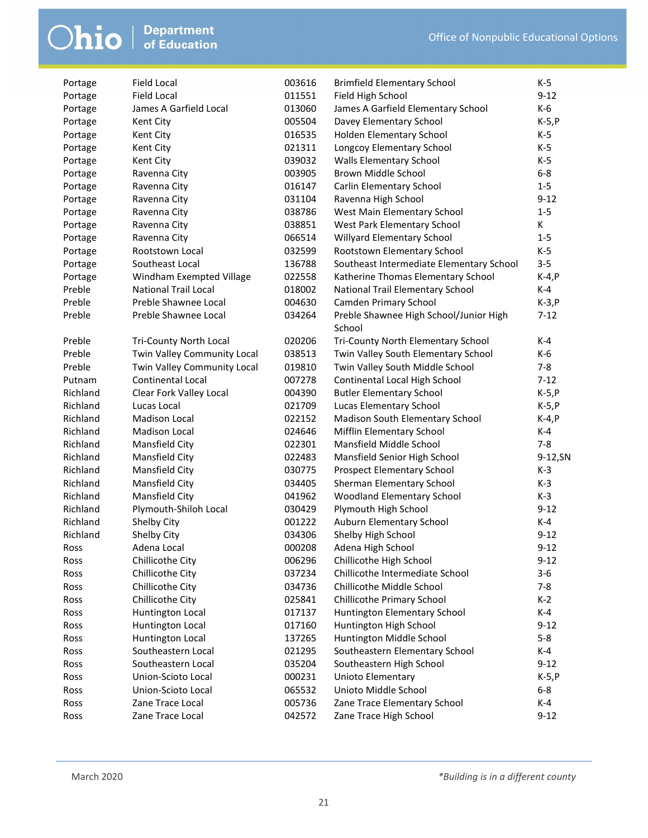| Portage  | <b>Field Local</b>          | 003616 | <b>Brimfield Elementary School</b>       | K-5      |
|----------|-----------------------------|--------|------------------------------------------|----------|
| Portage  | <b>Field Local</b>          | 011551 | Field High School                        | $9 - 12$ |
| Portage  | James A Garfield Local      | 013060 | James A Garfield Elementary School       | K-6      |
| Portage  | Kent City                   | 005504 | Davey Elementary School                  | $K-5, P$ |
| Portage  | Kent City                   | 016535 | Holden Elementary School                 | K-5      |
| Portage  | Kent City                   | 021311 | Longcoy Elementary School                | $K-5$    |
| Portage  | Kent City                   | 039032 | <b>Walls Elementary School</b>           | $K-5$    |
| Portage  | Ravenna City                | 003905 | Brown Middle School                      | $6 - 8$  |
| Portage  | Ravenna City                | 016147 | Carlin Elementary School                 | $1 - 5$  |
| Portage  | Ravenna City                | 031104 | Ravenna High School                      | $9 - 12$ |
| Portage  | Ravenna City                | 038786 | West Main Elementary School              | $1-5$    |
| Portage  | Ravenna City                | 038851 | West Park Elementary School              | K        |
| Portage  | Ravenna City                | 066514 | Willyard Elementary School               | $1-5$    |
| Portage  | Rootstown Local             | 032599 | Rootstown Elementary School              | $K-5$    |
| Portage  | Southeast Local             | 136788 | Southeast Intermediate Elementary School | $3 - 5$  |
| Portage  | Windham Exempted Village    | 022558 | Katherine Thomas Elementary School       | $K-4, P$ |
| Preble   | <b>National Trail Local</b> | 018002 | National Trail Elementary School         | K-4      |
| Preble   | Preble Shawnee Local        | 004630 | Camden Primary School                    | $K-3, P$ |
| Preble   | Preble Shawnee Local        | 034264 | Preble Shawnee High School/Junior High   | $7 - 12$ |
|          |                             |        | School                                   |          |
| Preble   | Tri-County North Local      | 020206 | Tri-County North Elementary School       | $K-4$    |
| Preble   | Twin Valley Community Local | 038513 | Twin Valley South Elementary School      | K-6      |
| Preble   | Twin Valley Community Local | 019810 | Twin Valley South Middle School          | $7 - 8$  |
| Putnam   | Continental Local           | 007278 | Continental Local High School            | $7 - 12$ |
| Richland | Clear Fork Valley Local     | 004390 | <b>Butler Elementary School</b>          | $K-5, P$ |
| Richland | Lucas Local                 | 021709 | Lucas Elementary School                  | $K-5, P$ |
| Richland | Madison Local               | 022152 | Madison South Elementary School          | $K-4, P$ |
| Richland | Madison Local               | 024646 | Mifflin Elementary School                | $K-4$    |
| Richland | Mansfield City              | 022301 | Mansfield Middle School                  | $7 - 8$  |
| Richland | Mansfield City              | 022483 | Mansfield Senior High School             | 9-12, SN |
| Richland | Mansfield City              | 030775 | Prospect Elementary School               | $K-3$    |
| Richland | Mansfield City              | 034405 | Sherman Elementary School                | $K-3$    |
| Richland | Mansfield City              | 041962 | Woodland Elementary School               | $K-3$    |
| Richland | Plymouth-Shiloh Local       | 030429 | Plymouth High School                     | $9 - 12$ |
| Richland | Shelby City                 | 001222 | Auburn Elementary School                 | K-4      |
| Richland | Shelby City                 | 034306 | Shelby High School                       | $9 - 12$ |
| Ross     | Adena Local                 | 000208 | Adena High School                        | $9 - 12$ |
| Ross     | Chillicothe City            | 006296 | Chillicothe High School                  | $9 - 12$ |
| Ross     | Chillicothe City            | 037234 | Chillicothe Intermediate School          | $3 - 6$  |
| Ross     | Chillicothe City            | 034736 | Chillicothe Middle School                | $7 - 8$  |
| Ross     | Chillicothe City            | 025841 | Chillicothe Primary School               | $K-2$    |
| Ross     | Huntington Local            | 017137 | Huntington Elementary School             | $K-4$    |
| Ross     | Huntington Local            | 017160 | Huntington High School                   | $9 - 12$ |
| Ross     | Huntington Local            | 137265 | Huntington Middle School                 | $5-8$    |
| Ross     | Southeastern Local          | 021295 | Southeastern Elementary School           | K-4      |
| Ross     | Southeastern Local          | 035204 | Southeastern High School                 | $9 - 12$ |
| Ross     | Union-Scioto Local          | 000231 | Unioto Elementary                        | $K-5, P$ |
| Ross     | Union-Scioto Local          | 065532 | Unioto Middle School                     | $6-8$    |
| Ross     | Zane Trace Local            | 005736 | Zane Trace Elementary School             | $K-4$    |
| Ross     | Zane Trace Local            | 042572 | Zane Trace High School                   | $9 - 12$ |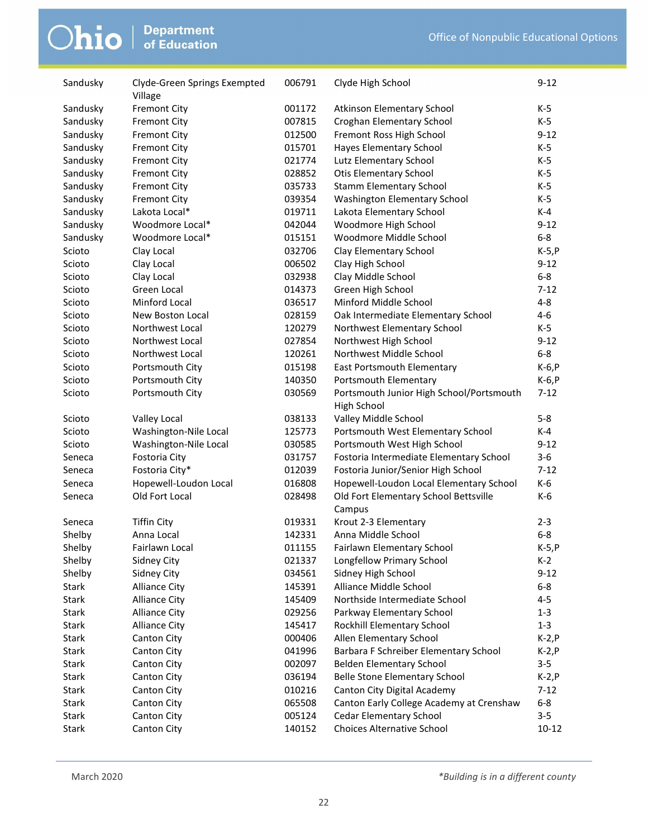| Sandusky     | Clyde-Green Springs Exempted<br>Village | 006791 | Clyde High School                                       | $9 - 12$  |
|--------------|-----------------------------------------|--------|---------------------------------------------------------|-----------|
| Sandusky     | <b>Fremont City</b>                     | 001172 | Atkinson Elementary School                              | K-5       |
| Sandusky     | <b>Fremont City</b>                     | 007815 | Croghan Elementary School                               | K-5       |
| Sandusky     | <b>Fremont City</b>                     | 012500 | Fremont Ross High School                                | $9 - 12$  |
| Sandusky     | <b>Fremont City</b>                     | 015701 | Hayes Elementary School                                 | K-5       |
| Sandusky     | <b>Fremont City</b>                     | 021774 | Lutz Elementary School                                  | K-5       |
| Sandusky     | <b>Fremont City</b>                     | 028852 | <b>Otis Elementary School</b>                           | K-5       |
| Sandusky     | <b>Fremont City</b>                     | 035733 | <b>Stamm Elementary School</b>                          | $K-5$     |
| Sandusky     | <b>Fremont City</b>                     | 039354 | Washington Elementary School                            | $K-5$     |
| Sandusky     | Lakota Local*                           | 019711 | Lakota Elementary School                                | $K-4$     |
| Sandusky     | Woodmore Local*                         | 042044 | Woodmore High School                                    | $9 - 12$  |
| Sandusky     | Woodmore Local*                         | 015151 | Woodmore Middle School                                  | $6-8$     |
| Scioto       | Clay Local                              | 032706 | Clay Elementary School                                  | $K-5, P$  |
| Scioto       | Clay Local                              | 006502 | Clay High School                                        | $9 - 12$  |
| Scioto       | Clay Local                              | 032938 | Clay Middle School                                      | $6-8$     |
| Scioto       | Green Local                             | 014373 | Green High School                                       | $7 - 12$  |
| Scioto       | Minford Local                           | 036517 | Minford Middle School                                   | 4-8       |
| Scioto       | New Boston Local                        | 028159 | Oak Intermediate Elementary School                      | $4 - 6$   |
| Scioto       | Northwest Local                         | 120279 | Northwest Elementary School                             | $K-5$     |
| Scioto       | Northwest Local                         | 027854 | Northwest High School                                   | $9 - 12$  |
| Scioto       | Northwest Local                         | 120261 | Northwest Middle School                                 | $6-8$     |
| Scioto       | Portsmouth City                         | 015198 | East Portsmouth Elementary                              | $K-6, P$  |
| Scioto       | Portsmouth City                         | 140350 | Portsmouth Elementary                                   | K-6, P    |
|              | Portsmouth City                         |        |                                                         | $7 - 12$  |
| Scioto       |                                         | 030569 | Portsmouth Junior High School/Portsmouth<br>High School |           |
| Scioto       | Valley Local                            | 038133 | Valley Middle School                                    | $5-8$     |
| Scioto       | Washington-Nile Local                   | 125773 | Portsmouth West Elementary School                       | K-4       |
| Scioto       | Washington-Nile Local                   | 030585 | Portsmouth West High School                             | $9 - 12$  |
| Seneca       | Fostoria City                           | 031757 | Fostoria Intermediate Elementary School                 | $3-6$     |
| Seneca       | Fostoria City*                          | 012039 | Fostoria Junior/Senior High School                      | $7 - 12$  |
| Seneca       | Hopewell-Loudon Local                   | 016808 | Hopewell-Loudon Local Elementary School                 | K-6       |
| Seneca       | Old Fort Local                          | 028498 | Old Fort Elementary School Bettsville<br>Campus         | K-6       |
| Seneca       | <b>Tiffin City</b>                      | 019331 | Krout 2-3 Elementary                                    | $2 - 3$   |
| Shelby       | Anna Local                              | 142331 | Anna Middle School                                      | $6 - 8$   |
| Shelby       | Fairlawn Local                          | 011155 | Fairlawn Elementary School                              | $K-5, P$  |
| Shelby       | Sidney City                             | 021337 | Longfellow Primary School                               | $K-2$     |
| Shelby       | Sidney City                             | 034561 | Sidney High School                                      | $9 - 12$  |
| Stark        | <b>Alliance City</b>                    | 145391 | Alliance Middle School                                  | $6 - 8$   |
| <b>Stark</b> | <b>Alliance City</b>                    | 145409 | Northside Intermediate School                           | $4 - 5$   |
| <b>Stark</b> | <b>Alliance City</b>                    | 029256 | Parkway Elementary School                               | $1 - 3$   |
| Stark        | <b>Alliance City</b>                    | 145417 | Rockhill Elementary School                              | $1 - 3$   |
| Stark        | Canton City                             | 000406 | Allen Elementary School                                 | $K-2, P$  |
| Stark        | Canton City                             | 041996 | Barbara F Schreiber Elementary School                   | $K-2, P$  |
| Stark        | Canton City                             | 002097 | <b>Belden Elementary School</b>                         | $3 - 5$   |
| Stark        | Canton City                             | 036194 | <b>Belle Stone Elementary School</b>                    | $K-2, P$  |
| <b>Stark</b> | Canton City                             | 010216 | Canton City Digital Academy                             | $7 - 12$  |
| Stark        | Canton City                             | 065508 | Canton Early College Academy at Crenshaw                | $6 - 8$   |
| Stark        | Canton City                             | 005124 | <b>Cedar Elementary School</b>                          | $3 - 5$   |
| Stark        | Canton City                             | 140152 | <b>Choices Alternative School</b>                       | $10 - 12$ |
|              |                                         |        |                                                         |           |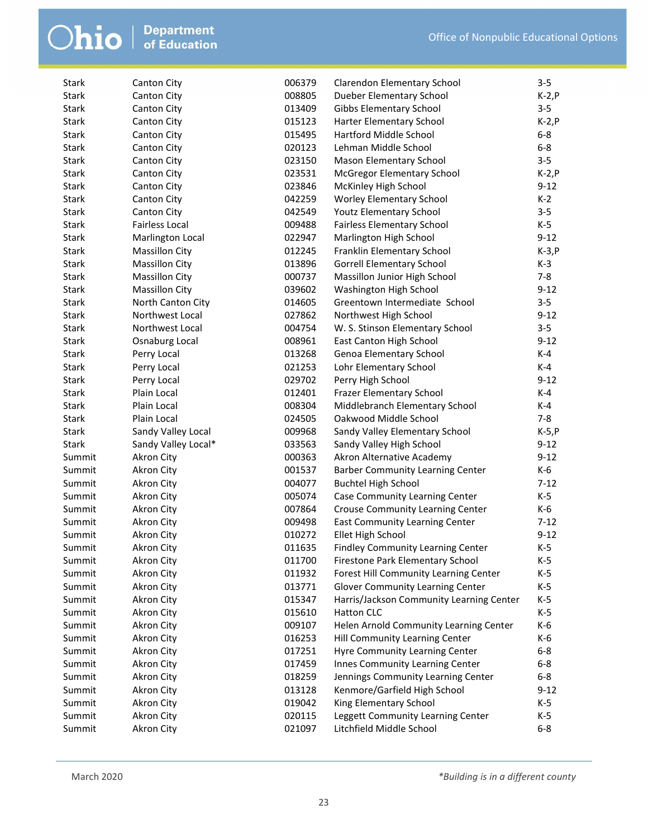| <b>Stark</b> | <b>Canton City</b>                     | 006379 | <b>Clarendon Elementary School</b>       | $3 - 5$  |
|--------------|----------------------------------------|--------|------------------------------------------|----------|
| <b>Stark</b> | Canton City                            | 008805 | Dueber Elementary School                 | $K-2, P$ |
| <b>Stark</b> | <b>Canton City</b>                     | 013409 | <b>Gibbs Elementary School</b>           | $3 - 5$  |
| Stark        | <b>Canton City</b>                     | 015123 | Harter Elementary School                 | $K-2, P$ |
| Stark        | <b>Canton City</b>                     | 015495 | Hartford Middle School                   | $6 - 8$  |
| Stark        | <b>Canton City</b>                     | 020123 | Lehman Middle School                     | $6-8$    |
| <b>Stark</b> | Canton City                            | 023150 | Mason Elementary School                  | $3 - 5$  |
| <b>Stark</b> | <b>Canton City</b>                     | 023531 | McGregor Elementary School               | $K-2, P$ |
| <b>Stark</b> | <b>Canton City</b>                     | 023846 | McKinley High School                     | $9 - 12$ |
| <b>Stark</b> | <b>Canton City</b>                     | 042259 | <b>Worley Elementary School</b>          | $K-2$    |
| Stark        | <b>Canton City</b>                     | 042549 | <b>Youtz Elementary School</b>           | $3 - 5$  |
| Stark        | <b>Fairless Local</b>                  | 009488 | <b>Fairless Elementary School</b>        | $K-5$    |
| Stark        | Marlington Local                       | 022947 | Marlington High School                   | $9 - 12$ |
| Stark        | <b>Massillon City</b>                  | 012245 | Franklin Elementary School               | $K-3, P$ |
| Stark        | <b>Massillon City</b>                  | 013896 | <b>Gorrell Elementary School</b>         | $K-3$    |
| Stark        | <b>Massillon City</b>                  | 000737 | Massillon Junior High School             | $7 - 8$  |
| Stark        | <b>Massillon City</b>                  | 039602 | Washington High School                   | $9 - 12$ |
| Stark        | North Canton City                      | 014605 | Greentown Intermediate School            | $3 - 5$  |
| Stark        | Northwest Local                        | 027862 | Northwest High School                    | $9 - 12$ |
| Stark        | Northwest Local                        | 004754 | W. S. Stinson Elementary School          | $3 - 5$  |
| <b>Stark</b> | Osnaburg Local                         | 008961 | East Canton High School                  | $9 - 12$ |
| <b>Stark</b> | Perry Local                            | 013268 | Genoa Elementary School                  | K-4      |
| <b>Stark</b> | Perry Local                            | 021253 | Lohr Elementary School                   | $K-4$    |
| Stark        | Perry Local                            | 029702 | Perry High School                        | $9 - 12$ |
| Stark        | Plain Local                            | 012401 | Frazer Elementary School                 | $K-4$    |
| Stark        | Plain Local                            | 008304 | Middlebranch Elementary School           | K-4      |
| Stark        | Plain Local                            | 024505 | Oakwood Middle School                    | $7 - 8$  |
| Stark        | Sandy Valley Local                     | 009968 | Sandy Valley Elementary School           | $K-5, P$ |
| <b>Stark</b> | Sandy Valley Local*                    | 033563 | Sandy Valley High School                 | $9 - 12$ |
| Summit       |                                        | 000363 | Akron Alternative Academy                | $9 - 12$ |
| Summit       | <b>Akron City</b><br><b>Akron City</b> | 001537 | <b>Barber Community Learning Center</b>  | K-6      |
| Summit       | Akron City                             | 004077 |                                          | $7 - 12$ |
| Summit       |                                        |        | <b>Buchtel High School</b>               |          |
|              | Akron City                             | 005074 | Case Community Learning Center           | K-5      |
| Summit       | <b>Akron City</b>                      | 007864 | <b>Crouse Community Learning Center</b>  | K-6      |
| Summit       | <b>Akron City</b>                      | 009498 | East Community Learning Center           | $7 - 12$ |
| Summit       | <b>Akron City</b>                      | 010272 | Ellet High School                        | $9 - 12$ |
| Summit       | Akron City                             | 011635 | Findley Community Learning Center        | $K-5$    |
| Summit       | <b>Akron City</b>                      | 011700 | Firestone Park Elementary School         | K-5      |
| Summit       | <b>Akron City</b>                      | 011932 | Forest Hill Community Learning Center    | $K-5$    |
| Summit       | Akron City                             | 013771 | <b>Glover Community Learning Center</b>  | K-5      |
| Summit       | Akron City                             | 015347 | Harris/Jackson Community Learning Center | K-5      |
| Summit       | <b>Akron City</b>                      | 015610 | <b>Hatton CLC</b>                        | $K-5$    |
| Summit       | Akron City                             | 009107 | Helen Arnold Community Learning Center   | K-6      |
| Summit       | <b>Akron City</b>                      | 016253 | Hill Community Learning Center           | K-6      |
| Summit       | <b>Akron City</b>                      | 017251 | Hyre Community Learning Center           | $6 - 8$  |
| Summit       | <b>Akron City</b>                      | 017459 | Innes Community Learning Center          | $6-8$    |
| Summit       | <b>Akron City</b>                      | 018259 | Jennings Community Learning Center       | $6 - 8$  |
| Summit       | Akron City                             | 013128 | Kenmore/Garfield High School             | $9 - 12$ |
| Summit       | <b>Akron City</b>                      | 019042 | King Elementary School                   | K-5      |
| Summit       | <b>Akron City</b>                      | 020115 | Leggett Community Learning Center        | $K-5$    |
| Summit       | Akron City                             | 021097 | Litchfield Middle School                 | $6 - 8$  |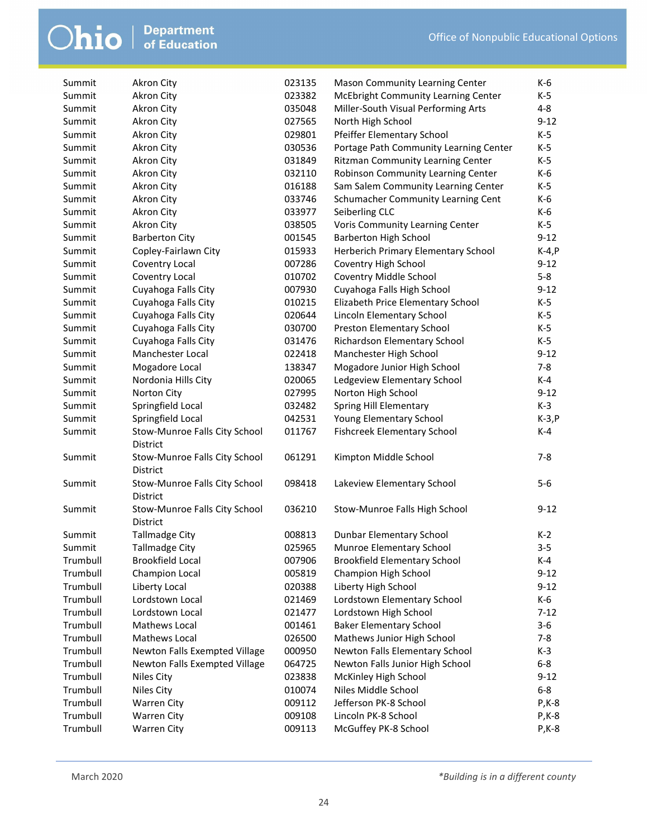| Summit   | <b>Akron City</b>             | 023135 | Mason Community Learning Center          | K-6       |
|----------|-------------------------------|--------|------------------------------------------|-----------|
| Summit   | <b>Akron City</b>             | 023382 | McEbright Community Learning Center      | K-5       |
| Summit   | <b>Akron City</b>             | 035048 | Miller-South Visual Performing Arts      | $4 - 8$   |
| Summit   | <b>Akron City</b>             | 027565 | North High School                        | $9 - 12$  |
| Summit   | Akron City                    | 029801 | Pfeiffer Elementary School               | $K-5$     |
| Summit   | <b>Akron City</b>             | 030536 | Portage Path Community Learning Center   | $K-5$     |
| Summit   | <b>Akron City</b>             | 031849 | <b>Ritzman Community Learning Center</b> | K-5       |
| Summit   | Akron City                    | 032110 | Robinson Community Learning Center       | K-6       |
| Summit   | <b>Akron City</b>             | 016188 | Sam Salem Community Learning Center      | K-5       |
| Summit   | <b>Akron City</b>             | 033746 | Schumacher Community Learning Cent       | K-6       |
| Summit   | Akron City                    | 033977 | Seiberling CLC                           | K-6       |
| Summit   | <b>Akron City</b>             | 038505 | Voris Community Learning Center          | $K-5$     |
| Summit   | <b>Barberton City</b>         | 001545 | <b>Barberton High School</b>             | $9-12$    |
| Summit   | Copley-Fairlawn City          | 015933 | Herberich Primary Elementary School      | $K-4, P$  |
| Summit   | Coventry Local                | 007286 | Coventry High School                     | $9 - 12$  |
| Summit   | Coventry Local                | 010702 | Coventry Middle School                   | $5-8$     |
| Summit   | Cuyahoga Falls City           | 007930 | Cuyahoga Falls High School               | $9 - 12$  |
| Summit   | Cuyahoga Falls City           | 010215 | Elizabeth Price Elementary School        | $K-5$     |
| Summit   | Cuyahoga Falls City           | 020644 | Lincoln Elementary School                | K-5       |
| Summit   | Cuyahoga Falls City           | 030700 | Preston Elementary School                | $K-5$     |
| Summit   | Cuyahoga Falls City           | 031476 | Richardson Elementary School             | $K-5$     |
| Summit   | Manchester Local              | 022418 | Manchester High School                   | $9 - 12$  |
| Summit   | Mogadore Local                | 138347 | Mogadore Junior High School              | $7 - 8$   |
| Summit   | Nordonia Hills City           | 020065 | Ledgeview Elementary School              | K-4       |
| Summit   | Norton City                   | 027995 | Norton High School                       | $9 - 12$  |
| Summit   | Springfield Local             | 032482 | Spring Hill Elementary                   | $K-3$     |
| Summit   | Springfield Local             | 042531 | Young Elementary School                  | $K-3, P$  |
| Summit   | Stow-Munroe Falls City School | 011767 | <b>Fishcreek Elementary School</b>       | K-4       |
|          | District                      |        |                                          |           |
| Summit   | Stow-Munroe Falls City School | 061291 | Kimpton Middle School                    | $7 - 8$   |
|          | District                      |        |                                          |           |
| Summit   | Stow-Munroe Falls City School | 098418 | Lakeview Elementary School               | $5-6$     |
|          | District                      |        |                                          |           |
| Summit   | Stow-Munroe Falls City School | 036210 | Stow-Munroe Falls High School            | $9 - 12$  |
|          | District                      |        |                                          |           |
| Summit   | <b>Tallmadge City</b>         | 008813 | Dunbar Elementary School                 | $K-2$     |
| Summit   | Tallmadge City                | 025965 | Munroe Elementary School                 | $3 - 5$   |
| Trumbull | Brookfield Local              | 007906 | <b>Brookfield Elementary School</b>      | K-4       |
| Trumbull | Champion Local                | 005819 | Champion High School                     | $9 - 12$  |
| Trumbull | Liberty Local                 | 020388 | Liberty High School                      | $9-12$    |
| Trumbull | Lordstown Local               | 021469 | Lordstown Elementary School              | K-6       |
| Trumbull | Lordstown Local               | 021477 | Lordstown High School                    | $7-12$    |
| Trumbull | Mathews Local                 | 001461 | <b>Baker Elementary School</b>           | $3-6$     |
| Trumbull | Mathews Local                 | 026500 | Mathews Junior High School               | 7-8       |
| Trumbull | Newton Falls Exempted Village | 000950 | Newton Falls Elementary School           | $K-3$     |
| Trumbull | Newton Falls Exempted Village | 064725 | Newton Falls Junior High School          | $6-8$     |
| Trumbull | Niles City                    | 023838 | McKinley High School                     | $9 - 12$  |
| Trumbull | Niles City                    | 010074 | Niles Middle School                      | $6-8$     |
| Trumbull | <b>Warren City</b>            | 009112 | Jefferson PK-8 School                    | $P$ , K-8 |
| Trumbull | <b>Warren City</b>            | 009108 | Lincoln PK-8 School                      | $P$ , K-8 |
| Trumbull | <b>Warren City</b>            | 009113 | McGuffey PK-8 School                     | $P$ , K-8 |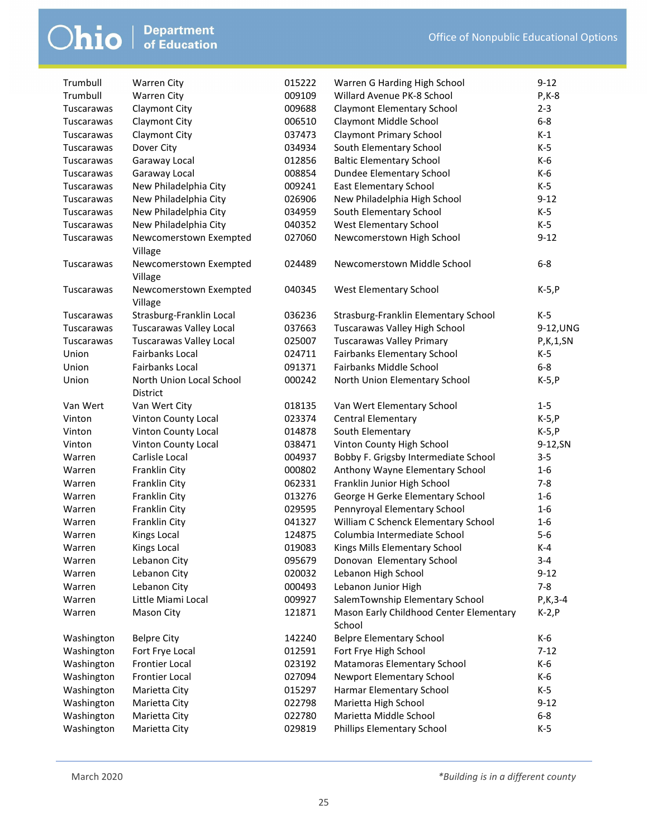| Trumbull   | <b>Warren City</b>                | 015222 | Warren G Harding High School                      | $9 - 12$     |
|------------|-----------------------------------|--------|---------------------------------------------------|--------------|
| Trumbull   | <b>Warren City</b>                | 009109 | Willard Avenue PK-8 School                        | $P$ , K-8    |
| Tuscarawas | <b>Claymont City</b>              | 009688 | <b>Claymont Elementary School</b>                 | $2 - 3$      |
| Tuscarawas | <b>Claymont City</b>              | 006510 | Claymont Middle School                            | $6 - 8$      |
| Tuscarawas | <b>Claymont City</b>              | 037473 | <b>Claymont Primary School</b>                    | $K-1$        |
| Tuscarawas | Dover City                        | 034934 | South Elementary School                           | $K-5$        |
| Tuscarawas | Garaway Local                     | 012856 | <b>Baltic Elementary School</b>                   | K-6          |
| Tuscarawas | Garaway Local                     | 008854 | Dundee Elementary School                          | K-6          |
| Tuscarawas | New Philadelphia City             | 009241 | <b>East Elementary School</b>                     | $K-5$        |
| Tuscarawas | New Philadelphia City             | 026906 | New Philadelphia High School                      | $9 - 12$     |
| Tuscarawas | New Philadelphia City             | 034959 | South Elementary School                           | $K-5$        |
| Tuscarawas | New Philadelphia City             | 040352 | West Elementary School                            | $K-5$        |
| Tuscarawas | Newcomerstown Exempted<br>Village | 027060 | Newcomerstown High School                         | $9 - 12$     |
| Tuscarawas | Newcomerstown Exempted            | 024489 | Newcomerstown Middle School                       | $6 - 8$      |
|            | Village                           |        |                                                   |              |
| Tuscarawas | Newcomerstown Exempted<br>Village | 040345 | <b>West Elementary School</b>                     | $K-5, P$     |
| Tuscarawas | Strasburg-Franklin Local          | 036236 | Strasburg-Franklin Elementary School              | $K-5$        |
| Tuscarawas | <b>Tuscarawas Valley Local</b>    | 037663 | Tuscarawas Valley High School                     | 9-12, UNG    |
| Tuscarawas | <b>Tuscarawas Valley Local</b>    | 025007 | <b>Tuscarawas Valley Primary</b>                  | P,K,1,SN     |
| Union      | <b>Fairbanks Local</b>            | 024711 | Fairbanks Elementary School                       | K-5          |
| Union      | <b>Fairbanks Local</b>            | 091371 | <b>Fairbanks Middle School</b>                    | $6-8$        |
| Union      | North Union Local School          | 000242 | North Union Elementary School                     | $K-5, P$     |
|            | District                          |        |                                                   |              |
| Van Wert   | Van Wert City                     | 018135 | Van Wert Elementary School                        | $1 - 5$      |
| Vinton     | Vinton County Local               | 023374 | <b>Central Elementary</b>                         | $K-5, P$     |
| Vinton     | Vinton County Local               | 014878 | South Elementary                                  | $K-5, P$     |
| Vinton     | Vinton County Local               | 038471 | Vinton County High School                         | 9-12, SN     |
| Warren     | Carlisle Local                    | 004937 | Bobby F. Grigsby Intermediate School              | $3 - 5$      |
| Warren     | Franklin City                     | 000802 | Anthony Wayne Elementary School                   | $1 - 6$      |
| Warren     | Franklin City                     | 062331 | Franklin Junior High School                       | $7 - 8$      |
| Warren     | Franklin City                     | 013276 | George H Gerke Elementary School                  | $1 - 6$      |
| Warren     | Franklin City                     | 029595 | Pennyroyal Elementary School                      | $1 - 6$      |
| Warren     | Franklin City                     | 041327 | William C Schenck Elementary School               | $1-6$        |
| Warren     | Kings Local                       | 124875 | Columbia Intermediate School                      | $5-6$        |
| Warren     | Kings Local                       | 019083 | Kings Mills Elementary School                     | $K-4$        |
| Warren     | Lebanon City                      | 095679 | Donovan Elementary School                         | $3 - 4$      |
| Warren     | Lebanon City                      | 020032 | Lebanon High School                               | $9 - 12$     |
| Warren     | Lebanon City                      | 000493 | Lebanon Junior High                               | $7 - 8$      |
| Warren     | Little Miami Local                | 009927 | SalemTownship Elementary School                   | $P$ , K, 3-4 |
| Warren     | Mason City                        | 121871 | Mason Early Childhood Center Elementary<br>School | $K-2,P$      |
| Washington | <b>Belpre City</b>                | 142240 | <b>Belpre Elementary School</b>                   | K-6          |
| Washington | Fort Frye Local                   | 012591 | Fort Frye High School                             | $7 - 12$     |
| Washington | <b>Frontier Local</b>             | 023192 | Matamoras Elementary School                       | K-6          |
| Washington | <b>Frontier Local</b>             | 027094 | Newport Elementary School                         | K-6          |
| Washington | Marietta City                     | 015297 | Harmar Elementary School                          | $K-5$        |
| Washington | Marietta City                     | 022798 | Marietta High School                              | $9 - 12$     |
| Washington | Marietta City                     | 022780 | Marietta Middle School                            | $6-8$        |
| Washington | Marietta City                     | 029819 | Phillips Elementary School                        | $K-5$        |
|            |                                   |        |                                                   |              |